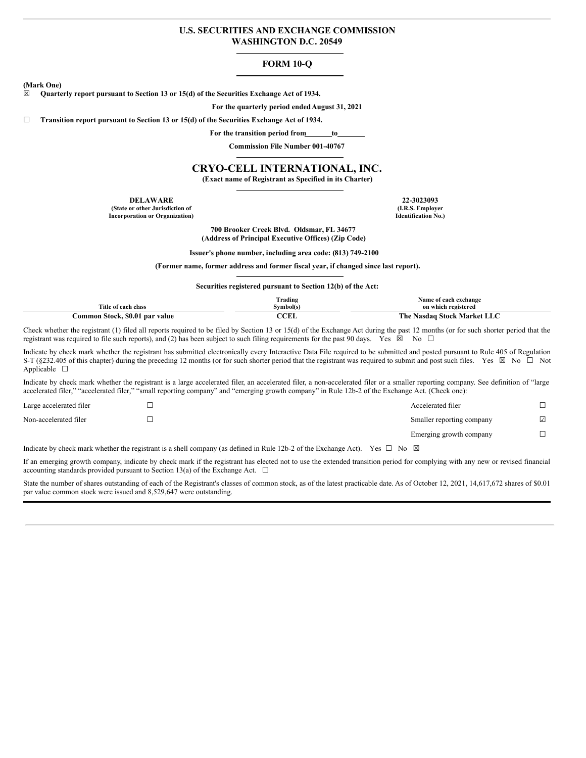# **U.S. SECURITIES AND EXCHANGE COMMISSION WASHINGTON D.C. 20549**

# **FORM 10-Q**

**(Mark One)**

**☒ Quarterly report pursuant to Section 13 or 15(d) of the Securities Exchange Act of 1934.**

**For the quarterly period endedAugust 31, 2021**

**☐ Transition report pursuant to Section 13 or 15(d) of the Securities Exchange Act of 1934.**

**For the transition period from to**

**Commission File Number 001-40767**

# **CRYO-CELL INTERNATIONAL, INC.**

**(Exact name of Registrant as Specified in its Charter)**

**(State or other Jurisdiction of**

**Incorporation or Organization)**

**DELAWARE 22-3023093 (I.R.S. Employer Identification No.)**

> **700 Brooker Creek Blvd. Oldsmar, FL 34677 (Address of Principal Executive Offices) (Zip Code)**

**Issuer's phone number, including area code: (813) 749-2100**

**(Former name, former address and former fiscal year, if changed since last report).**

**Securities registered pursuant to Section 12(b) of the Act:**

|                                | Trading                                 | Name of each exchange       |
|--------------------------------|-----------------------------------------|-----------------------------|
| Title of each class            | Symbol(s)                               | on which registered         |
| Common Stock. \$0.01 par value | יחרי<br>the contract of the contract of | The Nasdaq Stock Market LLC |

Check whether the registrant (1) filed all reports required to be filed by Section 13 or 15(d) of the Exchange Act during the past 12 months (or for such shorter period that the registrant was required to file such reports), and (2) has been subject to such filing requirements for the past 90 days. Yes  $\boxtimes$  No  $\Box$ 

Indicate by check mark whether the registrant has submitted electronically every Interactive Data File required to be submitted and posted pursuant to Rule 405 of Regulation S-T (§232.405 of this chapter) during the preceding 12 months (or for such shorter period that the registrant was required to submit and post such files. Yes ⊠ No □ Not Applicable □

Indicate by check mark whether the registrant is a large accelerated filer, an accelerated filer, a non-accelerated filer or a smaller reporting company. See definition of "large accelerated filer," "accelerated filer," "small reporting company" and "emerging growth company" in Rule 12b-2 of the Exchange Act. (Check one):

| Large accelerated filer | Accelerated filer         |            |
|-------------------------|---------------------------|------------|
| Non-accelerated filer   | Smaller reporting company | $\sqrt{ }$ |
|                         | Emerging growth company   |            |

Indicate by check mark whether the registrant is a shell company (as defined in Rule 12b-2 of the Exchange Act). Yes  $\Box$  No  $\boxtimes$ 

If an emerging growth company, indicate by check mark if the registrant has elected not to use the extended transition period for complying with any new or revised financial accounting standards provided pursuant to Section 13(a) of the Exchange Act.  $\Box$ 

State the number of shares outstanding of each of the Registrant's classes of common stock, as of the latest practicable date. As of October 12, 2021, 14,617,672 shares of \$0.01 par value common stock were issued and 8,529,647 were outstanding.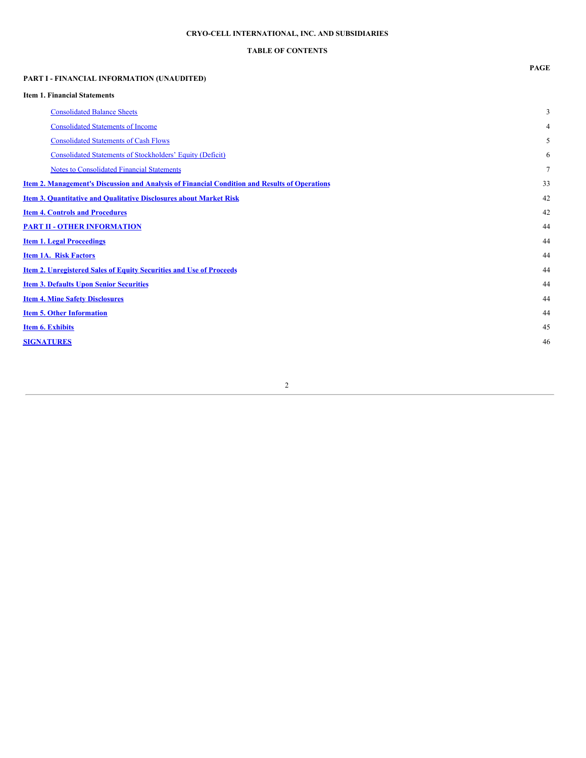# **CRYO-CELL INTERNATIONAL, INC. AND SUBSIDIARIES**

## **TABLE OF CONTENTS**

# **PART I - FINANCIAL INFORMATION (UNAUDITED)**

| <b>Item 1. Financial Statements</b>                                                                  |    |
|------------------------------------------------------------------------------------------------------|----|
| <b>Consolidated Balance Sheets</b>                                                                   | 3  |
| <b>Consolidated Statements of Income</b>                                                             | 4  |
| <b>Consolidated Statements of Cash Flows</b>                                                         | 5  |
| <b>Consolidated Statements of Stockholders' Equity (Deficit)</b>                                     | 6  |
| <b>Notes to Consolidated Financial Statements</b>                                                    | 7  |
| <u>Item 2. Management's Discussion and Analysis of Financial Condition and Results of Operations</u> | 33 |
| <b>Item 3. Quantitative and Qualitative Disclosures about Market Risk</b>                            | 42 |
| <b>Item 4. Controls and Procedures</b>                                                               | 42 |
| <b>PART II - OTHER INFORMATION</b>                                                                   | 44 |
| <b>Item 1. Legal Proceedings</b>                                                                     | 44 |
| <b>Item 1A. Risk Factors</b>                                                                         | 44 |
| <b>Item 2. Unregistered Sales of Equity Securities and Use of Proceeds</b>                           | 44 |
| <b>Item 3. Defaults Upon Senior Securities</b>                                                       | 44 |
| <b>Item 4. Mine Safety Disclosures</b>                                                               | 44 |
| <b>Item 5. Other Information</b>                                                                     | 44 |
| <b>Item 6. Exhibits</b>                                                                              | 45 |
| <b>SIGNATURES</b>                                                                                    | 46 |
|                                                                                                      |    |

2

**PAGE**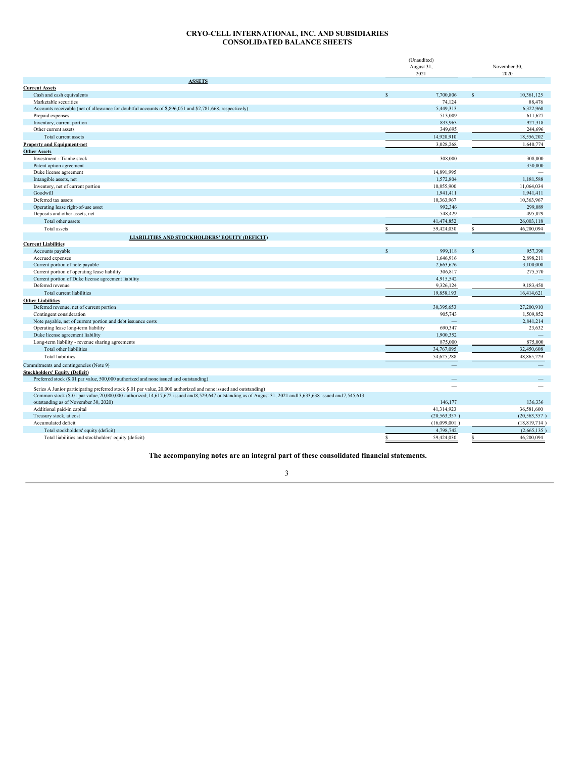## **CRYO-CELL INTERNATIONAL, INC. AND SUBSIDIARIES CONSOLIDATED BALANCE SHEETS**

<span id="page-2-0"></span>

|                                                                                                                                                            |                    | (Unaudited)<br>August 31,<br>2021 |              | November 30,<br>2020 |
|------------------------------------------------------------------------------------------------------------------------------------------------------------|--------------------|-----------------------------------|--------------|----------------------|
| <b>ASSETS</b>                                                                                                                                              |                    |                                   |              |                      |
| <b>Current Assets</b>                                                                                                                                      |                    |                                   |              |                      |
| Cash and cash equivalents                                                                                                                                  | $\hat{\mathbf{x}}$ | 7,700,806                         | $\mathbf{s}$ | 10,361,125           |
| Marketable securities                                                                                                                                      |                    | 74,124                            |              | 88,476               |
| Accounts receivable (net of allowance for doubtful accounts of \$,896,051 and \$2,781,668, respectively)                                                   |                    | 5,449,313                         |              | 6,322,960            |
| Prepaid expenses                                                                                                                                           |                    | 513,009                           |              | 611,627              |
| Inventory, current portion                                                                                                                                 |                    | 833,963                           |              | 927,318              |
| Other current assets                                                                                                                                       |                    | 349,695                           |              | 244,696              |
| Total current assets                                                                                                                                       |                    | 14,920,910                        |              | 18,556,202           |
| <b>Property and Equipment-net</b>                                                                                                                          |                    | 3,028,268                         |              | 1,640,774            |
| <b>Other Assets</b>                                                                                                                                        |                    |                                   |              |                      |
| Investment - Tianhe stock                                                                                                                                  |                    | 308,000                           |              | 308,000              |
| Patent option agreement                                                                                                                                    |                    |                                   |              | 350,000              |
| Duke license agreement                                                                                                                                     |                    | 14,891,995                        |              |                      |
| Intangible assets, net                                                                                                                                     |                    | 1,572,804                         |              | 1,181,588            |
| Inventory, net of current portion                                                                                                                          |                    | 10,855,900                        |              | 11,064,034           |
| Goodwill                                                                                                                                                   |                    | 1,941,411                         |              | 1,941,411            |
| Deferred tax assets                                                                                                                                        |                    | 10,363,967                        |              | 10,363,967           |
| Operating lease right-of-use asset                                                                                                                         |                    | 992,346                           |              | 299,089              |
| Deposits and other assets, net                                                                                                                             |                    | 548,429                           |              | 495,029              |
| Total other assets                                                                                                                                         |                    | 41,474,852                        |              | 26,003,118           |
| Total assets                                                                                                                                               |                    | 59,424,030                        |              | 46,200,094           |
|                                                                                                                                                            |                    |                                   |              |                      |
| <b>LIABILITIES AND STOCKHOLDERS' EQUITY (DEFICIT)</b>                                                                                                      |                    |                                   |              |                      |
| <b>Current Liabilities</b>                                                                                                                                 |                    |                                   |              |                      |
| Accounts payable                                                                                                                                           | \$.                | 999,118                           | S            | 957,390              |
| Accrued expenses                                                                                                                                           |                    | 1,646,916                         |              | 2,898,211            |
| Current portion of note payable                                                                                                                            |                    | 2,663,676                         |              | 3,100,000            |
| Current portion of operating lease liability                                                                                                               |                    | 306,817                           |              | 275,570              |
| Current portion of Duke license agreement liability                                                                                                        |                    | 4,915,542                         |              |                      |
| Deferred revenue                                                                                                                                           |                    | 9,326,124                         |              | 9,183,450            |
| Total current liabilities                                                                                                                                  |                    | 19,858,193                        |              | 16,414,621           |
| <b>Other Liabilities</b>                                                                                                                                   |                    |                                   |              |                      |
| Deferred revenue, net of current portion                                                                                                                   |                    | 30,395,653                        |              | 27,200,910           |
| Contingent consideration                                                                                                                                   |                    | 905,743                           |              | 1,509,852            |
| Note payable, net of current portion and debt issuance costs                                                                                               |                    |                                   |              | 2,841,214            |
| Operating lease long-term liability                                                                                                                        |                    | 690,347                           |              | 23,632               |
| Duke license agreement liability                                                                                                                           |                    | 1,900,352                         |              |                      |
| Long-term liability - revenue sharing agreements                                                                                                           |                    | 875,000                           |              | 875,000              |
| Total other liabilities                                                                                                                                    |                    | 34,767,095                        |              | 32,450,608           |
| <b>Total liabilities</b>                                                                                                                                   |                    | 54,625,288                        |              | 48,865,229           |
| Commitments and contingencies (Note 9)                                                                                                                     |                    |                                   |              |                      |
| <b>Stockholders' Equity (Deficit)</b>                                                                                                                      |                    |                                   |              |                      |
| Preferred stock (\$.01 par value, 500,000 authorized and none issued and outstanding)                                                                      |                    |                                   |              |                      |
|                                                                                                                                                            |                    | $\overline{\phantom{0}}$          |              |                      |
| Series A Junior participating preferred stock $6.01$ par value, 20,000 authorized and none issued and outstanding)                                         |                    |                                   |              |                      |
| Common stock (\$.01 par value, 20,000,000 authorized; 14,617,672 issued and 8,529,647 outstanding as of August 31, 2021 and 3,633,638 issued and 7,545,613 |                    |                                   |              |                      |
| outstanding as of November 30, 2020)                                                                                                                       |                    | 146,177                           |              | 136,336              |
| Additional paid-in capital                                                                                                                                 |                    | 41,314,923                        |              | 36,581,600           |
| Treasury stock, at cost                                                                                                                                    |                    | (20, 563, 357)                    |              | (20, 563, 357)       |
| Accumulated deficit                                                                                                                                        |                    | (16,099,001)                      |              | (18, 819, 714)       |
| Total stockholders' equity (deficit)                                                                                                                       |                    | 4,798,742                         |              | (2,665,135)          |
| Total liabilities and stockholders' equity (deficit)                                                                                                       | s                  | 59,424,030                        | s            | 46,200,094           |

**The accompanying notes are an integral part of these consolidated financial statements.**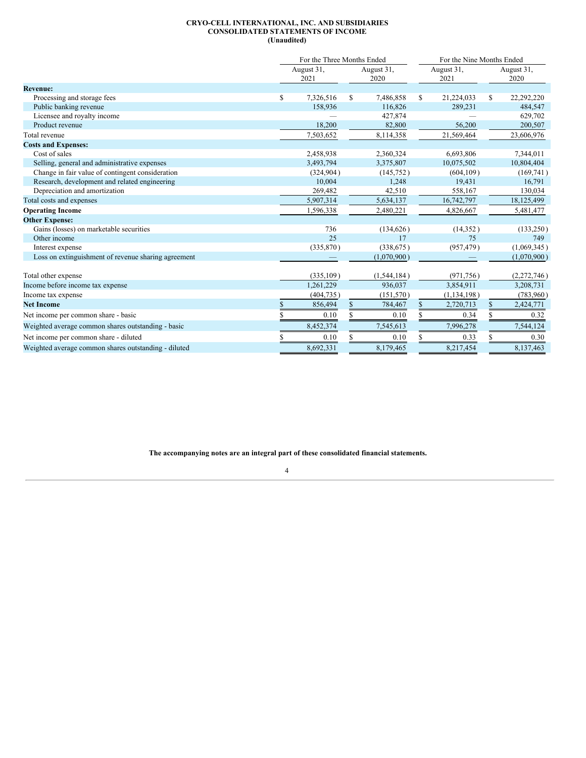## **CRYO-CELL INTERNATIONAL, INC. AND SUBSIDIARIES CONSOLIDATED STATEMENTS OF INCOME (Unaudited)**

<span id="page-3-0"></span>

|                                                      |   | For the Three Months Ended |    |                    |    | For the Nine Months Ended |    |                    |  |  |
|------------------------------------------------------|---|----------------------------|----|--------------------|----|---------------------------|----|--------------------|--|--|
|                                                      |   | August 31,<br>2021         |    | August 31,<br>2020 |    | August 31,<br>2021        |    | August 31,<br>2020 |  |  |
| <b>Revenue:</b>                                      |   |                            |    |                    |    |                           |    |                    |  |  |
| Processing and storage fees                          | S | 7,326,516                  | S. | 7,486,858          | \$ | 21,224,033                | \$ | 22,292,220         |  |  |
| Public banking revenue                               |   | 158.936                    |    | 116,826            |    | 289,231                   |    | 484,547            |  |  |
| Licensee and royalty income                          |   |                            |    | 427,874            |    |                           |    | 629,702            |  |  |
| Product revenue                                      |   | 18,200                     |    | 82,800             |    | 56,200                    |    | 200,507            |  |  |
| Total revenue                                        |   | 7,503,652                  |    | 8,114,358          |    | 21,569,464                |    | 23,606,976         |  |  |
| <b>Costs and Expenses:</b>                           |   |                            |    |                    |    |                           |    |                    |  |  |
| Cost of sales                                        |   | 2,458,938                  |    | 2,360,324          |    | 6,693,806                 |    | 7,344,011          |  |  |
| Selling, general and administrative expenses         |   | 3,493,794                  |    | 3,375,807          |    | 10,075,502                |    | 10,804,404         |  |  |
| Change in fair value of contingent consideration     |   | (324.904)                  |    | (145, 752)         |    | (604, 109)                |    | (169, 741)         |  |  |
| Research, development and related engineering        |   | 10,004                     |    | 1,248              |    | 19,431                    |    | 16,791             |  |  |
| Depreciation and amortization                        |   | 269,482                    |    | 42,510             |    | 558,167                   |    | 130,034            |  |  |
| Total costs and expenses                             |   | 5,907,314                  |    | 5,634,137          |    | 16,742,797                |    | 18,125,499         |  |  |
| <b>Operating Income</b>                              |   | 1,596,338                  |    | 2,480,221          |    | 4,826,667                 |    | 5,481,477          |  |  |
| <b>Other Expense:</b>                                |   |                            |    |                    |    |                           |    |                    |  |  |
| Gains (losses) on marketable securities              |   | 736                        |    | (134, 626)         |    | (14, 352)                 |    | (133, 250)         |  |  |
| Other income                                         |   | 25                         |    | 17                 |    | 75                        |    | 749                |  |  |
| Interest expense                                     |   | (335, 870)                 |    | (338,675)          |    | (957, 479)                |    | (1,069,345)        |  |  |
| Loss on extinguishment of revenue sharing agreement  |   |                            |    | (1,070,900)        |    |                           |    | (1,070,900)        |  |  |
| Total other expense                                  |   | (335, 109)                 |    | (1, 544, 184)      |    | (971, 756)                |    | (2,272,746)        |  |  |
| Income before income tax expense                     |   | 1,261,229                  |    | 936,037            |    | 3,854,911                 |    | 3,208,731          |  |  |
| Income tax expense                                   |   | (404, 735)                 |    | (151, 570)         |    | (1, 134, 198)             |    | (783,960)          |  |  |
| <b>Net Income</b>                                    |   | 856,494                    | \$ | 784,467            | \$ | 2,720,713                 | \$ | 2,424,771          |  |  |
| Net income per common share - basic                  |   | 0.10                       |    | 0.10               |    | 0.34                      | \$ | 0.32               |  |  |
| Weighted average common shares outstanding - basic   |   | 8,452,374                  |    | 7,545,613          |    | 7,996,278                 |    | 7,544,124          |  |  |
| Net income per common share - diluted                |   | 0.10                       | S  | 0.10               | S  | 0.33                      | \$ | 0.30               |  |  |
| Weighted average common shares outstanding - diluted |   | 8.692.331                  |    | 8.179.465          |    | 8.217.454                 |    | 8.137.463          |  |  |

**The accompanying notes are an integral part of these consolidated financial statements.**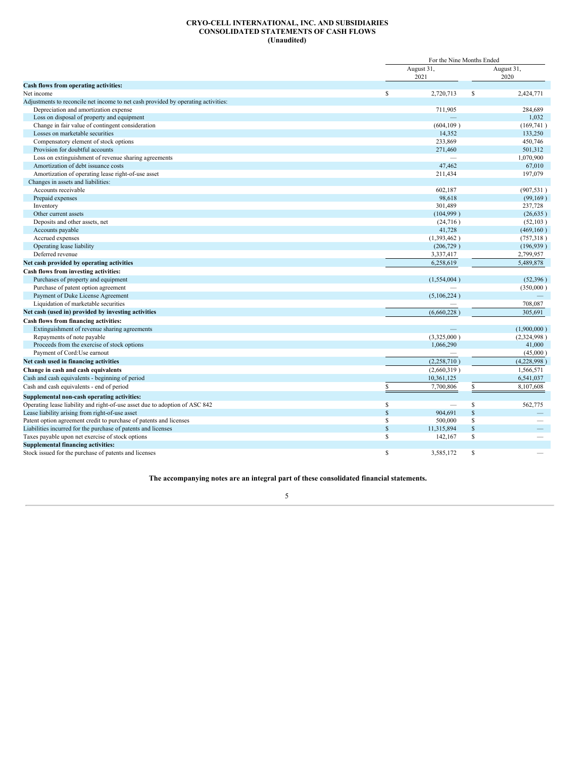### **CRYO-CELL INTERNATIONAL, INC. AND SUBSIDIARIES CONSOLIDATED STATEMENTS OF CASH FLOWS (Unaudited)**

<span id="page-4-0"></span>

|                                                                                   |               | For the Nine Months Ended |    |                    |  |  |
|-----------------------------------------------------------------------------------|---------------|---------------------------|----|--------------------|--|--|
|                                                                                   |               | August 31,<br>2021        |    | August 31,<br>2020 |  |  |
| Cash flows from operating activities:                                             |               |                           |    |                    |  |  |
| Net income                                                                        | S             | 2,720,713                 | S  | 2,424,771          |  |  |
| Adjustments to reconcile net income to net cash provided by operating activities: |               |                           |    |                    |  |  |
| Depreciation and amortization expense                                             |               | 711,905                   |    | 284,689            |  |  |
| Loss on disposal of property and equipment                                        |               |                           |    | 1,032              |  |  |
| Change in fair value of contingent consideration                                  |               | (604, 109)                |    | (169, 741)         |  |  |
| Losses on marketable securities                                                   |               | 14,352                    |    | 133,250            |  |  |
| Compensatory element of stock options                                             |               | 233,869                   |    | 450,746            |  |  |
| Provision for doubtful accounts                                                   |               | 271,460                   |    | 501,312            |  |  |
| Loss on extinguishment of revenue sharing agreements                              |               |                           |    | 1,070,900          |  |  |
| Amortization of debt issuance costs                                               |               | 47,462                    |    | 67,010             |  |  |
| Amortization of operating lease right-of-use asset                                |               | 211,434                   |    | 197,079            |  |  |
| Changes in assets and liabilities:                                                |               |                           |    |                    |  |  |
| Accounts receivable                                                               |               | 602,187                   |    | (907, 531)         |  |  |
| Prepaid expenses                                                                  |               | 98,618                    |    | (99,169)           |  |  |
| Inventory                                                                         |               | 301,489                   |    | 237,728            |  |  |
| Other current assets                                                              |               | (104, 999)                |    | (26, 635)          |  |  |
| Deposits and other assets, net                                                    |               | (24,716)                  |    | (52, 103)          |  |  |
| Accounts payable                                                                  |               | 41,728                    |    | (469, 160)         |  |  |
| Accrued expenses                                                                  |               | (1,393,462)               |    | (757,318)          |  |  |
| Operating lease liability                                                         |               | (206, 729)                |    | (196, 939)         |  |  |
| Deferred revenue                                                                  |               | 3,337,417                 |    | 2,799,957          |  |  |
| Net cash provided by operating activities                                         |               | 6,258,619                 |    | 5,489,878          |  |  |
| Cash flows from investing activities:                                             |               |                           |    |                    |  |  |
| Purchases of property and equipment                                               |               | (1,554,004)               |    | (52,396)           |  |  |
| Purchase of patent option agreement                                               |               |                           |    | (350,000)          |  |  |
| Payment of Duke License Agreement                                                 |               | (5,106,224)               |    |                    |  |  |
| Liquidation of marketable securities                                              |               |                           |    | 708,087            |  |  |
| Net cash (used in) provided by investing activities                               |               | (6,660,228)               |    | 305.691            |  |  |
| Cash flows from financing activities:                                             |               |                           |    |                    |  |  |
| Extinguishment of revenue sharing agreements                                      |               |                           |    | (1,900,000)        |  |  |
| Repayments of note payable                                                        |               | (3,325,000)               |    | (2,324,998)        |  |  |
| Proceeds from the exercise of stock options                                       |               | 1,066,290                 |    | 41,000             |  |  |
| Payment of Cord: Use earnout                                                      |               |                           |    | (45,000)           |  |  |
| Net cash used in financing activities                                             |               | (2,258,710)               |    | (4,228,998)        |  |  |
| Change in cash and cash equivalents                                               |               | (2,660,319)               |    | 1,566,571          |  |  |
| Cash and cash equivalents - beginning of period                                   |               | 10,361,125                |    | 6,541,037          |  |  |
| Cash and cash equivalents - end of period                                         | <sup>\$</sup> | 7,700,806                 | \$ | 8,107,608          |  |  |
| Supplemental non-cash operating activities:                                       |               |                           |    |                    |  |  |
| Operating lease liability and right-of-use asset due to adoption of ASC 842       | \$            | $\overline{\phantom{0}}$  | S  | 562,775            |  |  |
| Lease liability arising from right-of-use asset                                   | <sup>\$</sup> | 904.691                   | \$ |                    |  |  |
| Patent option agreement credit to purchase of patents and licenses                | \$            | 500,000                   | \$ |                    |  |  |
| Liabilities incurred for the purchase of patents and licenses                     | $\mathcal{S}$ | 11,315,894                | \$ |                    |  |  |
| Taxes payable upon net exercise of stock options                                  | \$            | 142,167                   | \$ |                    |  |  |
| <b>Supplemental financing activities:</b>                                         |               |                           |    |                    |  |  |
| Stock issued for the purchase of patents and licenses                             | $\mathbf S$   | 3,585,172                 | S  |                    |  |  |
|                                                                                   |               |                           |    |                    |  |  |

**The accompanying notes are an integral part of these consolidated financial statements.**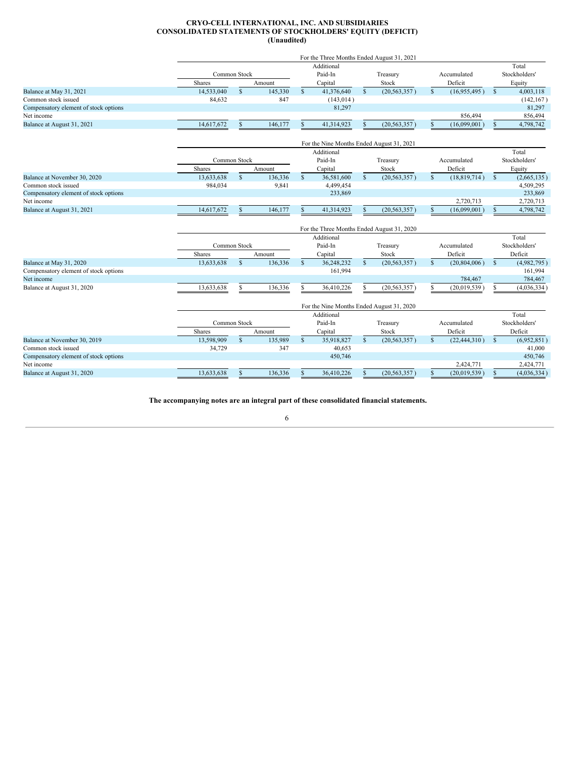## **CRYO-CELL INTERNATIONAL, INC. AND SUBSIDIARIES CONSOLIDATED STATEMENTS OF STOCKHOLDERS' EQUITY (DEFICIT) (Unaudited)**

<span id="page-5-0"></span>

|                                                     |              |               |         |                                           |                                   |               | For the Three Months Ended August 31, 2021 |               |                |               |                        |
|-----------------------------------------------------|--------------|---------------|---------|-------------------------------------------|-----------------------------------|---------------|--------------------------------------------|---------------|----------------|---------------|------------------------|
|                                                     | Common Stock |               |         |                                           | Additional<br>Paid-In<br>Treasury |               |                                            | Accumulated   |                |               | Total<br>Stockholders' |
|                                                     | Shares       |               | Amount  |                                           | Capital                           |               | Stock                                      |               | Deficit        |               | Equity                 |
| Balance at May 31, 2021                             | 14,533,040   | $\mathbf{s}$  | 145,330 | $\mathbb{S}$                              | 41,376,640                        | $\mathbf S$   | (20, 563, 357)                             | $\mathbf{s}$  | (16,955,495)   | $\mathbb{S}$  | 4,003,118              |
| Common stock issued                                 | 84,632       |               | 847     |                                           | (143, 014)                        |               |                                            |               |                |               | (142, 167)             |
| Compensatory element of stock options<br>Net income |              |               |         |                                           | 81,297                            |               |                                            |               |                |               | 81,297                 |
|                                                     |              |               |         |                                           |                                   |               |                                            |               | 856,494        |               | 856,494                |
| Balance at August 31, 2021                          | 14,617,672   | $\mathbf S$   | 146,177 | $\mathbb{S}$                              | 41,314,923                        | $\mathbb{S}$  | (20, 563, 357)                             | S.            | (16,099,001)   | $\mathbf{s}$  | 4,798,742              |
|                                                     |              |               |         | For the Nine Months Ended August 31, 2021 |                                   |               |                                            |               |                |               |                        |
|                                                     |              |               |         |                                           | Additional                        |               |                                            |               |                |               | Total                  |
|                                                     | Common Stock |               |         |                                           | Paid-In                           |               | Treasury                                   |               | Accumulated    |               | Stockholders'          |
|                                                     | Shares       |               | Amount  |                                           | Capital                           |               | Stock                                      |               | Deficit        |               | Equity                 |
| Balance at November 30, 2020                        | 13.633.638   | $\mathbf{s}$  | 136,336 | $\mathcal{S}$                             | 36,581,600                        | $\mathcal{S}$ | (20, 563, 357)                             | $\mathbf{s}$  | (18,819,714)   | $\mathbb{S}$  | (2,665,135)            |
| Common stock issued                                 | 984,034      |               | 9,841   |                                           | 4,499,454                         |               |                                            |               |                |               | 4,509,295              |
| Compensatory element of stock options               |              |               |         |                                           | 233,869                           |               |                                            |               |                |               | 233,869                |
| Net income                                          |              |               |         |                                           |                                   |               |                                            |               | 2,720,713      |               | 2,720,713              |
| Balance at August 31, 2021                          | 14,617,672   | $\mathcal{S}$ | 146,177 | $\mathbb{S}$                              | 41,314,923                        | $\mathcal{S}$ | (20, 563, 357)                             |               | (16,099,001)   | <sup>\$</sup> | 4,798,742              |
|                                                     |              |               |         |                                           | Additional                        |               | For the Three Months Ended August 31, 2020 |               |                |               | Total                  |
|                                                     |              | Common Stock  |         |                                           | Paid-In                           | Treasury      |                                            | Accumulated   |                |               | Stockholders'          |
|                                                     | Shares       |               | Amount  |                                           | Capital                           |               | Stock                                      |               | Deficit        |               | Deficit                |
| Balance at May 31, 2020                             | 13,633,638   | $\mathbf S$   | 136,336 | $\mathbb{S}$                              | 36,248,232                        | $\mathbf S$   | (20, 563, 357)                             | $\mathbf{s}$  | (20,804,006)   | $\mathbb{S}$  | (4,982,795)            |
| Compensatory element of stock options               |              |               |         |                                           | 161,994                           |               |                                            |               |                |               | 161,994                |
| Net income                                          |              |               |         |                                           |                                   |               |                                            |               | 784,467        |               | 784,467                |
| Balance at August 31, 2020                          | 13,633,638   | S.            | 136,336 | S.                                        | 36,410,226                        | \$            | (20, 563, 357)                             |               | (20,019,539)   | S.            | (4,036,334)            |
|                                                     |              |               |         |                                           |                                   |               |                                            |               |                |               |                        |
|                                                     |              |               |         |                                           |                                   |               | For the Nine Months Ended August 31, 2020  |               |                |               |                        |
|                                                     |              |               |         |                                           | Additional                        |               |                                            |               |                |               | Total                  |
|                                                     | Common Stock |               |         |                                           | Paid-In                           |               | Treasury                                   |               | Accumulated    |               | Stockholders'          |
|                                                     | Shares       |               | Amount  |                                           | Capital                           |               | Stock                                      |               | Deficit        |               | Deficit                |
| Balance at November 30, 2019                        | 13,598,909   | $\mathbf{s}$  | 135,989 | $\mathbb{S}$                              | 35,918,827                        | $\mathbf S$   | (20, 563, 357)                             | $\mathcal{S}$ | (22, 444, 310) | $\mathbf S$   | (6,952,851)            |
| Common stock issued                                 | 34,729       |               | 347     |                                           | 40.653                            |               |                                            |               |                |               | 41,000                 |
| Compensatory element of stock options               |              |               |         |                                           | 450,746                           |               |                                            |               |                |               | 450,746                |
| Net income                                          |              |               |         |                                           |                                   |               |                                            |               | 2.424,771      |               | 2,424,771              |
| Balance at August 31, 2020                          | 13,633,638   |               | 136,336 | \$                                        | 36,410,226                        |               | (20, 563, 357)                             |               | (20,019,539)   | ς             | (4,036,334)            |

**The accompanying notes are an integral part of these consolidated financial statements.**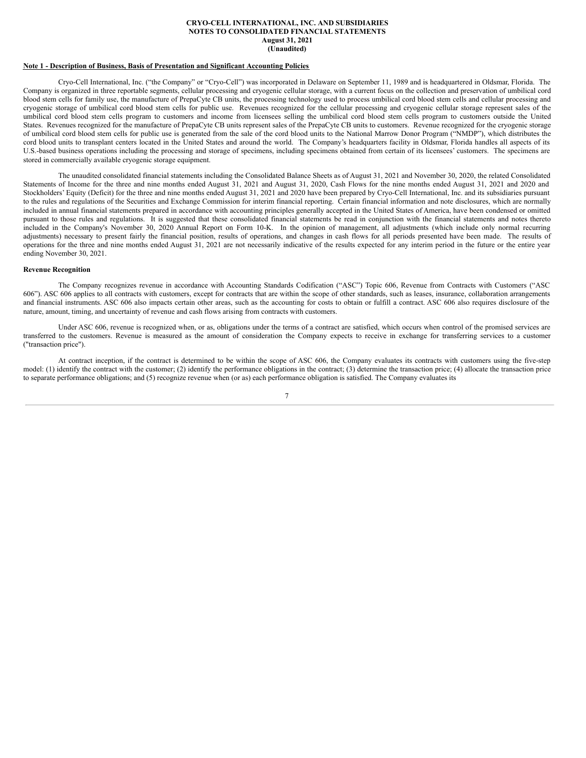## **CRYO-CELL INTERNATIONAL, INC. AND SUBSIDIARIES NOTES TO CONSOLIDATED FINANCIAL STATEMENTS August 31, 2021 (Unaudited)**

## <span id="page-6-0"></span>**Note 1 - Description of Business, Basis of Presentation and Significant Accounting Policies**

Cryo-Cell International, Inc. ("the Company" or "Cryo-Cell") was incorporated in Delaware on September 11, 1989 and is headquartered in Oldsmar, Florida. The Company is organized in three reportable segments, cellular processing and cryogenic cellular storage, with a current focus on the collection and preservation of umbilical cord blood stem cells for family use, the manufacture of PrepaCyte CB units, the processing technology used to process umbilical cord blood stem cells and cellular processing and cryogenic storage of umbilical cord blood stem cells for public use. Revenues recognized for the cellular processing and cryogenic cellular storage represent sales of the umbilical cord blood stem cells program to customers and income from licensees selling the umbilical cord blood stem cells program to customers outside the United States. Revenues recognized for the manufacture of PrepaCyte CB units represent sales of the PrepaCyte CB units to customers. Revenue recognized for the cryogenic storage of umbilical cord blood stem cells for public use is generated from the sale of the cord blood units to the National Marrow Donor Program ("NMDP"), which distributes the cord blood units to transplant centers located in the United States and around the world. The Company's headquarters facility in Oldsmar, Florida handles all aspects of its U.S.-based business operations including the processing and storage of specimens, including specimens obtained from certain of its licensees' customers. The specimens are stored in commercially available cryogenic storage equipment.

The unaudited consolidated financial statements including the Consolidated Balance Sheets as of August 31, 2021 and November 30, 2020, the related Consolidated Statements of Income for the three and nine months ended August 31, 2021 and August 31, 2020, Cash Flows for the nine months ended August 31, 2021 and 2020 and Stockholders' Equity (Deficit) for the three and nine months ended August 31, 2021 and 2020 have been prepared by Cryo-Cell International, Inc. and its subsidiaries pursuant to the rules and regulations of the Securities and Exchange Commission for interim financial reporting. Certain financial information and note disclosures, which are normally included in annual financial statements prepared in accordance with accounting principles generally accepted in the United States of America, have been condensed or omitted pursuant to those rules and regulations. It is suggested that these consolidated financial statements be read in conjunction with the financial statements and notes thereto included in the Company's November 30, 2020 Annual Report on Form 10-K. In the opinion of management, all adjustments (which include only normal recurring adjustments) necessary to present fairly the financial position, results of operations, and changes in cash flows for all periods presented have been made. The results of operations for the three and nine months ended August 31, 2021 are not necessarily indicative of the results expected for any interim period in the future or the entire year ending November 30, 2021.

## **Revenue Recognition**

The Company recognizes revenue in accordance with Accounting Standards Codification ("ASC") Topic 606, Revenue from Contracts with Customers ("ASC 606"). ASC 606 applies to all contracts with customers, except for contracts that are within the scope of other standards, such as leases, insurance, collaboration arrangements and financial instruments. ASC 606 also impacts certain other areas, such as the accounting for costs to obtain or fulfill a contract. ASC 606 also requires disclosure of the nature, amount, timing, and uncertainty of revenue and cash flows arising from contracts with customers.

Under ASC 606, revenue is recognized when, or as, obligations under the terms of a contract are satisfied, which occurs when control of the promised services are transferred to the customers. Revenue is measured as the amount of consideration the Company expects to receive in exchange for transferring services to a customer ("transaction price").

At contract inception, if the contract is determined to be within the scope of ASC 606, the Company evaluates its contracts with customers using the five-step model: (1) identify the contract with the customer; (2) identify the performance obligations in the contract; (3) determine the transaction price; (4) allocate the transaction price to separate performance obligations; and (5) recognize revenue when (or as) each performance obligation is satisfied. The Company evaluates its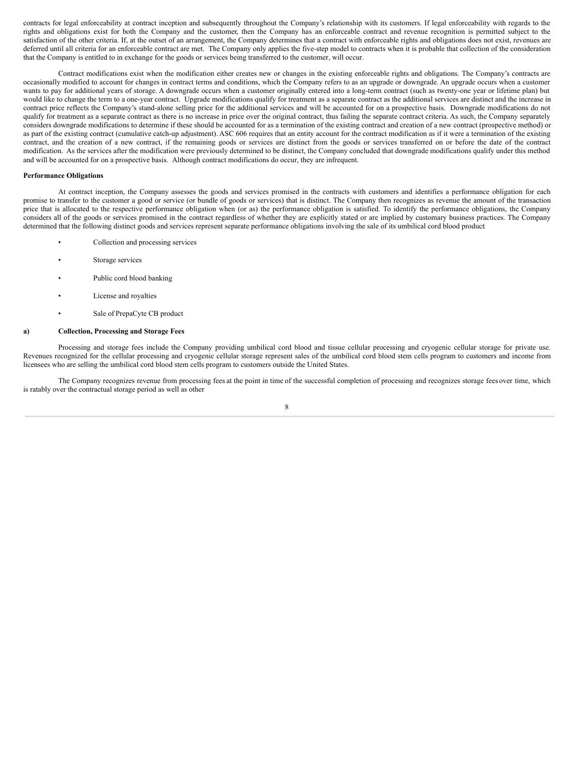contracts for legal enforceability at contract inception and subsequently throughout the Company's relationship with its customers. If legal enforceability with regards to the rights and obligations exist for both the Company and the customer, then the Company has an enforceable contract and revenue recognition is permitted subject to the satisfaction of the other criteria. If, at the outset of an arrangement, the Company determines that a contract with enforceable rights and obligations does not exist, revenues are deferred until all criteria for an enforceable contract are met. The Company only applies the five-step model to contracts when it is probable that collection of the consideration that the Company is entitled to in exchange for the goods or services being transferred to the customer, will occur.

Contract modifications exist when the modification either creates new or changes in the existing enforceable rights and obligations. The Company's contracts are occasionally modified to account for changes in contract terms and conditions, which the Company refers to as an upgrade or downgrade. An upgrade occurs when a customer wants to pay for additional years of storage. A downgrade occurs when a customer originally entered into a long-term contract (such as twenty-one year or lifetime plan) but would like to change the term to a one-year contract. Upgrade modifications qualify for treatment as a separate contract as the additional services are distinct and the increase in contract price reflects the Company's stand-alone selling price for the additional services and will be accounted for on a prospective basis. Downgrade modifications do not qualify for treatment as a separate contract as there is no increase in price over the original contract, thus failing the separate contract criteria. As such, the Company separately considers downgrade modifications to determine if these should be accounted for as a termination of the existing contract and creation of a new contract (prospective method) or as part of the existing contract (cumulative catch-up adjustment). ASC 606 requires that an entity account for the contract modification as if it were a termination of the existing contract, and the creation of a new contract, if the remaining goods or services are distinct from the goods or services transferred on or before the date of the contract modification. As the services after the modification were previously determined to be distinct, the Company concluded that downgrade modifications qualify under this method and will be accounted for on a prospective basis. Although contract modifications do occur, they are infrequent.

#### **Performance Obligations**

At contract inception, the Company assesses the goods and services promised in the contracts with customers and identifies a performance obligation for each promise to transfer to the customer a good or service (or bundle of goods or services) that is distinct. The Company then recognizes as revenue the amount of the transaction price that is allocated to the respective performance obligation when (or as) the performance obligation is satisfied. To identify the performance obligations, the Company considers all of the goods or services promised in the contract regardless of whether they are explicitly stated or are implied by customary business practices. The Company determined that the following distinct goods and services represent separate performance obligations involving the sale of its umbilical cord blood product:

- Collection and processing services
- Storage services
- Public cord blood banking
- License and royalties
- Sale of PrepaCyte CB product

## **a) Collection, Processing and Storage Fees**

Processing and storage fees include the Company providing umbilical cord blood and tissue cellular processing and cryogenic cellular storage for private use. Revenues recognized for the cellular processing and cryogenic cellular storage represent sales of the umbilical cord blood stem cells program to customers and income from licensees who are selling the umbilical cord blood stem cells program to customers outside the United States.

The Company recognizes revenue from processing fees at the point in time of the successful completion of processing and recognizes storage fees over time, which is ratably over the contractual storage period as well as other

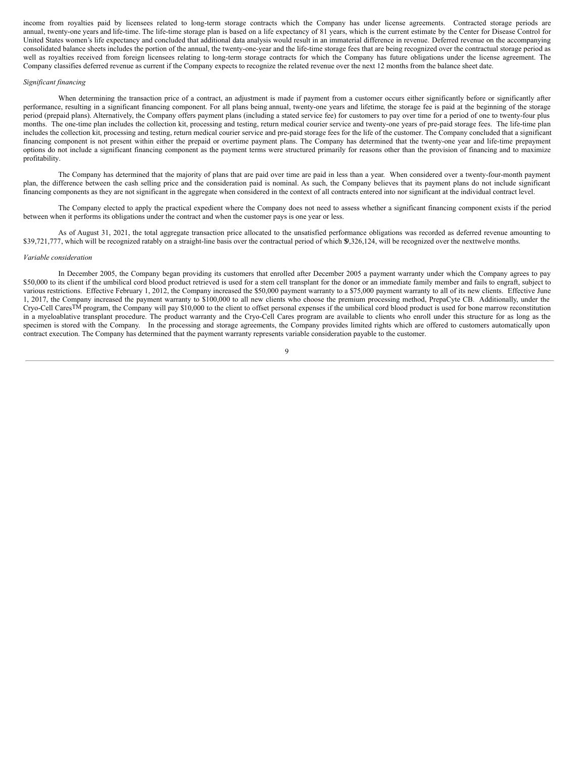income from royalties paid by licensees related to long-term storage contracts which the Company has under license agreements. Contracted storage periods are annual, twenty-one years and life-time. The life-time storage plan is based on a life expectancy of 81 years, which is the current estimate by the Center for Disease Control for United States women's life expectancy and concluded that additional data analysis would result in an immaterial difference in revenue. Deferred revenue on the accompanying consolidated balance sheets includes the portion of the annual, the twenty-one-year and the life-time storage fees that are being recognized over the contractual storage period as well as royalties received from foreign licensees relating to long-term storage contracts for which the Company has future obligations under the license agreement. The Company classifies deferred revenue as current if the Company expects to recognize the related revenue over the next 12 months from the balance sheet date.

## *Significant financing*

When determining the transaction price of a contract, an adjustment is made if payment from a customer occurs either significantly before or significantly after performance, resulting in a significant financing component. For all plans being annual, twenty-one years and lifetime, the storage fee is paid at the beginning of the storage period (prepaid plans). Alternatively, the Company offers payment plans (including a stated service fee) for customers to pay over time for a period of one to twenty-four plus months. The one-time plan includes the collection kit, processing and testing, return medical courier service and twenty-one years of pre-paid storage fees. The life-time plan includes the collection kit, processing and testing, return medical courier service and pre-paid storage fees for the life of the customer. The Company concluded that a significant financing component is not present within either the prepaid or overtime payment plans. The Company has determined that the twenty-one year and life-time prepayment options do not include a significant financing component as the payment terms were structured primarily for reasons other than the provision of financing and to maximize profitability.

The Company has determined that the majority of plans that are paid over time are paid in less than a year. When considered over a twenty-four-month payment plan, the difference between the cash selling price and the consideration paid is nominal. As such, the Company believes that its payment plans do not include significant financing components as they are not significant in the aggregate when considered in the context of all contracts entered into nor significant at the individual contract level.

The Company elected to apply the practical expedient where the Company does not need to assess whether a significant financing component exists if the period between when it performs its obligations under the contract and when the customer pays is one year or less.

As of August 31, 2021, the total aggregate transaction price allocated to the unsatisfied performance obligations was recorded as deferred revenue amounting to \$39,721,777, which will be recognized ratably on a straight-line basis over the contractual period of which \$9,326,124, will be recognized over the nexttwelve months.

#### *Variable consideration*

In December 2005, the Company began providing its customers that enrolled after December 2005 a payment warranty under which the Company agrees to pay \$50,000 to its client if the umbilical cord blood product retrieved is used for a stem cell transplant for the donor or an immediate family member and fails to engraft, subject to various restrictions. Effective February 1, 2012, the Company increased the \$50,000 payment warranty to a \$75,000 payment warranty to all of its new clients. Effective June 1, 2017, the Company increased the payment warranty to \$100,000 to all new clients who choose the premium processing method, PrepaCyte CB. Additionally, under the Cryo-Cell CaresTM program, the Company will pay \$10,000 to the client to offset personal expenses if the umbilical cord blood product is used for bone marrow reconstitution in a myeloablative transplant procedure. The product warranty and the Cryo-Cell Cares program are available to clients who enroll under this structure for as long as the specimen is stored with the Company. In the processing and storage agreements, the Company provides limited rights which are offered to customers automatically upon contract execution. The Company has determined that the payment warranty represents variable consideration payable to the customer.

 $\overline{Q}$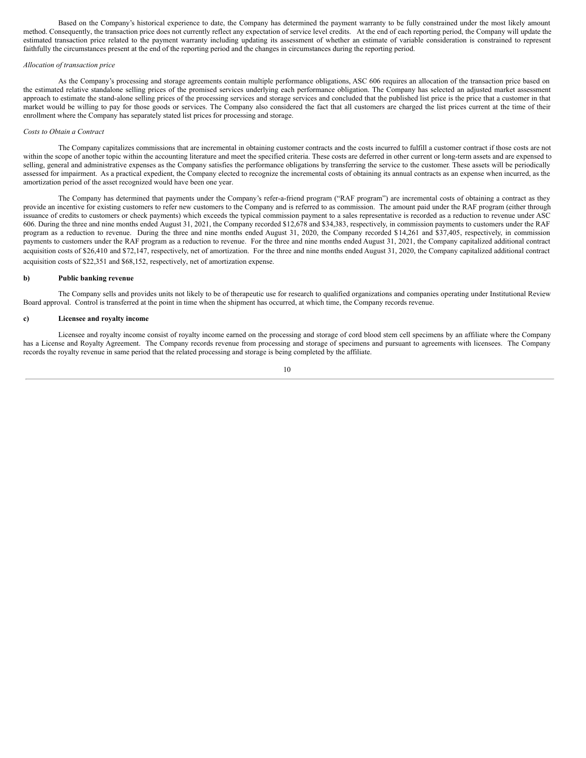Based on the Company's historical experience to date, the Company has determined the payment warranty to be fully constrained under the most likely amount method. Consequently, the transaction price does not currently reflect any expectation of service level credits. At the end of each reporting period, the Company will update the estimated transaction price related to the payment warranty including updating its assessment of whether an estimate of variable consideration is constrained to represent faithfully the circumstances present at the end of the reporting period and the changes in circumstances during the reporting period.

#### *Allocation of transaction price*

As the Company's processing and storage agreements contain multiple performance obligations, ASC 606 requires an allocation of the transaction price based on the estimated relative standalone selling prices of the promised services underlying each performance obligation. The Company has selected an adjusted market assessment approach to estimate the stand-alone selling prices of the processing services and storage services and concluded that the published list price is the price that a customer in that market would be willing to pay for those goods or services. The Company also considered the fact that all customers are charged the list prices current at the time of their enrollment where the Company has separately stated list prices for processing and storage.

## *Costs to Obtain a Contract*

The Company capitalizes commissions that are incremental in obtaining customer contracts and the costs incurred to fulfill a customer contract if those costs are not within the scope of another topic within the accounting literature and meet the specified criteria. These costs are deferred in other current or long-term assets and are expensed to selling, general and administrative expenses as the Company satisfies the performance obligations by transferring the service to the customer. These assets will be periodically assessed for impairment. As a practical expedient, the Company elected to recognize the incremental costs of obtaining its annual contracts as an expense when incurred, as the amortization period of the asset recognized would have been one year.

The Company has determined that payments under the Company's refer-a-friend program ("RAF program") are incremental costs of obtaining a contract as they provide an incentive for existing customers to refer new customers to the Company and is referred to as commission. The amount paid under the RAF program (either through issuance of credits to customers or check payments) which exceeds the typical commission payment to a sales representative is recorded as a reduction to revenue under ASC 606. During the three and nine months ended August 31, 2021, the Company recorded \$12,678 and \$34,383, respectively, in commission payments to customers under the RAF program as a reduction to revenue. During the three and nine months ended August 31, 2020, the Company recorded \$14,261 and \$37,405, respectively, in commission payments to customers under the RAF program as a reduction to revenue. For the three and nine months ended August 31, 2021, the Company capitalized additional contract acquisition costs of \$26,410 and \$72,147, respectively, net of amortization. For the three and nine months ended August 31, 2020, the Company capitalized additional contract acquisition costs of \$22,351 and \$68,152, respectively, net of amortization expense.

## **b) Public banking revenue**

The Company sells and provides units not likely to be of therapeutic use for research to qualified organizations and companies operating under Institutional Review Board approval. Control is transferred at the point in time when the shipment has occurred, at which time, the Company records revenue.

#### **c) Licensee and royalty income**

Licensee and royalty income consist of royalty income earned on the processing and storage of cord blood stem cell specimens by an affiliate where the Company has a License and Royalty Agreement. The Company records revenue from processing and storage of specimens and pursuant to agreements with licensees. The Company records the royalty revenue in same period that the related processing and storage is being completed by the affiliate.

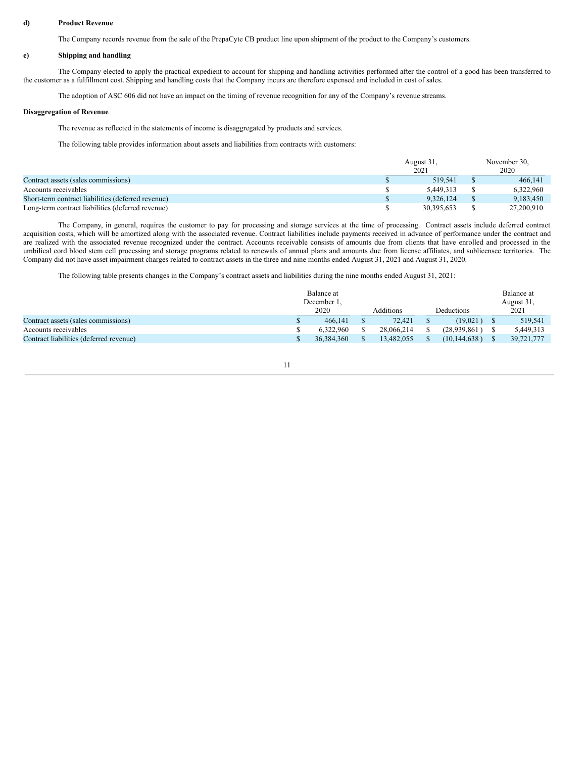#### **d) Product Revenue**

The Company records revenue from the sale of the PrepaCyte CB product line upon shipment of the product to the Company's customers.

## **e) Shipping and handling**

The Company elected to apply the practical expedient to account for shipping and handling activities performed after the control of a good has been transferred to the customer as a fulfillment cost. Shipping and handling costs that the Company incurs are therefore expensed and included in cost of sales.

The adoption of ASC 606 did not have an impact on the timing of revenue recognition for any of the Company's revenue streams.

## **Disaggregation of Revenue**

The revenue as reflected in the statements of income is disaggregated by products and services.

The following table provides information about assets and liabilities from contracts with customers:

|                                                    | August 31, | November 30. |
|----------------------------------------------------|------------|--------------|
|                                                    | 2021       | 2020         |
| Contract assets (sales commissions)                | 519.541    | 466,141      |
| Accounts receivables                               | 5.449.313  | 6,322,960    |
| Short-term contract liabilities (deferred revenue) | 9.326.124  | 9,183,450    |
| Long-term contract liabilities (deferred revenue)  | 30.395.653 | 27,200,910   |

The Company, in general, requires the customer to pay for processing and storage services at the time of processing. Contract assets include deferred contract acquisition costs, which will be amortized along with the associated revenue. Contract liabilities include payments received in advance of performance under the contract and are realized with the associated revenue recognized under the contract. Accounts receivable consists of amounts due from clients that have enrolled and processed in the umbilical cord blood stem cell processing and storage programs related to renewals of annual plans and amounts due from license affiliates, and sublicensee territories. The Company did not have asset impairment charges related to contract assets in the three and nine months ended August 31, 2021 and August 31, 2020.

The following table presents changes in the Company's contract assets and liabilities during the nine months ended August 31, 2021:

|                                         | Balance at<br>December 1 |            |  |            |  |              |  | Balance at<br>August 31, |
|-----------------------------------------|--------------------------|------------|--|------------|--|--------------|--|--------------------------|
|                                         |                          | 2020       |  | Additions  |  | Deductions   |  | 2021                     |
| Contract assets (sales commissions)     |                          | 466.141    |  | 72.421     |  | (19.021)     |  | 519,541                  |
| Accounts receivables                    |                          | 6.322.960  |  | 28,066,214 |  | (28.939.861) |  | 5.449.313                |
| Contract liabilities (deferred revenue) |                          | 36.384.360 |  | 13.482.055 |  | (10.144.638) |  | 39.721.777               |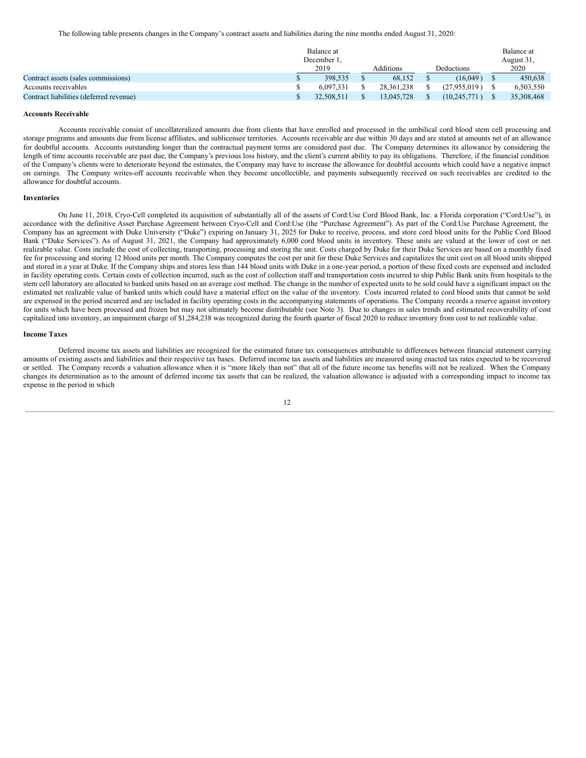The following table presents changes in the Company's contract assets and liabilities during the nine months ended August 31, 2020:

|                                         | Balance at  |            |  |            |  |              |  | Balance at |  |  |
|-----------------------------------------|-------------|------------|--|------------|--|--------------|--|------------|--|--|
|                                         | December 1, |            |  |            |  |              |  | August 31, |  |  |
|                                         |             | 2019       |  | Additions  |  | Deductions   |  | 2020       |  |  |
| Contract assets (sales commissions)     |             | 398.535    |  | 68.152     |  | (16.049)     |  | 450.638    |  |  |
| Accounts receivables                    |             | 6.097.331  |  | 28.361.238 |  | (27.955.019) |  | 6.503.550  |  |  |
| Contract liabilities (deferred revenue) |             | 32,508,511 |  | 13.045.728 |  | (10.245.771) |  | 35,308,468 |  |  |

#### **Accounts Receivable**

Accounts receivable consist of uncollateralized amounts due from clients that have enrolled and processed in the umbilical cord blood stem cell processing and storage programs and amounts due from license affiliates, and sublicensee territories. Accounts receivable are due within 30 days and are stated at amounts net of an allowance for doubtful accounts. Accounts outstanding longer than the contractual payment terms are considered past due. The Company determines its allowance by considering the length of time accounts receivable are past due, the Company's previous loss history, and the client's current ability to pay its obligations. Therefore, if the financial condition of the Company's clients were to deteriorate beyond the estimates, the Company may have to increase the allowance for doubtful accounts which could have a negative impact on earnings. The Company writes-off accounts receivable when they become uncollectible, and payments subsequently received on such receivables are credited to the allowance for doubtful accounts.

## **Inventories**

On June 11, 2018, Cryo-Cell completed its acquisition of substantially all of the assets of Cord:Use Cord Blood Bank, Inc. a Florida corporation ("Cord:Use"), in accordance with the definitive Asset Purchase Agreement between Cryo-Cell and Cord:Use (the "Purchase Agreement"). As part of the Cord:Use Purchase Agreement, the Company has an agreement with Duke University ("Duke") expiring on January 31, 2025 for Duke to receive, process, and store cord blood units for the Public Cord Blood Bank ("Duke Services"). As of August 31, 2021, the Company had approximately 6,000 cord blood units in inventory. These units are valued at the lower of cost or net realizable value. Costs include the cost of collecting, transporting, processing and storing the unit. Costs charged by Duke for their Duke Services are based on a monthly fixed fee for processing and storing 12 blood units per month. The Company computes the cost per unit for these Duke Services and capitalizes the unit cost on all blood units shipped and stored in a year at Duke. If the Company ships and stores less than 144 blood units with Duke in a one-year period, a portion of these fixed costs are expensed and included in facility operating costs. Certain costs of collection incurred, such as the cost of collection staff and transportation costs incurred to ship Public Bank units from hospitals to the stem cell laboratory are allocated to banked units based on an average cost method. The change in the number of expected units to be sold could have a significant impact on the estimated net realizable value of banked units which could have a material effect on the value of the inventory. Costs incurred related to cord blood units that cannot be sold are expensed in the period incurred and are included in facility operating costs in the accompanying statements of operations. The Company records a reserve against inventory for units which have been processed and frozen but may not ultimately become distributable (see Note 3). Due to changes in sales trends and estimated recoverability of cost capitalized into inventory, an impairment charge of \$1,284,238 was recognized during the fourth quarter of fiscal 2020 to reduce inventory from cost to net realizable value.

#### **Income Taxes**

Deferred income tax assets and liabilities are recognized for the estimated future tax consequences attributable to differences between financial statement carrying amounts of existing assets and liabilities and their respective tax bases. Deferred income tax assets and liabilities are measured using enacted tax rates expected to be recovered or settled. The Company records a valuation allowance when it is "more likely than not" that all of the future income tax benefits will not be realized. When the Company changes its determination as to the amount of deferred income tax assets that can be realized, the valuation allowance is adjusted with a corresponding impact to income tax expense in the period in which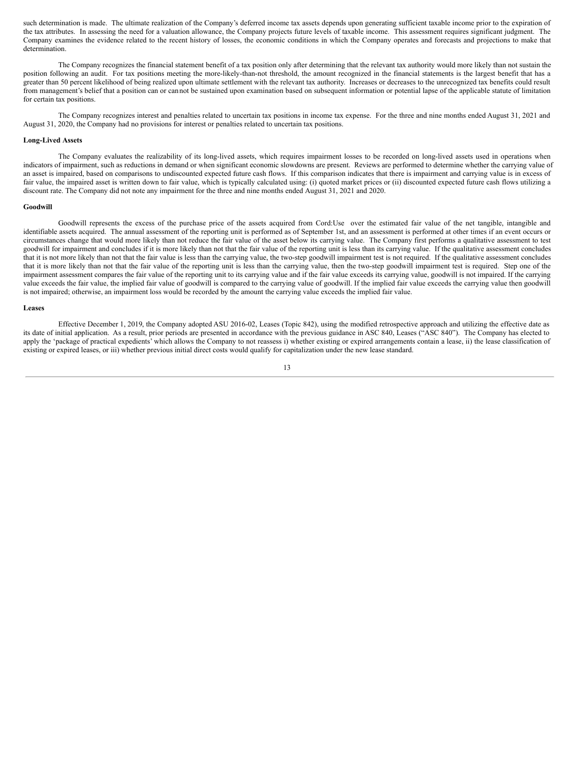such determination is made. The ultimate realization of the Company's deferred income tax assets depends upon generating sufficient taxable income prior to the expiration of the tax attributes. In assessing the need for a valuation allowance, the Company projects future levels of taxable income. This assessment requires significant judgment. The Company examines the evidence related to the recent history of losses, the economic conditions in which the Company operates and forecasts and projections to make that determination.

The Company recognizes the financial statement benefit of a tax position only after determining that the relevant tax authority would more likely than not sustain the position following an audit. For tax positions meeting the more-likely-than-not threshold, the amount recognized in the financial statements is the largest benefit that has a greater than 50 percent likelihood of being realized upon ultimate settlement with the relevant tax authority. Increases or decreases to the unrecognized tax benefits could result from management's belief that a position can or cannot be sustained upon examination based on subsequent information or potential lapse of the applicable statute of limitation for certain tax positions.

The Company recognizes interest and penalties related to uncertain tax positions in income tax expense. For the three and nine months ended August 31, 2021 and August 31, 2020, the Company had no provisions for interest or penalties related to uncertain tax positions.

### **Long-Lived Assets**

The Company evaluates the realizability of its long-lived assets, which requires impairment losses to be recorded on long-lived assets used in operations when indicators of impairment, such as reductions in demand or when significant economic slowdowns are present. Reviews are performed to determine whether the carrying value of an asset is impaired, based on comparisons to undiscounted expected future cash flows. If this comparison indicates that there is impairment and carrying value is in excess of fair value, the impaired asset is written down to fair value, which is typically calculated using: (i) quoted market prices or (ii) discounted expected future cash flows utilizing a discount rate. The Company did not note any impairment for the three and nine months ended August 31, 2021 and 2020.

## **Goodwill**

Goodwill represents the excess of the purchase price of the assets acquired from Cord:Use over the estimated fair value of the net tangible, intangible and identifiable assets acquired. The annual assessment of the reporting unit is performed as of September 1st, and an assessment is performed at other times if an event occurs or circumstances change that would more likely than not reduce the fair value of the asset below its carrying value. The Company first performs a qualitative assessment to test goodwill for impairment and concludes if it is more likely than not that the fair value of the reporting unit is less than its carrying value. If the qualitative assessment concludes that it is not more likely than not that the fair value is less than the carrying value, the two-step goodwill impairment test is not required. If the qualitative assessment concludes that it is more likely than not that the fair value of the reporting unit is less than the carrying value, then the two-step goodwill impairment test is required. Step one of the impairment assessment compares the fair value of the reporting unit to its carrying value and if the fair value exceeds its carrying value, goodwill is not impaired. If the carrying value exceeds the fair value, the implied fair value of goodwill is compared to the carrying value of goodwill. If the implied fair value exceeds the carrying value then goodwill is not impaired; otherwise, an impairment loss would be recorded by the amount the carrying value exceeds the implied fair value.

#### **Leases**

Effective December 1, 2019, the Company adopted ASU 2016-02, Leases (Topic 842), using the modified retrospective approach and utilizing the effective date as its date of initial application. As a result, prior periods are presented in accordance with the previous guidance in ASC 840, Leases ("ASC 840"). The Company has elected to apply the 'package of practical expedients' which allows the Company to not reassess i) whether existing or expired arrangements contain a lease, ii) the lease classification of existing or expired leases, or iii) whether previous initial direct costs would qualify for capitalization under the new lease standard.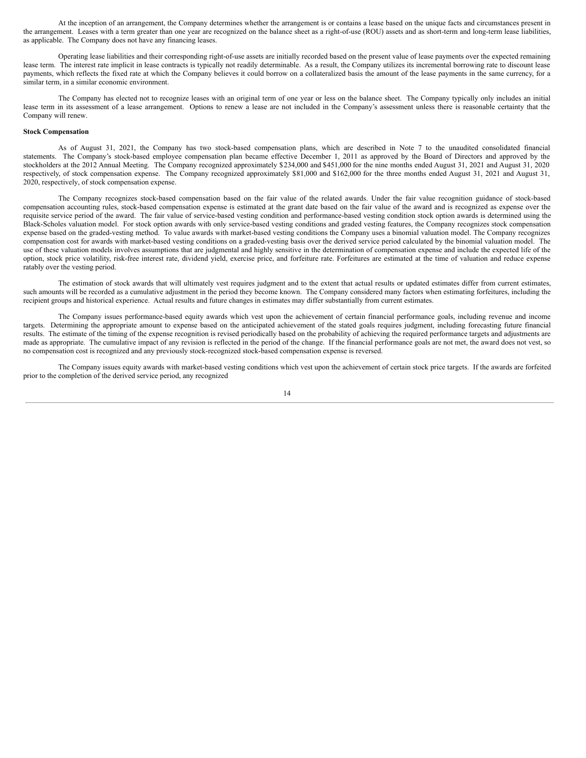At the inception of an arrangement, the Company determines whether the arrangement is or contains a lease based on the unique facts and circumstances present in the arrangement. Leases with a term greater than one year are recognized on the balance sheet as a right-of-use (ROU) assets and as short-term and long-term lease liabilities, as applicable. The Company does not have any financing leases.

Operating lease liabilities and their corresponding right-of-use assets are initially recorded based on the present value of lease payments over the expected remaining lease term. The interest rate implicit in lease contracts is typically not readily determinable. As a result, the Company utilizes its incremental borrowing rate to discount lease payments, which reflects the fixed rate at which the Company believes it could borrow on a collateralized basis the amount of the lease payments in the same currency, for a similar term, in a similar economic environment.

The Company has elected not to recognize leases with an original term of one year or less on the balance sheet. The Company typically only includes an initial lease term in its assessment of a lease arrangement. Options to renew a lease are not included in the Company's assessment unless there is reasonable certainty that the Company will renew.

### **Stock Compensation**

As of August 31, 2021, the Company has two stock-based compensation plans, which are described in Note 7 to the unaudited consolidated financial statements. The Company's stock-based employee compensation plan became effective December 1, 2011 as approved by the Board of Directors and approved by the stockholders at the 2012 Annual Meeting. The Company recognized approximately \$234,000 and \$451,000 for the nine months ended August 31, 2021 and August 31, 2020 respectively, of stock compensation expense. The Company recognized approximately \$81,000 and \$162,000 for the three months ended August 31, 2021 and August 31, 2020, respectively, of stock compensation expense.

The Company recognizes stock-based compensation based on the fair value of the related awards. Under the fair value recognition guidance of stock-based compensation accounting rules, stock-based compensation expense is estimated at the grant date based on the fair value of the award and is recognized as expense over the requisite service period of the award. The fair value of service-based vesting condition and performance-based vesting condition stock option awards is determined using the Black-Scholes valuation model. For stock option awards with only service-based vesting conditions and graded vesting features, the Company recognizes stock compensation expense based on the graded-vesting method. To value awards with market-based vesting conditions the Company uses a binomial valuation model. The Company recognizes compensation cost for awards with market-based vesting conditions on a graded-vesting basis over the derived service period calculated by the binomial valuation model. The use of these valuation models involves assumptions that are judgmental and highly sensitive in the determination of compensation expense and include the expected life of the option, stock price volatility, risk-free interest rate, dividend yield, exercise price, and forfeiture rate. Forfeitures are estimated at the time of valuation and reduce expense ratably over the vesting period.

The estimation of stock awards that will ultimately vest requires judgment and to the extent that actual results or updated estimates differ from current estimates, such amounts will be recorded as a cumulative adjustment in the period they become known. The Company considered many factors when estimating forfeitures, including the recipient groups and historical experience. Actual results and future changes in estimates may differ substantially from current estimates.

The Company issues performance-based equity awards which vest upon the achievement of certain financial performance goals, including revenue and income targets. Determining the appropriate amount to expense based on the anticipated achievement of the stated goals requires judgment, including forecasting future financial results. The estimate of the timing of the expense recognition is revised periodically based on the probability of achieving the required performance targets and adjustments are made as appropriate. The cumulative impact of any revision is reflected in the period of the change. If the financial performance goals are not met, the award does not vest, so no compensation cost is recognized and any previously stock-recognized stock-based compensation expense is reversed.

The Company issues equity awards with market-based vesting conditions which vest upon the achievement of certain stock price targets. If the awards are forfeited prior to the completion of the derived service period, any recognized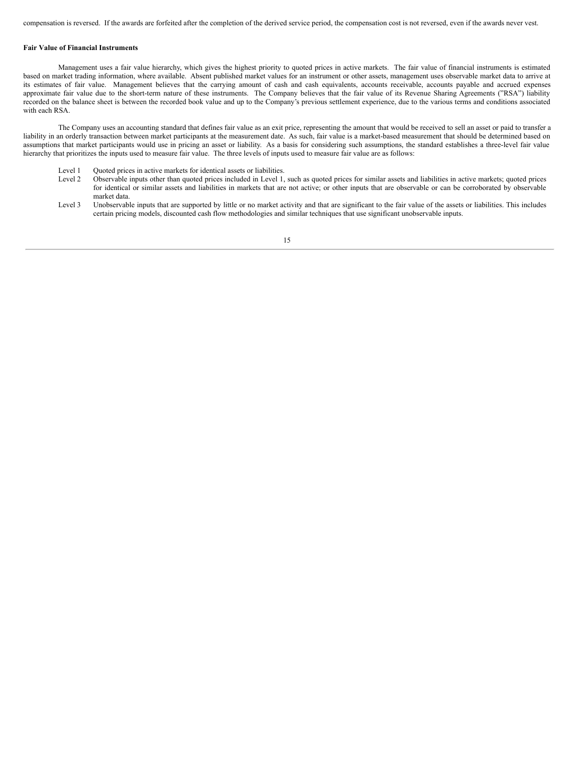compensation is reversed. If the awards are forfeited after the completion of the derived service period, the compensation cost is not reversed, even if the awards never vest.

#### **Fair Value of Financial Instruments**

Management uses a fair value hierarchy, which gives the highest priority to quoted prices in active markets. The fair value of financial instruments is estimated based on market trading information, where available. Absent published market values for an instrument or other assets, management uses observable market data to arrive at its estimates of fair value. Management believes that the carrying amount of cash and cash equivalents, accounts receivable, accounts payable and accrued expenses approximate fair value due to the short-term nature of these instruments. The Company believes that the fair value of its Revenue Sharing Agreements ("RSA") liability recorded on the balance sheet is between the recorded book value and up to the Company's previous settlement experience, due to the various terms and conditions associated with each RSA.

The Company uses an accounting standard that defines fair value as an exit price, representing the amount that would be received to sell an asset or paid to transfer a liability in an orderly transaction between market participants at the measurement date. As such, fair value is a market-based measurement that should be determined based on assumptions that market participants would use in pricing an asset or liability. As a basis for considering such assumptions, the standard establishes a three-level fair value hierarchy that prioritizes the inputs used to measure fair value. The three levels of inputs used to measure fair value are as follows:

- Level 1 Quoted prices in active markets for identical assets or liabilities.<br>Level 2 Observable inputs other than quoted prices included in Level 1,
- Observable inputs other than quoted prices included in Level 1, such as quoted prices for similar assets and liabilities in active markets; quoted prices for identical or similar assets and liabilities in markets that are not active; or other inputs that are observable or can be corroborated by observable market data.
- Level 3 Unobservable inputs that are supported by little or no market activity and that are significant to the fair value of the assets or liabilities. This includes certain pricing models, discounted cash flow methodologies and similar techniques that use significant unobservable inputs.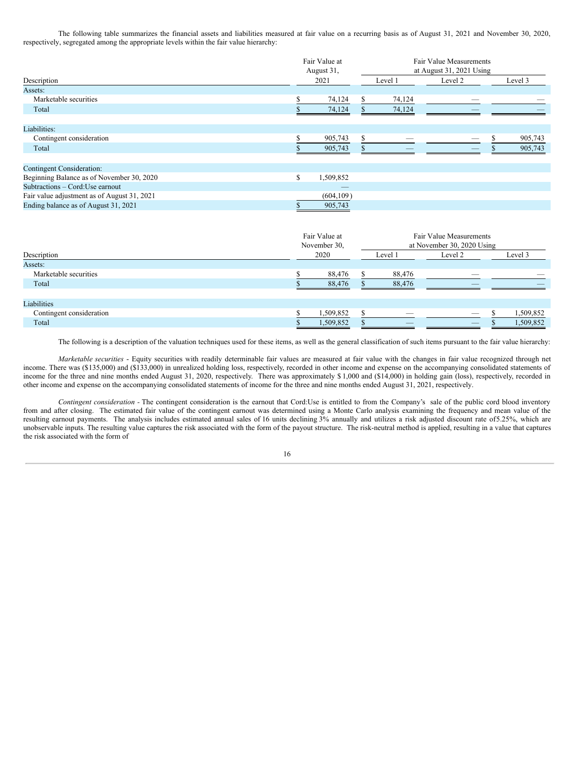The following table summarizes the financial assets and liabilities measured at fair value on a recurring basis as of August 31, 2021 and November 30, 2020, respectively, segregated among the appropriate levels within the fair value hierarchy:

|                                             |    | Fair Value at<br>August 31, | Fair Value Measurements<br>at August 31, 2021 Using |         |         |  |         |  |  |
|---------------------------------------------|----|-----------------------------|-----------------------------------------------------|---------|---------|--|---------|--|--|
| Description                                 |    | 2021                        |                                                     | Level 1 | Level 2 |  | Level 3 |  |  |
| Assets:                                     |    |                             |                                                     |         |         |  |         |  |  |
| Marketable securities                       |    | 74,124                      | S                                                   | 74,124  |         |  |         |  |  |
| Total                                       |    | 74,124                      |                                                     | 74,124  |         |  |         |  |  |
| Liabilities:                                |    |                             |                                                     |         |         |  |         |  |  |
| Contingent consideration                    |    | 905,743                     |                                                     |         |         |  | 905,743 |  |  |
| Total                                       |    | 905,743                     |                                                     |         | _       |  | 905,743 |  |  |
| <b>Contingent Consideration:</b>            |    |                             |                                                     |         |         |  |         |  |  |
| Beginning Balance as of November 30, 2020   | \$ | 1,509,852                   |                                                     |         |         |  |         |  |  |
| Subtractions – Cord: Use earnout            |    | __                          |                                                     |         |         |  |         |  |  |
| Fair value adjustment as of August 31, 2021 |    | (604, 109)                  |                                                     |         |         |  |         |  |  |
| Ending balance as of August 31, 2021        |    | 905,743                     |                                                     |         |         |  |         |  |  |

|                          | Fair Value at<br>November 30, |           |  | Fair Value Measurements<br>at November 30, 2020 Using |         |  |           |  |  |  |
|--------------------------|-------------------------------|-----------|--|-------------------------------------------------------|---------|--|-----------|--|--|--|
| Description              | 2020                          |           |  | Level 1                                               | Level 2 |  | Level 3   |  |  |  |
| Assets:                  |                               |           |  |                                                       |         |  |           |  |  |  |
| Marketable securities    |                               | 88,476    |  | 88,476                                                | _       |  |           |  |  |  |
| Total                    |                               | 88,476    |  | 88,476                                                | _       |  |           |  |  |  |
| Liabilities              |                               |           |  |                                                       |         |  |           |  |  |  |
| Contingent consideration |                               | 1,509,852 |  |                                                       | _       |  | 1,509,852 |  |  |  |
| Total                    |                               | 1,509,852 |  |                                                       | _       |  | 1,509,852 |  |  |  |

The following is a description of the valuation techniques used for these items, as well as the general classification of such items pursuant to the fair value hierarchy:

*Marketable securities* - Equity securities with readily determinable fair values are measured at fair value with the changes in fair value recognized through net income. There was (\$135,000) and (\$133,000) in unrealized holding loss, respectively, recorded in other income and expense on the accompanying consolidated statements of income for the three and nine months ended August 31, 2020, respectively. There was approximately \$ 1,000 and (\$14,000) in holding gain (loss), respectively, recorded in other income and expense on the accompanying consolidated statements of income for the three and nine months ended August 31, 2021, respectively.

*Contingent consideration -* The contingent consideration is the earnout that Cord:Use is entitled to from the Company's sale of the public cord blood inventory from and after closing. The estimated fair value of the contingent earnout was determined using a Monte Carlo analysis examining the frequency and mean value of the resulting earnout payments. The analysis includes estimated annual sales of 16 units declining 3% annually and utilizes a risk adjusted discount rate of5.25%, which are unobservable inputs. The resulting value captures the risk associated with the form of the payout structure. The risk-neutral method is applied, resulting in a value that captures the risk associated with the form of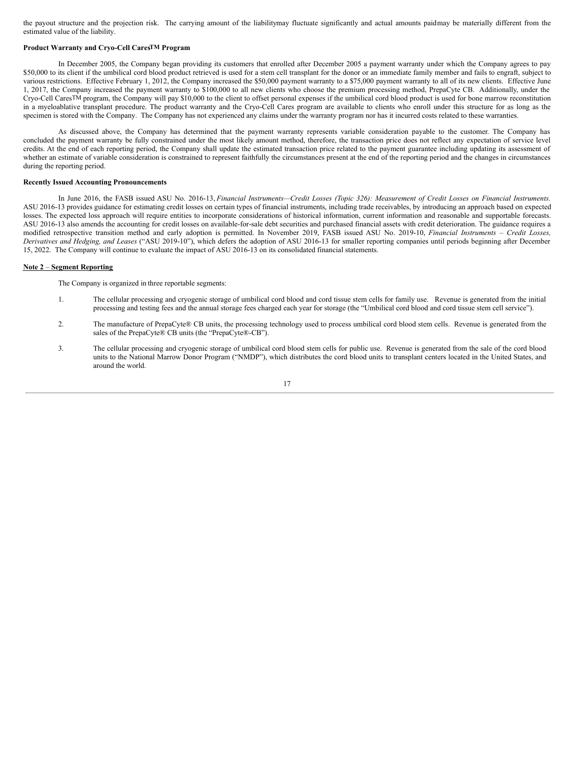the payout structure and the projection risk. The carrying amount of the liabilitymay fluctuate significantly and actual amounts paidmay be materially different from the estimated value of the liability.

## **Product Warranty and Cryo-Cell CaresTM Program**

In December 2005, the Company began providing its customers that enrolled after December 2005 a payment warranty under which the Company agrees to pay \$50,000 to its client if the umbilical cord blood product retrieved is used for a stem cell transplant for the donor or an immediate family member and fails to engraft, subject to various restrictions. Effective February 1, 2012, the Company increased the \$50,000 payment warranty to a \$75,000 payment warranty to all of its new clients. Effective June 1, 2017, the Company increased the payment warranty to \$100,000 to all new clients who choose the premium processing method, PrepaCyte CB. Additionally, under the Cryo-Cell CaresTM program, the Company will pay \$10,000 to the client to offset personal expenses if the umbilical cord blood product is used for bone marrow reconstitution in a myeloablative transplant procedure. The product warranty and the Cryo-Cell Cares program are available to clients who enroll under this structure for as long as the specimen is stored with the Company. The Company has not experienced any claims under the warranty program nor has it incurred costs related to these warranties.

As discussed above, the Company has determined that the payment warranty represents variable consideration payable to the customer. The Company has concluded the payment warranty be fully constrained under the most likely amount method, therefore, the transaction price does not reflect any expectation of service level credits. At the end of each reporting period, the Company shall update the estimated transaction price related to the payment guarantee including updating its assessment of whether an estimate of variable consideration is constrained to represent faithfully the circumstances present at the end of the reporting period and the changes in circumstances during the reporting period.

#### **Recently Issued Accounting Pronouncements**

In June 2016, the FASB issued ASU No. 2016-13, Financial Instruments-Credit Losses (Topic 326): Measurement of Credit Losses on Financial Instruments. ASU 2016-13 provides guidance for estimating credit losses on certain types of financial instruments, including trade receivables, by introducing an approach based on expected losses. The expected loss approach will require entities to incorporate considerations of historical information, current information and reasonable and supportable forecasts. ASU 2016-13 also amends the accounting for credit losses on available-for-sale debt securities and purchased financial assets with credit deterioration. The guidance requires a modified retrospective transition method and early adoption is permitted. In November 2019, FASB issued ASU No. 2019-10, *Financial Instruments – Credit Losses, Derivatives and Hedging, and Leases* ("ASU 2019-10"), which defers the adoption of ASU 2016-13 for smaller reporting companies until periods beginning after December 15, 2022. The Company will continue to evaluate the impact of ASU 2016-13 on its consolidated financial statements.

## **Note 2** – **Segment Reporting**

The Company is organized in three reportable segments:

- 1. The cellular processing and cryogenic storage of umbilical cord blood and cord tissue stem cells for family use. Revenue is generated from the initial processing and testing fees and the annual storage fees charged each year for storage (the "Umbilical cord blood and cord tissue stem cell service").
- 2. The manufacture of PrepaCyte® CB units, the processing technology used to process umbilical cord blood stem cells. Revenue is generated from the sales of the PrepaCyte® CB units (the "PrepaCyte®-CB").
- 3. The cellular processing and cryogenic storage of umbilical cord blood stem cells for public use. Revenue is generated from the sale of the cord blood units to the National Marrow Donor Program ("NMDP"), which distributes the cord blood units to transplant centers located in the United States, and around the world.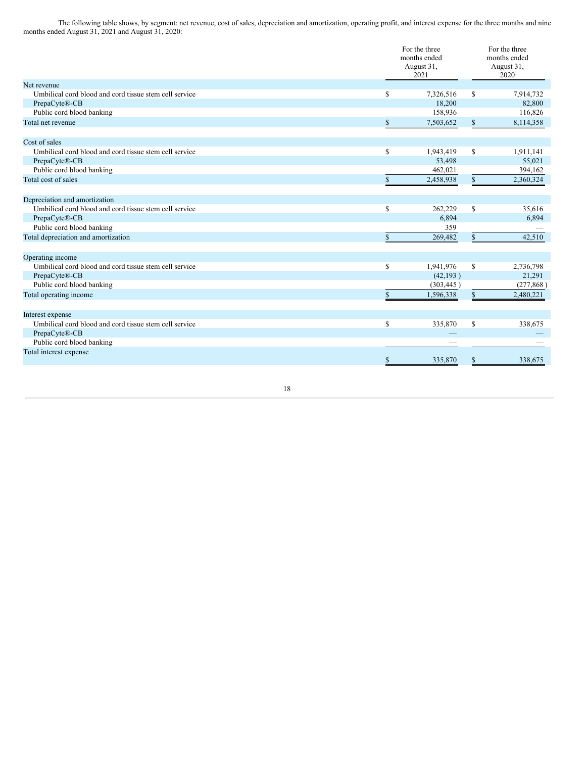The following table shows, by segment: net revenue, cost of sales, depreciation and amortization, operating profit, and interest expense for the three months and nine months ended August 31, 2021 and August 31, 2020:

|                                                        |               | For the three<br>months ended<br>August 31,<br>2021 |               | For the three<br>months ended<br>August 31,<br>2020 |
|--------------------------------------------------------|---------------|-----------------------------------------------------|---------------|-----------------------------------------------------|
| Net revenue                                            |               |                                                     |               |                                                     |
| Umbilical cord blood and cord tissue stem cell service | $\mathbb{S}$  | 7,326,516                                           | \$            | 7,914,732                                           |
| PrepaCyte®-CB                                          |               | 18,200                                              |               | 82,800                                              |
| Public cord blood banking                              |               | 158,936                                             |               | 116,826                                             |
| Total net revenue                                      | $\mathsf{\$}$ | 7,503,652                                           | $\mathsf{\$}$ | 8,114,358                                           |
| Cost of sales                                          |               |                                                     |               |                                                     |
| Umbilical cord blood and cord tissue stem cell service | \$            | 1,943,419                                           | \$            | 1,911,141                                           |
| PrepaCyte®-CB                                          |               | 53,498                                              |               | 55,021                                              |
| Public cord blood banking                              |               | 462,021                                             |               | 394,162                                             |
| Total cost of sales                                    | $\mathsf{\$}$ | 2,458,938                                           | $\mathbb{S}$  | 2,360,324                                           |
| Depreciation and amortization                          |               |                                                     |               |                                                     |
| Umbilical cord blood and cord tissue stem cell service | \$            | 262,229                                             | \$            | 35,616                                              |
| PrepaCyte®-CB                                          |               | 6.894                                               |               | 6,894                                               |
| Public cord blood banking                              |               | 359                                                 |               |                                                     |
| Total depreciation and amortization                    | $\mathcal{S}$ | 269,482                                             | \$            | 42,510                                              |
| Operating income                                       |               |                                                     |               |                                                     |
| Umbilical cord blood and cord tissue stem cell service | \$            | 1,941,976                                           | $\mathbb{S}$  | 2,736,798                                           |
| PrepaCyte®-CB                                          |               | (42, 193)                                           |               | 21,291                                              |
| Public cord blood banking                              |               | (303, 445)                                          |               | (277, 868)                                          |
| Total operating income                                 | \$            | 1,596,338                                           | \$            | 2,480,221                                           |
| Interest expense                                       |               |                                                     |               |                                                     |
| Umbilical cord blood and cord tissue stem cell service | \$            | 335,870                                             | \$            | 338,675                                             |
| PrepaCyte®-CB                                          |               |                                                     |               |                                                     |
| Public cord blood banking                              |               |                                                     |               |                                                     |
| Total interest expense                                 | \$            | 335,870                                             | \$            | 338,675                                             |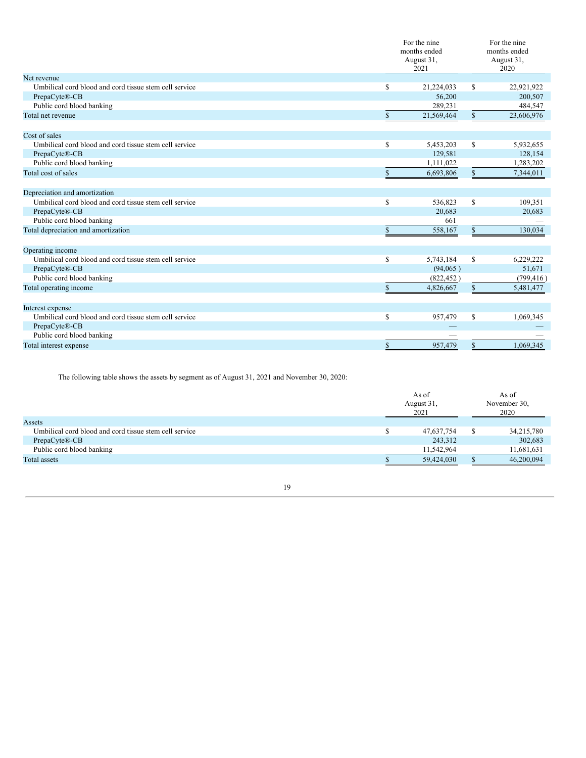|                                                        |              | For the nine<br>months ended<br>August 31,<br>2021 |              | For the nine<br>months ended<br>August 31,<br>2020 |
|--------------------------------------------------------|--------------|----------------------------------------------------|--------------|----------------------------------------------------|
| Net revenue                                            |              |                                                    |              |                                                    |
| Umbilical cord blood and cord tissue stem cell service | $\mathbf S$  | 21,224,033                                         | \$           | 22,921,922                                         |
| PrepaCyte®-CB                                          |              | 56,200                                             |              | 200,507                                            |
| Public cord blood banking                              |              | 289,231                                            |              | 484,547                                            |
| Total net revenue                                      | \$           | 21,569,464                                         | \$           | 23,606,976                                         |
| Cost of sales                                          |              |                                                    |              |                                                    |
| Umbilical cord blood and cord tissue stem cell service | \$           | 5,453,203                                          | $\mathbb{S}$ | 5,932,655                                          |
| PrepaCyte®-CB                                          |              | 129,581                                            |              | 128,154                                            |
| Public cord blood banking                              |              | 1,111,022                                          |              | 1,283,202                                          |
| Total cost of sales                                    | \$           | 6,693,806                                          | \$           | 7,344,011                                          |
| Depreciation and amortization                          |              |                                                    |              |                                                    |
| Umbilical cord blood and cord tissue stem cell service | \$           | 536,823                                            | \$           | 109,351                                            |
| PrepaCyte®-CB                                          |              | 20,683                                             |              | 20,683                                             |
| Public cord blood banking                              |              | 661                                                |              |                                                    |
| Total depreciation and amortization                    | \$.          | 558,167                                            | $\mathbf{s}$ | 130,034                                            |
| Operating income                                       |              |                                                    |              |                                                    |
| Umbilical cord blood and cord tissue stem cell service | \$           | 5,743,184                                          | $\mathbb{S}$ | 6,229,222                                          |
| PrepaCyte®-CB                                          |              | (94,065)                                           |              | 51,671                                             |
| Public cord blood banking                              |              | (822, 452)                                         |              | (799, 416)                                         |
| Total operating income                                 | $\mathbb{S}$ | 4,826,667                                          | $\mathbb{S}$ | 5,481,477                                          |
| Interest expense                                       |              |                                                    |              |                                                    |
| Umbilical cord blood and cord tissue stem cell service | $\mathbf S$  | 957,479                                            | \$           | 1,069,345                                          |
| PrepaCyte®-CB                                          |              |                                                    |              |                                                    |
| Public cord blood banking                              |              |                                                    |              |                                                    |
| Total interest expense                                 | \$           | 957,479                                            | \$           | 1,069,345                                          |

The following table shows the assets by segment as of August 31, 2021 and November 30, 2020:

|                                                        | As of<br>August 31,<br>2021 | As of<br>November 30,<br>2020 |
|--------------------------------------------------------|-----------------------------|-------------------------------|
| Assets                                                 |                             |                               |
| Umbilical cord blood and cord tissue stem cell service | 47,637,754                  | 34,215,780                    |
| PrepaCyte®-CB                                          | 243,312                     | 302,683                       |
| Public cord blood banking                              | 11,542,964                  | 11,681,631                    |
| Total assets                                           | 59.424,030                  | 46,200,094                    |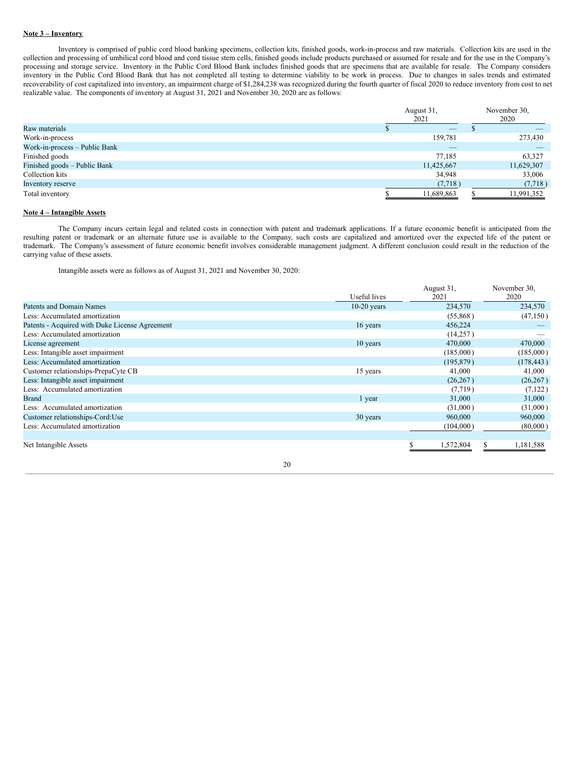# **Note 3 – Inventory**

Inventory is comprised of public cord blood banking specimens, collection kits, finished goods, work-in-process and raw materials. Collection kits are used in the collection and processing of umbilical cord blood and cord tissue stem cells, finished goods include products purchased or assumed for resale and for the use in the Company's processing and storage service. Inventory in the Public Cord Blood Bank includes finished goods that are specimens that are available for resale. The Company considers inventory in the Public Cord Blood Bank that has not completed all testing to determine viability to be work in process. Due to changes in sales trends and estimated recoverability of cost capitalized into inventory, an impairment charge of \$1,284,238 was recognized during the fourth quarter of fiscal 2020 to reduce inventory from cost to net realizable value. The components of inventory at August 31, 2021 and November 30, 2020 are as follows:

|                               | August 31,<br>2021       | November 30,<br>2020 |  |
|-------------------------------|--------------------------|----------------------|--|
| Raw materials                 | $\overline{\phantom{a}}$ |                      |  |
| Work-in-process               | 159,781                  | 273,430              |  |
| Work-in-process - Public Bank |                          |                      |  |
| Finished goods                | 77.185                   | 63.327               |  |
| Finished goods - Public Bank  | 11,425,667               | 11,629,307           |  |
| Collection kits               | 34,948                   | 33,006               |  |
| Inventory reserve             | (7,718)                  | (7,718)              |  |
| Total inventory               | 11,689,863               | 11,991,352           |  |

#### **Note 4 – Intangible Assets**

The Company incurs certain legal and related costs in connection with patent and trademark applications. If a future economic benefit is anticipated from the resulting patent or trademark or an alternate future use is available to the Company, such costs are capitalized and amortized over the expected life of the patent or trademark. The Company's assessment of future economic benefit involves considerable management judgment. A different conclusion could result in the reduction of the carrying value of these assets.

Intangible assets were as follows as of August 31, 2021 and November 30, 2020:

|                                                |    |               | August 31, | November 30, |
|------------------------------------------------|----|---------------|------------|--------------|
|                                                |    | Useful lives  | 2021       | 2020         |
| Patents and Domain Names                       |    | $10-20$ years | 234,570    | 234,570      |
| Less: Accumulated amortization                 |    |               | (55,868)   | (47, 150)    |
| Patents - Acquired with Duke License Agreement |    | 16 years      | 456,224    |              |
| Less: Accumulated amortization                 |    |               | (14,257)   |              |
| License agreement                              |    | 10 years      | 470,000    | 470,000      |
| Less: Intangible asset impairment              |    |               | (185,000)  | (185,000)    |
| Less: Accumulated amortization                 |    |               | (195, 879) | (178, 443)   |
| Customer relationships-PrepaCyte CB            |    | 15 years      | 41,000     | 41,000       |
| Less: Intangible asset impairment              |    |               | (26, 267)  | (26, 267)    |
| Less: Accumulated amortization                 |    |               | (7, 719)   | (7,122)      |
| <b>Brand</b>                                   |    | 1 year        | 31,000     | 31,000       |
| Less: Accumulated amortization                 |    |               | (31,000)   | (31,000)     |
| Customer relationships-Cord:Use                |    | 30 years      | 960,000    | 960,000      |
| Less: Accumulated amortization                 |    |               | (104,000)  | (80,000)     |
|                                                |    |               |            |              |
| Net Intangible Assets                          |    |               | 1,572,804  | 1,181,588    |
|                                                |    |               |            |              |
|                                                | 20 |               |            |              |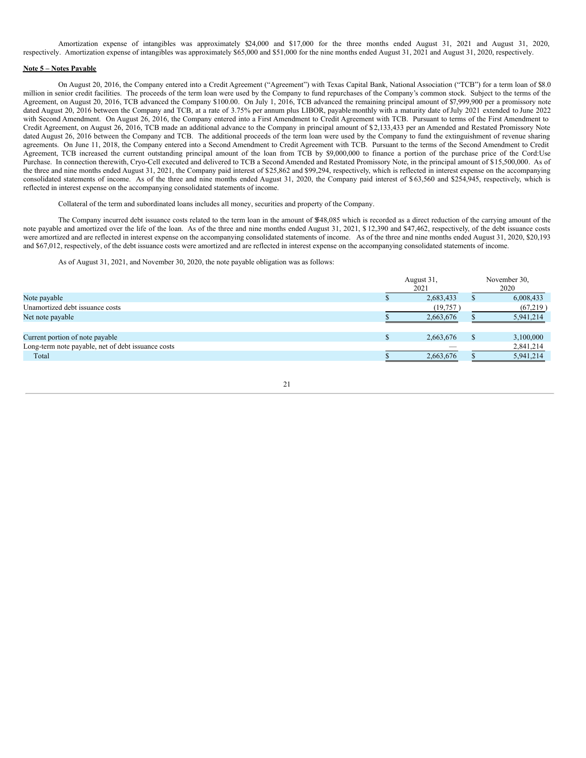Amortization expense of intangibles was approximately \$24,000 and \$17,000 for the three months ended August 31, 2021 and August 31, 2020, respectively. Amortization expense of intangibles was approximately \$65,000 and \$51,000 for the nine months ended August 31, 2021 and August 31, 2020, respectively.

## **Note 5 – Notes Payable**

On August 20, 2016, the Company entered into a Credit Agreement ("Agreement") with Texas Capital Bank, National Association ("TCB") for a term loan of \$8.0 million in senior credit facilities. The proceeds of the term loan were used by the Company to fund repurchases of the Company's common stock. Subject to the terms of the Agreement, on August 20, 2016, TCB advanced the Company \$100.00. On July 1, 2016, TCB advanced the remaining principal amount of \$7,999,900 per a promissory note dated August 20, 2016 between the Company and TCB, at a rate of 3.75% per annum plus LIBOR, payable monthly with a maturity date of July 2021 extended to June 2022 with Second Amendment. On August 26, 2016, the Company entered into a First Amendment to Credit Agreement with TCB. Pursuant to terms of the First Amendment to Credit Agreement, on August 26, 2016, TCB made an additional advance to the Company in principal amount of \$ 2,133,433 per an Amended and Restated Promissory Note dated August 26, 2016 between the Company and TCB. The additional proceeds of the term loan were used by the Company to fund the extinguishment of revenue sharing agreements. On June 11, 2018, the Company entered into a Second Amendment to Credit Agreement with TCB. Pursuant to the terms of the Second Amendment to Credit Agreement, TCB increased the current outstanding principal amount of the loan from TCB by \$9,000,000 to finance a portion of the purchase price of the Cord:Use Purchase. In connection therewith, Cryo-Cell executed and delivered to TCB a Second Amended and Restated Promissory Note, in the principal amount of \$15,500,000. As of the three and nine months ended August 31, 2021, the Company paid interest of \$25,862 and \$99,294, respectively, which is reflected in interest expense on the accompanying consolidated statements of income. As of the three and nine months ended August 31, 2020, the Company paid interest of \$ 63,560 and \$254,945, respectively, which is reflected in interest expense on the accompanying consolidated statements of income.

Collateral of the term and subordinated loans includes all money, securities and property of the Company.

The Company incurred debt issuance costs related to the term loan in the amount of \$548,085 which is recorded as a direct reduction of the carrying amount of the note payable and amortized over the life of the loan. As of the three and nine months ended August 31, 2021, \$ 12,390 and \$47,462, respectively, of the debt issuance costs were amortized and are reflected in interest expense on the accompanying consolidated statements of income. As of the three and nine months ended August 31, 2020, \$20,193 and \$67,012, respectively, of the debt issuance costs were amortized and are reflected in interest expense on the accompanying consolidated statements of income.

As of August 31, 2021, and November 30, 2020, the note payable obligation was as follows:

|                                                    | August 31,<br>2021 | November 30,<br>2020 |
|----------------------------------------------------|--------------------|----------------------|
| Note payable                                       | 2,683,433          | 6,008,433            |
| Unamortized debt issuance costs                    | (19,757)           | (67,219)             |
| Net note payable                                   | 2.663.676          | 5,941,214            |
|                                                    |                    |                      |
| Current portion of note payable                    | 2,663,676          | 3,100,000            |
| Long-term note payable, net of debt issuance costs |                    | 2,841,214            |
| Total                                              | 2,663,676          | 5,941,214            |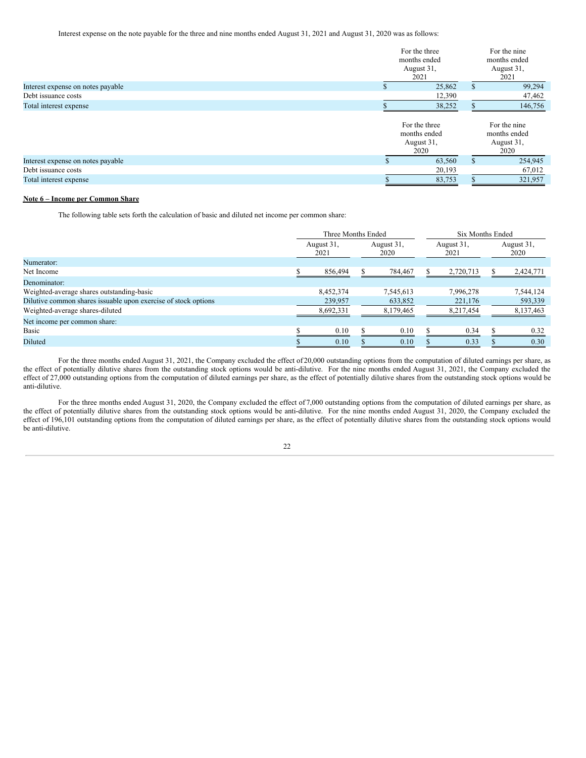Interest expense on the note payable for the three and nine months ended August 31, 2021 and August 31, 2020 was as follows:

|                                   | For the three<br>months ended<br>August 31,<br>2021 |    | For the nine<br>months ended<br>August 31,<br>2021 |
|-----------------------------------|-----------------------------------------------------|----|----------------------------------------------------|
| Interest expense on notes payable | 25,862                                              | \$ | 99,294                                             |
| Debt issuance costs               | 12,390                                              |    | 47,462                                             |
| Total interest expense            | 38,252                                              |    | 146,756                                            |
|                                   | For the three<br>months ended<br>August 31,<br>2020 |    | For the nine<br>months ended<br>August 31,<br>2020 |
| Interest expense on notes payable | 63,560                                              | \$ | 254,945                                            |
| Debt issuance costs               | 20,193                                              |    | 67,012                                             |
| Total interest expense            | 83,753                                              |    | 321,957                                            |

## **Note 6 – Income per Common Share**

The following table sets forth the calculation of basic and diluted net income per common share:

|                                                                | Three Months Ended |           |  |           | Six Months Ended |           |  |           |  |  |  |  |  |  |  |  |  |  |                    |  |  |  |  |  |  |  |  |  |                    |  |  |                    |
|----------------------------------------------------------------|--------------------|-----------|--|-----------|------------------|-----------|--|-----------|--|--|--|--|--|--|--|--|--|--|--------------------|--|--|--|--|--|--|--|--|--|--------------------|--|--|--------------------|
|                                                                | August 31,<br>2021 |           |  |           |                  |           |  |           |  |  |  |  |  |  |  |  |  |  | August 31,<br>2020 |  |  |  |  |  |  |  |  |  | August 31,<br>2021 |  |  | August 31,<br>2020 |
| Numerator:                                                     |                    |           |  |           |                  |           |  |           |  |  |  |  |  |  |  |  |  |  |                    |  |  |  |  |  |  |  |  |  |                    |  |  |                    |
| Net Income                                                     |                    | 856,494   |  | 784,467   |                  | 2,720,713 |  | 2,424,771 |  |  |  |  |  |  |  |  |  |  |                    |  |  |  |  |  |  |  |  |  |                    |  |  |                    |
| Denominator:                                                   |                    |           |  |           |                  |           |  |           |  |  |  |  |  |  |  |  |  |  |                    |  |  |  |  |  |  |  |  |  |                    |  |  |                    |
| Weighted-average shares outstanding-basic                      |                    | 8,452,374 |  | 7,545,613 |                  | 7,996,278 |  | 7,544,124 |  |  |  |  |  |  |  |  |  |  |                    |  |  |  |  |  |  |  |  |  |                    |  |  |                    |
| Dilutive common shares issuable upon exercise of stock options |                    | 239,957   |  | 633,852   |                  | 221,176   |  | 593,339   |  |  |  |  |  |  |  |  |  |  |                    |  |  |  |  |  |  |  |  |  |                    |  |  |                    |
| Weighted-average shares-diluted                                |                    | 8,692,331 |  | 8,179,465 |                  | 8,217,454 |  | 8,137,463 |  |  |  |  |  |  |  |  |  |  |                    |  |  |  |  |  |  |  |  |  |                    |  |  |                    |
| Net income per common share:                                   |                    |           |  |           |                  |           |  |           |  |  |  |  |  |  |  |  |  |  |                    |  |  |  |  |  |  |  |  |  |                    |  |  |                    |
| Basic                                                          |                    | 0.10      |  | 0.10      |                  | 0.34      |  | 0.32      |  |  |  |  |  |  |  |  |  |  |                    |  |  |  |  |  |  |  |  |  |                    |  |  |                    |
| Diluted                                                        |                    | 0.10      |  | 0.10      |                  | 0.33      |  | 0.30      |  |  |  |  |  |  |  |  |  |  |                    |  |  |  |  |  |  |  |  |  |                    |  |  |                    |

For the three months ended August 31, 2021, the Company excluded the effect of 20,000 outstanding options from the computation of diluted earnings per share, as the effect of potentially dilutive shares from the outstanding stock options would be anti-dilutive. For the nine months ended August 31, 2021, the Company excluded the effect of 27,000 outstanding options from the computation of diluted earnings per share, as the effect of potentially dilutive shares from the outstanding stock options would be anti-dilutive.

For the three months ended August 31, 2020, the Company excluded the effect of 7,000 outstanding options from the computation of diluted earnings per share, as the effect of potentially dilutive shares from the outstanding stock options would be anti-dilutive. For the nine months ended August 31, 2020, the Company excluded the effect of 196,101 outstanding options from the computation of diluted earnings per share, as the effect of potentially dilutive shares from the outstanding stock options would be anti-dilutive.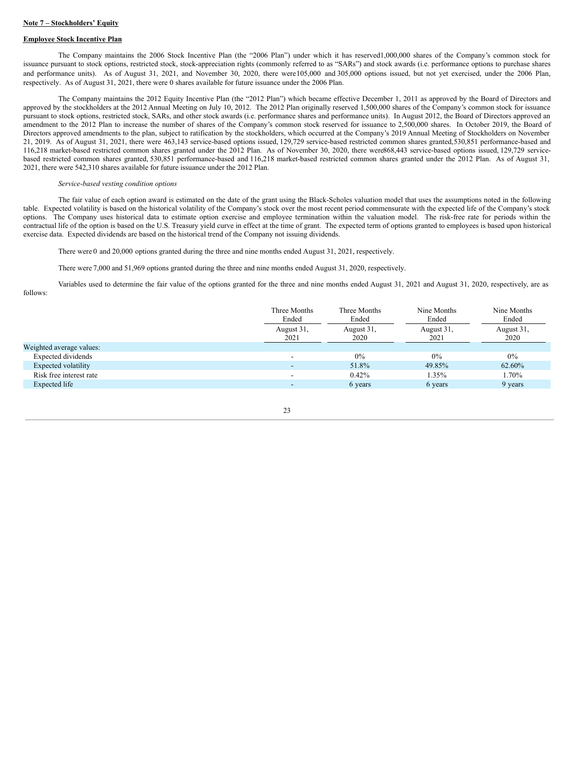#### **Note 7 – Stockholders' Equity**

## **Employee Stock Incentive Plan**

The Company maintains the 2006 Stock Incentive Plan (the "2006 Plan") under which it has reserved1,000,000 shares of the Company's common stock for issuance pursuant to stock options, restricted stock, stock-appreciation rights (commonly referred to as "SARs") and stock awards (i.e. performance options to purchase shares and performance units). As of August 31, 2021, and November 30, 2020, there were105,000 and 305,000 options issued, but not yet exercised, under the 2006 Plan, respectively. As of August 31, 2021, there were 0 shares available for future issuance under the 2006 Plan.

The Company maintains the 2012 Equity Incentive Plan (the "2012 Plan") which became effective December 1, 2011 as approved by the Board of Directors and approved by the stockholders at the 2012 Annual Meeting on July 10, 2012. The 2012 Plan originally reserved 1,500,000 shares of the Company's common stock for issuance pursuant to stock options, restricted stock, SARs, and other stock awards (i.e. performance shares and performance units). In August 2012, the Board of Directors approved an amendment to the 2012 Plan to increase the number of shares of the Company's common stock reserved for issuance to 2,500,000 shares. In October 2019, the Board of Directors approved amendments to the plan, subject to ratification by the stockholders, which occurred at the Company's 2019 Annual Meeting of Stockholders on November 21, 2019. As of August 31, 2021, there were 463,143 service-based options issued, 129,729 service-based restricted common shares granted,530,851 performance-based and 116,218 market-based restricted common shares granted under the 2012 Plan. As of November 30, 2020, there were868,443 service-based options issued, 129,729 servicebased restricted common shares granted, 530,851 performance-based and 116,218 market-based restricted common shares granted under the 2012 Plan. As of August 31, 2021, there were 542,310 shares available for future issuance under the 2012 Plan.

## *Service-based vesting condition options*

The fair value of each option award is estimated on the date of the grant using the Black-Scholes valuation model that uses the assumptions noted in the following table. Expected volatility is based on the historical volatility of the Company's stock over the most recent period commensurate with the expected life of the Company's stock options. The Company uses historical data to estimate option exercise and employee termination within the valuation model. The risk-free rate for periods within the contractual life of the option is based on the U.S. Treasury yield curve in effect at the time of grant. The expected term of options granted to employees is based upon historical exercise data. Expected dividends are based on the historical trend of the Company not issuing dividends.

There were 0 and 20,000 options granted during the three and nine months ended August 31, 2021, respectively.

There were 7,000 and 51,969 options granted during the three and nine months ended August 31, 2020, respectively.

Variables used to determine the fair value of the options granted for the three and nine months ended August 31, 2021 and August 31, 2020, respectively, are as follows:

|                          | Three Months<br>Ended<br>August 31, | Three Months<br>Ended<br>August 31, | Nine Months<br>Ended<br>August 31, | Nine Months<br>Ended<br>August 31, |
|--------------------------|-------------------------------------|-------------------------------------|------------------------------------|------------------------------------|
|                          | 2021                                | 2020                                | 2021                               | 2020                               |
| Weighted average values: |                                     |                                     |                                    |                                    |
| Expected dividends       | $\overline{\phantom{a}}$            | $0\%$                               | $0\%$                              | $0\%$                              |
| Expected volatility      |                                     | 51.8%                               | 49.85%                             | 62.60%                             |
| Risk free interest rate  |                                     | 0.42%                               | 1.35%                              | 1.70%                              |
| Expected life            | $\overline{\phantom{a}}$            | 6 years                             | 6 years                            | 9 years                            |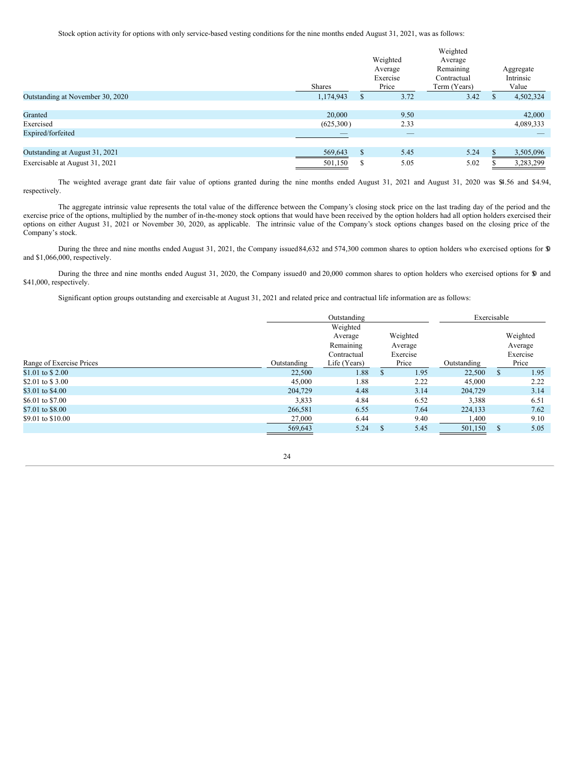Stock option activity for options with only service-based vesting conditions for the nine months ended August 31, 2021, was as follows:

|                                  | <b>Shares</b>       |              | weighted<br>Weighted<br>Average<br>Remaining<br>Average<br>Exercise<br>Contractual<br>Price<br>Term (Years) |      | Aggregate<br>Intrinsic<br>Value |
|----------------------------------|---------------------|--------------|-------------------------------------------------------------------------------------------------------------|------|---------------------------------|
| Outstanding at November 30, 2020 | 1,174,943           | S            | 3.72                                                                                                        | 3.42 | 4,502,324                       |
| Granted<br>Exercised             | 20,000<br>(625,300) |              | 9.50<br>2.33                                                                                                |      | 42,000<br>4,089,333             |
| Expired/forfeited                | __                  |              | $\hspace{0.1mm}-\hspace{0.1mm}$                                                                             |      | $-$                             |
| Outstanding at August 31, 2021   | 569,643             | $\mathbb{S}$ | 5.45                                                                                                        | 5.24 | 3,505,096                       |
| Exercisable at August 31, 2021   | 501,150             | S            | 5.05                                                                                                        | 5.02 | 3,283,299                       |

 $W^{(1)}$  and  $W^{(2)}$ 

The weighted average grant date fair value of options granted during the nine months ended August 31, 2021 and August 31, 2020 was \$4.56 and \$4.94, respectively.

The aggregate intrinsic value represents the total value of the difference between the Company's closing stock price on the last trading day of the period and the exercise price of the options, multiplied by the number of in-the-money stock options that would have been received by the option holders had all option holders exercised their options on either August 31, 2021 or November 30, 2020, as applicable. The intrinsic value of the Company's stock options changes based on the closing price of the Company's stock.

During the three and nine months ended August 31, 2021, the Company issued84,632 and 574,300 common shares to option holders who exercised options for \$0 and \$1,066,000, respectively.

During the three and nine months ended August 31, 2020, the Company issued0 and 20,000 common shares to option holders who exercised options for \$0 and \$41,000, respectively.

Significant option groups outstanding and exercisable at August 31, 2021 and related price and contractual life information are as follows:

|                          | Outstanding |                                                                 |   |                                          | Exercisable |     |                                          |  |
|--------------------------|-------------|-----------------------------------------------------------------|---|------------------------------------------|-------------|-----|------------------------------------------|--|
| Range of Exercise Prices | Outstanding | Weighted<br>Average<br>Remaining<br>Contractual<br>Life (Years) |   | Weighted<br>Average<br>Exercise<br>Price | Outstanding |     | Weighted<br>Average<br>Exercise<br>Price |  |
| \$1.01 to \$2.00         | 22,500      | 1.88                                                            |   | 1.95                                     | 22,500      | \$. | 1.95                                     |  |
| \$2.01 to \$3.00         | 45,000      | 1.88                                                            |   | 2.22                                     | 45,000      |     | 2.22                                     |  |
| \$3.01 to \$4.00         | 204,729     | 4.48                                                            |   | 3.14                                     | 204,729     |     | 3.14                                     |  |
| \$6.01 to \$7.00         | 3,833       | 4.84                                                            |   | 6.52                                     | 3,388       |     | 6.51                                     |  |
| \$7.01 to \$8.00         | 266,581     | 6.55                                                            |   | 7.64                                     | 224,133     |     | 7.62                                     |  |
| \$9.01 to \$10.00        | 27,000      | 6.44                                                            |   | 9.40                                     | 1,400       |     | 9.10                                     |  |
|                          | 569,643     | 5.24                                                            | S | 5.45                                     | 501,150     | S   | 5.05                                     |  |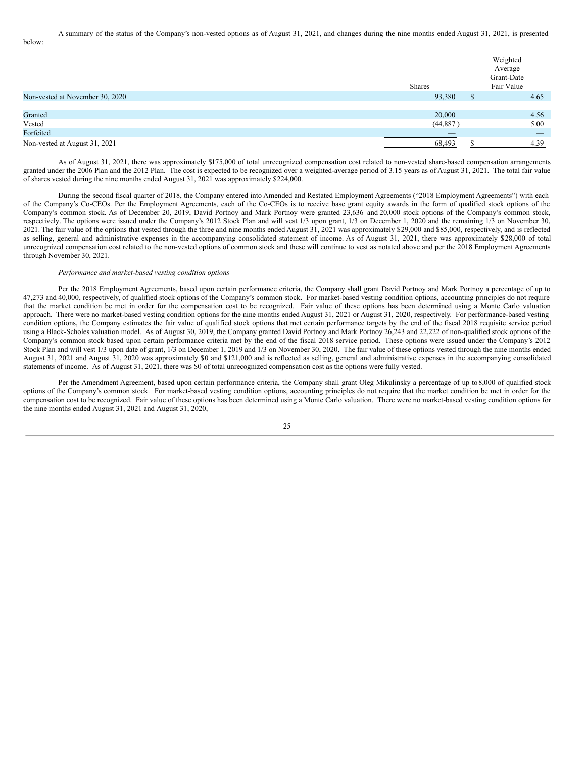A summary of the status of the Company's non-vested options as of August 31, 2021, and changes during the nine months ended August 31, 2021, is presented

below:

|                                 | <b>Shares</b>            |   | Weighted<br>Average<br>Grant-Date<br>Fair Value |
|---------------------------------|--------------------------|---|-------------------------------------------------|
| Non-vested at November 30, 2020 | 93,380                   | ъ | 4.65                                            |
|                                 |                          |   |                                                 |
| Granted                         | 20,000                   |   | 4.56                                            |
| Vested                          | (44, 887)                |   | 5.00                                            |
| Forfeited                       | $\overline{\phantom{a}}$ |   | $\overline{\phantom{a}}$                        |
| Non-vested at August 31, 2021   | 68,493                   |   | 4.39                                            |

As of August 31, 2021, there was approximately \$175,000 of total unrecognized compensation cost related to non-vested share-based compensation arrangements granted under the 2006 Plan and the 2012 Plan. The cost is expected to be recognized over a weighted-average period of 3.15 years as of August 31, 2021. The total fair value of shares vested during the nine months ended August 31, 2021 was approximately \$224,000.

During the second fiscal quarter of 2018, the Company entered into Amended and Restated Employment Agreements ("2018 Employment Agreements") with each of the Company's Co-CEOs. Per the Employment Agreements, each of the Co-CEOs is to receive base grant equity awards in the form of qualified stock options of the Company's common stock. As of December 20, 2019, David Portnoy and Mark Portnoy were granted 23,636 and 20,000 stock options of the Company's common stock, respectively. The options were issued under the Company's 2012 Stock Plan and will vest 1/3 upon grant, 1/3 on December 1, 2020 and the remaining 1/3 on November 30, 2021. The fair value of the options that vested through the three and nine months ended August 31, 2021 was approximately \$29,000 and \$85,000, respectively, and is reflected as selling, general and administrative expenses in the accompanying consolidated statement of income. As of August 31, 2021, there was approximately \$28,000 of total unrecognized compensation cost related to the non-vested options of common stock and these will continue to vest as notated above and per the 2018 Employment Agreements through November 30, 2021.

## *Performance and market-based vesting condition options*

Per the 2018 Employment Agreements, based upon certain performance criteria, the Company shall grant David Portnoy and Mark Portnoy a percentage of up to 47,273 and 40,000, respectively, of qualified stock options of the Company's common stock. For market-based vesting condition options, accounting principles do not require that the market condition be met in order for the compensation cost to be recognized. Fair value of these options has been determined using a Monte Carlo valuation approach. There were no market-based vesting condition options for the nine months ended August 31, 2021 or August 31, 2020, respectively. For performance-based vesting condition options, the Company estimates the fair value of qualified stock options that met certain performance targets by the end of the fiscal 2018 requisite service period using a Black-Scholes valuation model. As of August 30, 2019, the Company granted David Portnoy and Mark Portnoy 26,243 and 22,222 of non-qualified stock options of the Company's common stock based upon certain performance criteria met by the end of the fiscal 2018 service period. These options were issued under the Company's 2012 Stock Plan and will vest 1/3 upon date of grant, 1/3 on December 1, 2019 and 1/3 on November 30, 2020. The fair value of these options vested through the nine months ended August 31, 2021 and August 31, 2020 was approximately \$0 and \$121,000 and is reflected as selling, general and administrative expenses in the accompanying consolidated statements of income. As of August 31, 2021, there was \$0 of total unrecognized compensation cost as the options were fully vested.

Per the Amendment Agreement, based upon certain performance criteria, the Company shall grant Oleg Mikulinsky a percentage of up to8,000 of qualified stock options of the Company's common stock. For market-based vesting condition options, accounting principles do not require that the market condition be met in order for the compensation cost to be recognized. Fair value of these options has been determined using a Monte Carlo valuation. There were no market-based vesting condition options for the nine months ended August 31, 2021 and August 31, 2020,

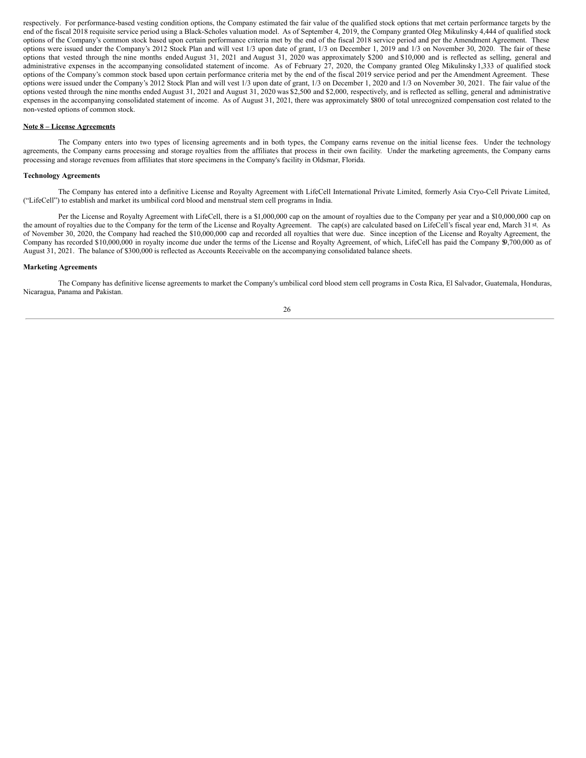respectively. For performance-based vesting condition options, the Company estimated the fair value of the qualified stock options that met certain performance targets by the end of the fiscal 2018 requisite service period using a Black-Scholes valuation model. As of September 4, 2019, the Company granted Oleg Mikulinsky 4,444 of qualified stock options of the Company's common stock based upon certain performance criteria met by the end of the fiscal 2018 service period and per the Amendment Agreement. These options were issued under the Company's 2012 Stock Plan and will vest 1/3 upon date of grant, 1/3 on December 1, 2019 and 1/3 on November 30, 2020. The fair of these options that vested through the nine months ended August 31, 2021 and August 31, 2020 was approximately \$200 and \$10,000 and is reflected as selling, general and administrative expenses in the accompanying consolidated statement of income. As of February 27, 2020, the Company granted Oleg Mikulinsky 1,333 of qualified stock options of the Company's common stock based upon certain performance criteria met by the end of the fiscal 2019 service period and per the Amendment Agreement. These options were issued under the Company's 2012 Stock Plan and will vest 1/3 upon date of grant, 1/3 on December 1, 2020 and 1/3 on November 30, 2021. The fair value of the options vested through the nine months ended August 31, 2021 and August 31, 2020 was \$2,500 and \$2,000, respectively, and is reflected as selling, general and administrative expenses in the accompanying consolidated statement of income. As of August 31, 2021, there was approximately \$800 of total unrecognized compensation cost related to the non-vested options of common stock.

## **Note 8 – License Agreements**

The Company enters into two types of licensing agreements and in both types, the Company earns revenue on the initial license fees. Under the technology agreements, the Company earns processing and storage royalties from the affiliates that process in their own facility. Under the marketing agreements, the Company earns processing and storage revenues from affiliates that store specimens in the Company's facility in Oldsmar, Florida.

#### **Technology Agreements**

The Company has entered into a definitive License and Royalty Agreement with LifeCell International Private Limited, formerly Asia Cryo-Cell Private Limited, ("LifeCell") to establish and market its umbilical cord blood and menstrual stem cell programs in India.

Per the License and Royalty Agreement with LifeCell, there is a \$1,000,000 cap on the amount of royalties due to the Company per year and a \$10,000,000 cap on the amount of royalties due to the Company for the term of the License and Royalty Agreement. The cap(s) are calculated based on LifeCell's fiscal year end, March 31 st. As of November 30, 2020, the Company had reached the \$10,000,000 cap and recorded all royalties that were due. Since inception of the License and Royalty Agreement, the Company has recorded \$10,000,000 in royalty income due under the terms of the License and Royalty Agreement, of which, LifeCell has paid the Company \$9,700,000 as of August 31, 2021. The balance of \$300,000 is reflected as Accounts Receivable on the accompanying consolidated balance sheets.

## **Marketing Agreements**

The Company has definitive license agreements to market the Company's umbilical cord blood stem cell programs in Costa Rica, El Salvador, Guatemala, Honduras, Nicaragua, Panama and Pakistan.

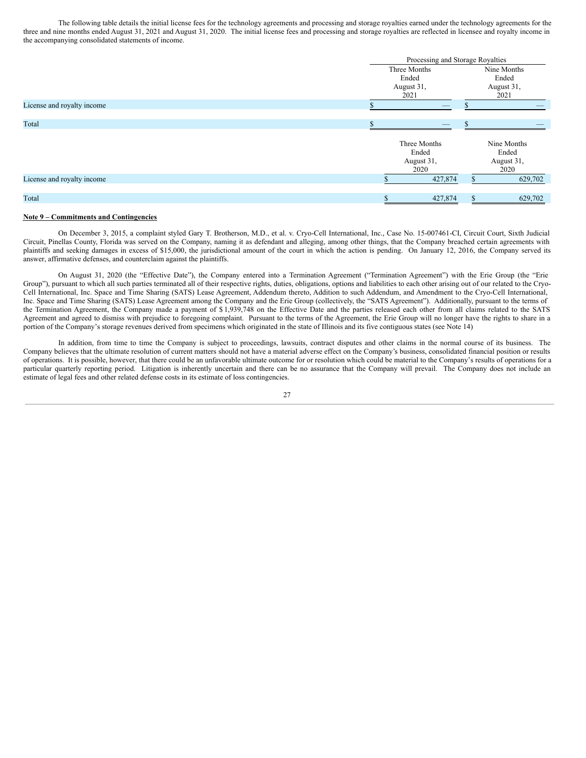The following table details the initial license fees for the technology agreements and processing and storage royalties earned under the technology agreements for the three and nine months ended August 31, 2021 and August 31, 2020. The initial license fees and processing and storage royalties are reflected in licensee and royalty income in the accompanying consolidated statements of income.

|                            | Processing and Storage Royalties                                           |  |                                    |
|----------------------------|----------------------------------------------------------------------------|--|------------------------------------|
|                            | Three Months<br>Ended<br>August 31,                                        |  | Nine Months<br>Ended<br>August 31, |
|                            | 2021                                                                       |  | 2021                               |
| License and royalty income | $\overline{\phantom{a}}$                                                   |  |                                    |
|                            |                                                                            |  |                                    |
| Total                      |                                                                            |  |                                    |
|                            | Three Months<br>Ended<br>Ended<br>August 31,<br>August 31,<br>2020<br>2020 |  | Nine Months                        |
| License and royalty income | 427,874                                                                    |  | 629,702                            |
|                            |                                                                            |  |                                    |
| Total                      | 427,874                                                                    |  | 629,702                            |

## **Note 9 – Commitments and Contingencies**

On December 3, 2015, a complaint styled Gary T. Brotherson, M.D., et al. v. Cryo-Cell International, Inc., Case No. 15-007461-CI, Circuit Court, Sixth Judicial Circuit, Pinellas County, Florida was served on the Company, naming it as defendant and alleging, among other things, that the Company breached certain agreements with plaintiffs and seeking damages in excess of \$15,000, the jurisdictional amount of the court in which the action is pending. On January 12, 2016, the Company served its answer, affirmative defenses, and counterclaim against the plaintiffs.

On August 31, 2020 (the "Effective Date"), the Company entered into a Termination Agreement ("Termination Agreement") with the Erie Group (the "Erie Group"), pursuant to which all such parties terminated all of their respective rights, duties, obligations, options and liabilities to each other arising out of our related to the Cryo-Cell International, Inc. Space and Time Sharing (SATS) Lease Agreement, Addendum thereto, Addition to such Addendum, and Amendment to the Cryo-Cell International, Inc. Space and Time Sharing (SATS) Lease Agreement among the Company and the Erie Group (collectively, the "SATS Agreement"). Additionally, pursuant to the terms of the Termination Agreement, the Company made a payment of \$ 1,939,748 on the Effective Date and the parties released each other from all claims related to the SATS Agreement and agreed to dismiss with prejudice to foregoing complaint. Pursuant to the terms of the Agreement, the Erie Group will no longer have the rights to share in a portion of the Company's storage revenues derived from specimens which originated in the state of Illinois and its five contiguous states (see Note 14)

In addition, from time to time the Company is subject to proceedings, lawsuits, contract disputes and other claims in the normal course of its business. The Company believes that the ultimate resolution of current matters should not have a material adverse effect on the Company's business, consolidated financial position or results of operations. It is possible, however, that there could be an unfavorable ultimate outcome for or resolution which could be material to the Company's results of operations for a particular quarterly reporting period. Litigation is inherently uncertain and there can be no assurance that the Company will prevail. The Company does not include an estimate of legal fees and other related defense costs in its estimate of loss contingencies.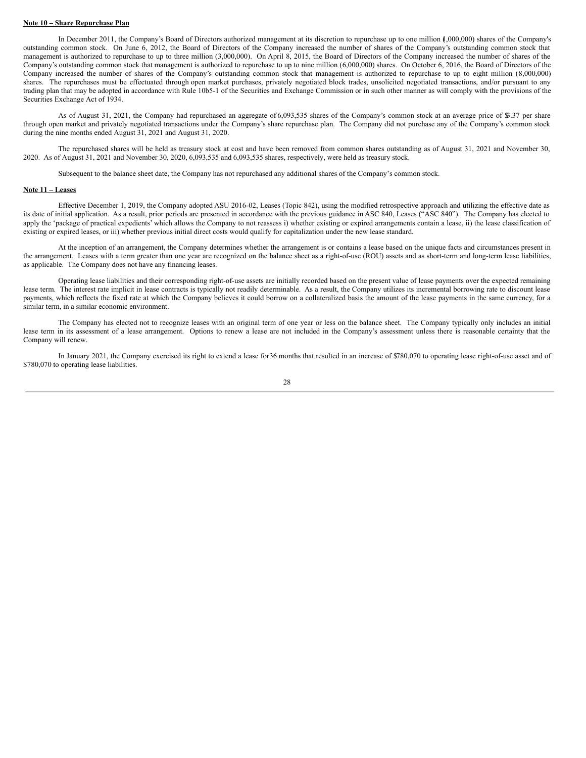#### **Note 10 – Share Repurchase Plan**

In December 2011, the Company's Board of Directors authorized management at its discretion to repurchase up to one million 1(,000,000) shares of the Company's outstanding common stock. On June 6, 2012, the Board of Directors of the Company increased the number of shares of the Company's outstanding common stock that management is authorized to repurchase to up to three million (3,000,000). On April 8, 2015, the Board of Directors of the Company increased the number of shares of the Company's outstanding common stock that management is authorized to repurchase to up to nine million (6,000,000) shares. On October 6, 2016, the Board of Directors of the Company increased the number of shares of the Company's outstanding common stock that management is authorized to repurchase to up to eight million (8,000,000) shares. The repurchases must be effectuated through open market purchases, privately negotiated block trades, unsolicited negotiated transactions, and/or pursuant to any trading plan that may be adopted in accordance with Rule 10b5-1 of the Securities and Exchange Commission or in such other manner as will comply with the provisions of the Securities Exchange Act of 1934.

As of August 31, 2021, the Company had repurchased an aggregate of 6,093,535 shares of the Company's common stock at an average price of \$3.37 per share through open market and privately negotiated transactions under the Company's share repurchase plan. The Company did not purchase any of the Company's common stock during the nine months ended August 31, 2021 and August 31, 2020.

The repurchased shares will be held as treasury stock at cost and have been removed from common shares outstanding as of August 31, 2021 and November 30, 2020. As of August 31, 2021 and November 30, 2020, 6,093,535 and 6,093,535 shares, respectively, were held as treasury stock.

Subsequent to the balance sheet date, the Company has not repurchased any additional shares of the Company's common stock.

## **Note 11 – Leases**

Effective December 1, 2019, the Company adopted ASU 2016-02, Leases (Topic 842), using the modified retrospective approach and utilizing the effective date as its date of initial application. As a result, prior periods are presented in accordance with the previous guidance in ASC 840, Leases ("ASC 840"). The Company has elected to apply the 'package of practical expedients' which allows the Company to not reassess i) whether existing or expired arrangements contain a lease, ii) the lease classification of existing or expired leases, or iii) whether previous initial direct costs would qualify for capitalization under the new lease standard.

At the inception of an arrangement, the Company determines whether the arrangement is or contains a lease based on the unique facts and circumstances present in the arrangement. Leases with a term greater than one year are recognized on the balance sheet as a right-of-use (ROU) assets and as short-term and long-term lease liabilities, as applicable. The Company does not have any financing leases.

Operating lease liabilities and their corresponding right-of-use assets are initially recorded based on the present value of lease payments over the expected remaining lease term. The interest rate implicit in lease contracts is typically not readily determinable. As a result, the Company utilizes its incremental borrowing rate to discount lease payments, which reflects the fixed rate at which the Company believes it could borrow on a collateralized basis the amount of the lease payments in the same currency, for a similar term, in a similar economic environment.

The Company has elected not to recognize leases with an original term of one year or less on the balance sheet. The Company typically only includes an initial lease term in its assessment of a lease arrangement. Options to renew a lease are not included in the Company's assessment unless there is reasonable certainty that the Company will renew.

In January 2021, the Company exercised its right to extend a lease for 36 months that resulted in an increase of \$780,070 to operating lease right-of-use asset and of \$780,070 to operating lease liabilities.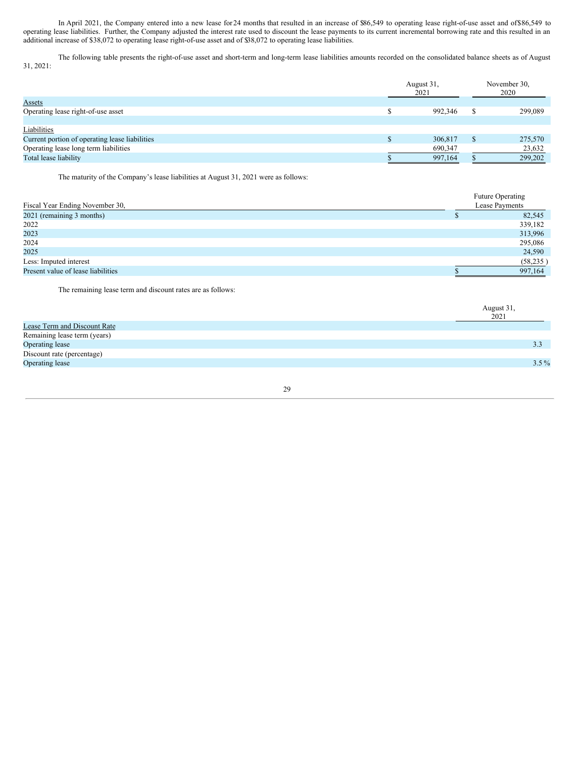In April 2021, the Company entered into a new lease for 24 months that resulted in an increase of \$86,549 to operating lease right-of-use asset and of\$86,549 to operating lease liabilities. Further, the Company adjusted the interest rate used to discount the lease payments to its current incremental borrowing rate and this resulted in an additional increase of \$38,072 to operating lease right-of-use asset and of \$38,072 to operating lease liabilities.

The following table presents the right-of-use asset and short-term and long-term lease liabilities amounts recorded on the consolidated balance sheets as of August 31, 2021:

|                                                | August 31,<br>2021 |         | November 30,<br>2020 |         |
|------------------------------------------------|--------------------|---------|----------------------|---------|
| <b>Assets</b>                                  |                    |         |                      |         |
| Operating lease right-of-use asset             |                    | 992.346 |                      | 299,089 |
|                                                |                    |         |                      |         |
| Liabilities                                    |                    |         |                      |         |
| Current portion of operating lease liabilities |                    | 306,817 |                      | 275,570 |
| Operating lease long term liabilities          |                    | 690,347 |                      | 23,632  |
| Total lease liability                          |                    | 997.164 |                      | 299.202 |

The maturity of the Company's lease liabilities at August 31, 2021 were as follows:

| Fiscal Year Ending November 30,    | <b>Future Operating</b><br>Lease Payments |           |
|------------------------------------|-------------------------------------------|-----------|
|                                    |                                           |           |
| 2021 (remaining 3 months)          |                                           | 82,545    |
| 2022                               |                                           | 339,182   |
| 2023                               |                                           | 313,996   |
| 2024                               |                                           | 295,086   |
| 2025                               |                                           | 24,590    |
| Less: Imputed interest             |                                           | (58, 235) |
| Present value of lease liabilities |                                           | 997,164   |

The remaining lease term and discount rates are as follows:

|                              | August 31, |
|------------------------------|------------|
|                              | 2021       |
| Lease Term and Discount Rate |            |
| Remaining lease term (years) |            |
| Operating lease              | 3.3        |
| Discount rate (percentage)   |            |
| Operating lease              | $3.5\%$    |
|                              |            |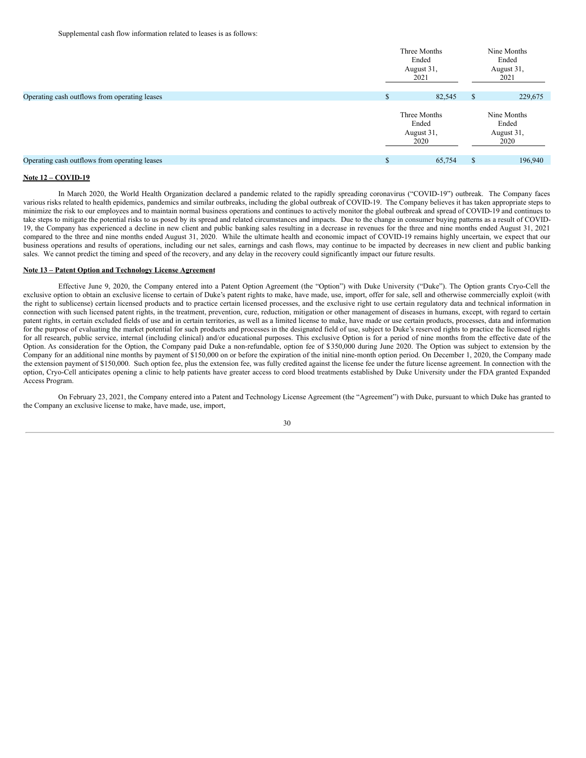|                                               | Three Months<br>Ended<br>August 31,<br>2021 |               | Nine Months<br>Ended<br>August 31,<br>2021 |  |
|-----------------------------------------------|---------------------------------------------|---------------|--------------------------------------------|--|
| Operating cash outflows from operating leases | \$<br>82,545                                | <sup>\$</sup> | 229,675                                    |  |
|                                               | Three Months<br>Ended<br>August 31,<br>2020 |               | Nine Months<br>Ended<br>August 31,<br>2020 |  |
| Operating cash outflows from operating leases | 65,754                                      | \$            | 196,940                                    |  |

## **Note 12 – COVID-19**

In March 2020, the World Health Organization declared a pandemic related to the rapidly spreading coronavirus ("COVID-19") outbreak. The Company faces various risks related to health epidemics, pandemics and similar outbreaks, including the global outbreak of COVID-19. The Company believes it has taken appropriate steps to minimize the risk to our employees and to maintain normal business operations and continues to actively monitor the global outbreak and spread of COVID-19 and continues to take steps to mitigate the potential risks to us posed by its spread and related circumstances and impacts. Due to the change in consumer buying patterns as a result of COVID-19, the Company has experienced a decline in new client and public banking sales resulting in a decrease in revenues for the three and nine months ended August 31, 2021 compared to the three and nine months ended August 31, 2020. While the ultimate health and economic impact of COVID-19 remains highly uncertain, we expect that our business operations and results of operations, including our net sales, earnings and cash flows, may continue to be impacted by decreases in new client and public banking sales. We cannot predict the timing and speed of the recovery, and any delay in the recovery could significantly impact our future results.

#### **Note 13 – Patent Option and Technology License Agreement**

Effective June 9, 2020, the Company entered into a Patent Option Agreement (the "Option") with Duke University ("Duke"). The Option grants Cryo-Cell the exclusive option to obtain an exclusive license to certain of Duke's patent rights to make, have made, use, import, offer for sale, sell and otherwise commercially exploit (with the right to sublicense) certain licensed products and to practice certain licensed processes, and the exclusive right to use certain regulatory data and technical information in connection with such licensed patent rights, in the treatment, prevention, cure, reduction, mitigation or other management of diseases in humans, except, with regard to certain patent rights, in certain excluded fields of use and in certain territories, as well as a limited license to make, have made or use certain products, processes, data and information for the purpose of evaluating the market potential for such products and processes in the designated field of use, subject to Duke's reserved rights to practice the licensed rights for all research, public service, internal (including clinical) and/or educational purposes. This exclusive Option is for a period of nine months from the effective date of the Option. As consideration for the Option, the Company paid Duke a non-refundable, option fee of \$350,000 during June 2020. The Option was subject to extension by the Company for an additional nine months by payment of \$150,000 on or before the expiration of the initial nine-month option period. On December 1, 2020, the Company made the extension payment of \$150,000. Such option fee, plus the extension fee, was fully credited against the license fee under the future license agreement. In connection with the option, Cryo-Cell anticipates opening a clinic to help patients have greater access to cord blood treatments established by Duke University under the FDA granted Expanded Access Program.

On February 23, 2021, the Company entered into a Patent and Technology License Agreement (the "Agreement") with Duke, pursuant to which Duke has granted to the Company an exclusive license to make, have made, use, import,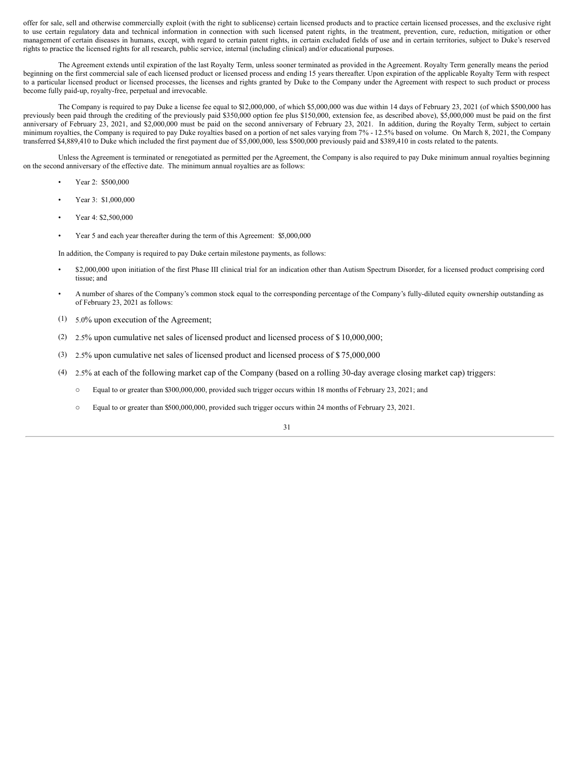offer for sale, sell and otherwise commercially exploit (with the right to sublicense) certain licensed products and to practice certain licensed processes, and the exclusive right to use certain regulatory data and technical information in connection with such licensed patent rights, in the treatment, prevention, cure, reduction, mitigation or other management of certain diseases in humans, except, with regard to certain patent rights, in certain excluded fields of use and in certain territories, subject to Duke's reserved rights to practice the licensed rights for all research, public service, internal (including clinical) and/or educational purposes.

The Agreement extends until expiration of the last Royalty Term, unless sooner terminated as provided in the Agreement. Royalty Term generally means the period beginning on the first commercial sale of each licensed product or licensed process and ending 15 years thereafter. Upon expiration of the applicable Royalty Term with respect to a particular licensed product or licensed processes, the licenses and rights granted by Duke to the Company under the Agreement with respect to such product or process become fully paid-up, royalty-free, perpetual and irrevocable.

The Company is required to pay Duke a license fee equal to \$12,000,000, of which \$5,000,000 was due within 14 days of February 23, 2021 (of which \$500,000 has previously been paid through the crediting of the previously paid \$350,000 option fee plus \$150,000, extension fee, as described above), \$5,000,000 must be paid on the first anniversary of February 23, 2021, and \$2,000,000 must be paid on the second anniversary of February 23, 2021. In addition, during the Royalty Term, subject to certain minimum royalties, the Company is required to pay Duke royalties based on a portion of net sales varying from 7% - 12.5% based on volume. On March 8, 2021, the Company transferred \$4,889,410 to Duke which included the first payment due of \$5,000,000, less \$500,000 previously paid and \$389,410 in costs related to the patents.

Unless the Agreement is terminated or renegotiated as permitted per the Agreement, the Company is also required to pay Duke minimum annual royalties beginning on the second anniversary of the effective date. The minimum annual royalties are as follows:

- Year 2: \$500,000
- Year 3: \$1,000,000
- Year 4: \$2,500,000
- Year 5 and each year thereafter during the term of this Agreement: \$5,000,000

In addition, the Company is required to pay Duke certain milestone payments, as follows:

- \$2,000,000 upon initiation of the first Phase III clinical trial for an indication other than Autism Spectrum Disorder, for a licensed product comprising cord tissue; and
- A number of shares of the Company's common stock equal to the corresponding percentage of the Company's fully-diluted equity ownership outstanding as of February 23, 2021 as follows:
- (1) 5.0% upon execution of the Agreement;
- (2) 2.5% upon cumulative net sales of licensed product and licensed process of \$ 10,000,000;
- (3) 2.5% upon cumulative net sales of licensed product and licensed process of \$ 75,000,000
- (4) 2.5% at each of the following market cap of the Company (based on a rolling 30-day average closing market cap) triggers:
	- o Equal to or greater than \$300,000,000, provided such trigger occurs within 18 months of February 23, 2021; and
	- o Equal to or greater than \$500,000,000, provided such trigger occurs within 24 months of February 23, 2021.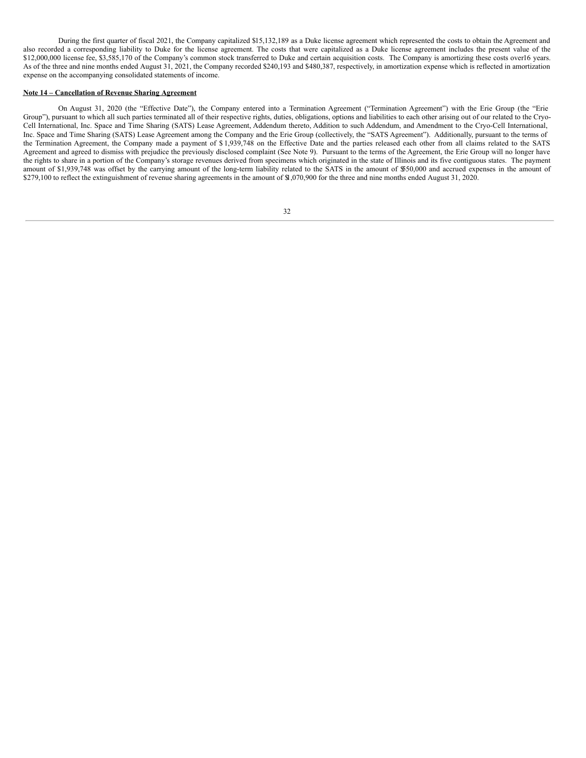During the first quarter of fiscal 2021, the Company capitalized \$15,132,189 as a Duke license agreement which represented the costs to obtain the Agreement and also recorded a corresponding liability to Duke for the license agreement. The costs that were capitalized as a Duke license agreement includes the present value of the \$12,000,000 license fee, \$3,585,170 of the Company's common stock transferred to Duke and certain acquisition costs. The Company is amortizing these costs over16 years. As of the three and nine months ended August 31, 2021, the Company recorded \$240,193 and \$480,387, respectively, in amortization expense which is reflected in amortization expense on the accompanying consolidated statements of income.

#### **Note 14 – Cancellation of Revenue Sharing Agreement**

On August 31, 2020 (the "Effective Date"), the Company entered into a Termination Agreement ("Termination Agreement") with the Erie Group (the "Erie Group"), pursuant to which all such parties terminated all of their respective rights, duties, obligations, options and liabilities to each other arising out of our related to the Cryo-Cell International, Inc. Space and Time Sharing (SATS) Lease Agreement, Addendum thereto, Addition to such Addendum, and Amendment to the Cryo-Cell International, Inc. Space and Time Sharing (SATS) Lease Agreement among the Company and the Erie Group (collectively, the "SATS Agreement"). Additionally, pursuant to the terms of the Termination Agreement, the Company made a payment of \$ 1,939,748 on the Effective Date and the parties released each other from all claims related to the SATS Agreement and agreed to dismiss with prejudice the previously disclosed complaint (See Note 9). Pursuant to the terms of the Agreement, the Erie Group will no longer have the rights to share in a portion of the Company's storage revenues derived from specimens which originated in the state of Illinois and its five contiguous states. The payment amount of \$1,939,748 was offset by the carrying amount of the long-term liability related to the SATS in the amount of \$550,000 and accrued expenses in the amount of \$279,100 to reflect the extinguishment of revenue sharing agreements in the amount of \$1,070,900 for the three and nine months ended August 31, 2020.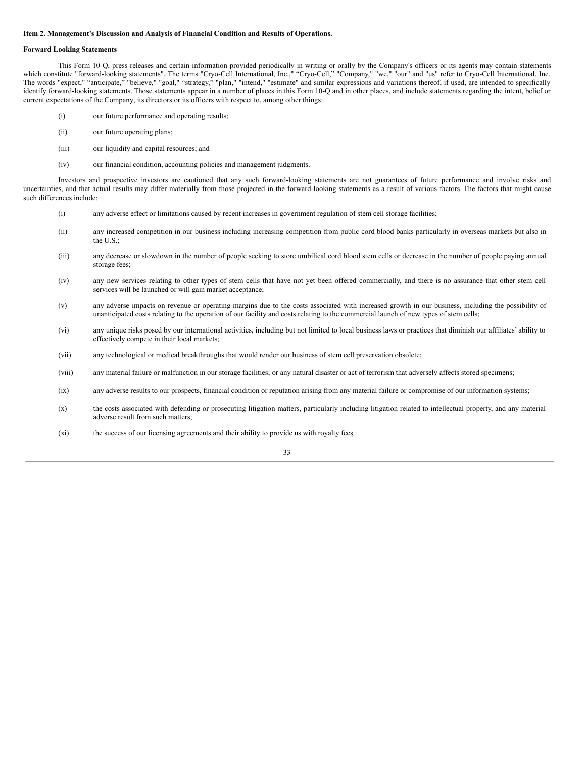## <span id="page-32-0"></span>**Item 2. Management's Discussion and Analysis of Financial Condition and Results of Operations.**

#### **Forward Looking Statements**

This Form 10‑Q, press releases and certain information provided periodically in writing or orally by the Company's officers or its agents may contain statements which constitute "forward-looking statements". The terms "Cryo-Cell International, Inc.," "Cryo-Cell," "Company," "we," "our" and "us" refer to Cryo-Cell International, Inc. The words "expect," "anticipate," "believe," "goal," "strategy," "plan," "intend," "estimate" and similar expressions and variations thereof, if used, are intended to specifically identify forward-looking statements. Those statements appear in a number of places in this Form 10-Q and in other places, and include statements regarding the intent, belief or current expectations of the Company, its directors or its officers with respect to, among other things:

- (i) our future performance and operating results;
- (ii) our future operating plans;
- (iii) our liquidity and capital resources; and
- (iv) our financial condition, accounting policies and management judgments.

Investors and prospective investors are cautioned that any such forward-looking statements are not guarantees of future performance and involve risks and uncertainties, and that actual results may differ materially from those projected in the forward‑looking statements as a result of various factors. The factors that might cause such differences include:

- (i) any adverse effect or limitations caused by recent increases in government regulation of stem cell storage facilities;
- (ii) any increased competition in our business including increasing competition from public cord blood banks particularly in overseas markets but also in the  $UIS$ .
- (iii) any decrease or slowdown in the number of people seeking to store umbilical cord blood stem cells or decrease in the number of people paying annual storage fees;
- (iv) any new services relating to other types of stem cells that have not yet been offered commercially, and there is no assurance that other stem cell services will be launched or will gain market acceptance;
- (v) any adverse impacts on revenue or operating margins due to the costs associated with increased growth in our business, including the possibility of unanticipated costs relating to the operation of our facility and costs relating to the commercial launch of new types of stem cells;
- (vi) any unique risks posed by our international activities, including but not limited to local business laws or practices that diminish our affiliates' ability to effectively compete in their local markets;
- (vii) any technological or medical breakthroughs that would render our business of stem cell preservation obsolete;
- (viii) any material failure or malfunction in our storage facilities; or any natural disaster or act of terrorism that adversely affects stored specimens;
- (ix) any adverse results to our prospects, financial condition or reputation arising from any material failure or compromise of our information systems;
- (x) the costs associated with defending or prosecuting litigation matters, particularly including litigation related to intellectual property, and any material adverse result from such matters;
- (xi) the success of our licensing agreements and their ability to provide us with royalty fees;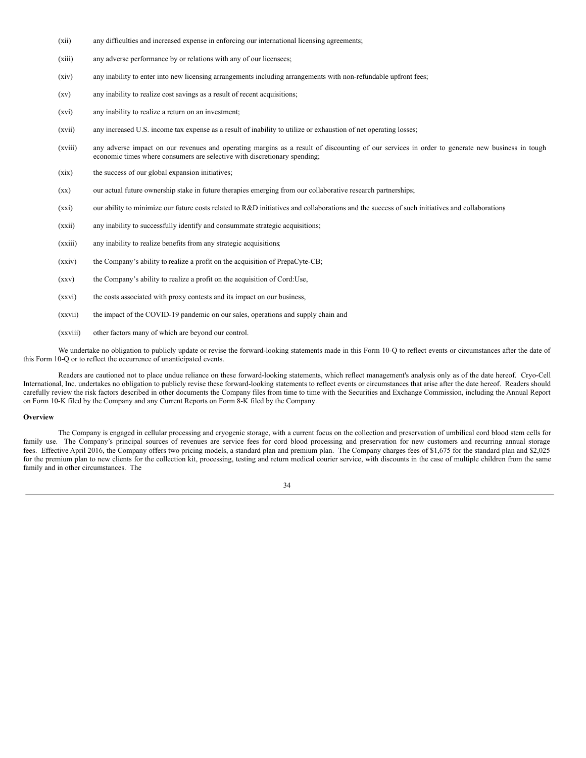- (xii) any difficulties and increased expense in enforcing our international licensing agreements;
- (xiii) any adverse performance by or relations with any of our licensees;
- (xiv) any inability to enter into new licensing arrangements including arrangements with non-refundable upfront fees;
- (xv) any inability to realize cost savings as a result of recent acquisitions;
- (xvi) any inability to realize a return on an investment;
- (xvii) any increased U.S. income tax expense as a result of inability to utilize or exhaustion of net operating losses;
- (xviii) any adverse impact on our revenues and operating margins as a result of discounting of our services in order to generate new business in tough economic times where consumers are selective with discretionary spending;
- (xix) the success of our global expansion initiatives;
- (xx) our actual future ownership stake in future therapies emerging from our collaborative research partnerships;
- (xxi) our ability to minimize our future costs related to R&D initiatives and collaborations and the success of such initiatives and collaborations
- (xxii) any inability to successfully identify and consummate strategic acquisitions;
- (xxiii) any inability to realize benefits from any strategic acquisitions;
- (xxiv) the Company's ability to realize a profit on the acquisition of PrepaCyte-CB;
- (xxv) the Company's ability to realize a profit on the acquisition of Cord:Use,
- (xxvi) the costs associated with proxy contests and its impact on our business,
- (xxvii) the impact of the COVID-19 pandemic on our sales, operations and supply chain and
- (xxviii) other factors many of which are beyond our control.

We undertake no obligation to publicly update or revise the forward-looking statements made in this Form 10-Q to reflect events or circumstances after the date of this Form 10‑Q or to reflect the occurrence of unanticipated events.

Readers are cautioned not to place undue reliance on these forward-looking statements, which reflect management's analysis only as of the date hereof. Cryo-Cell International, Inc. undertakes no obligation to publicly revise these forward-looking statements to reflect events or circumstances that arise after the date hereof. Readers should carefully review the risk factors described in other documents the Company files from time to time with the Securities and Exchange Commission, including the Annual Report on Form 10-K filed by the Company and any Current Reports on Form 8-K filed by the Company.

#### **Overview**

The Company is engaged in cellular processing and cryogenic storage, with a current focus on the collection and preservation of umbilical cord blood stem cells for family use. The Company's principal sources of revenues are service fees for cord blood processing and preservation for new customers and recurring annual storage fees. Effective April 2016, the Company offers two pricing models, a standard plan and premium plan. The Company charges fees of \$1,675 for the standard plan and \$2,025 for the premium plan to new clients for the collection kit, processing, testing and return medical courier service, with discounts in the case of multiple children from the same family and in other circumstances. The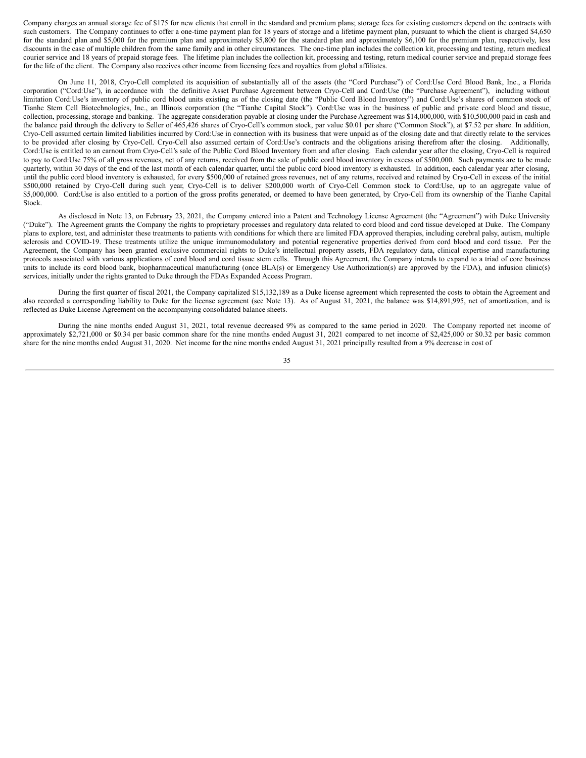Company charges an annual storage fee of \$175 for new clients that enroll in the standard and premium plans; storage fees for existing customers depend on the contracts with such customers. The Company continues to offer a one-time payment plan for 18 years of storage and a lifetime payment plan, pursuant to which the client is charged \$4,650 for the standard plan and \$5,000 for the premium plan and approximately \$5,800 for the standard plan and approximately \$6,100 for the premium plan, respectively, less discounts in the case of multiple children from the same family and in other circumstances. The one-time plan includes the collection kit, processing and testing, return medical courier service and 18 years of prepaid storage fees. The lifetime plan includes the collection kit, processing and testing, return medical courier service and prepaid storage fees for the life of the client. The Company also receives other income from licensing fees and royalties from global affiliates.

On June 11, 2018, Cryo-Cell completed its acquisition of substantially all of the assets (the "Cord Purchase") of Cord:Use Cord Blood Bank, Inc., a Florida corporation ("Cord:Use"), in accordance with the definitive Asset Purchase Agreement between Cryo-Cell and Cord:Use (the "Purchase Agreement"), including without limitation Cord:Use's inventory of public cord blood units existing as of the closing date (the "Public Cord Blood Inventory") and Cord:Use's shares of common stock of Tianhe Stem Cell Biotechnologies, Inc., an Illinois corporation (the "Tianhe Capital Stock"). Cord:Use was in the business of public and private cord blood and tissue, collection, processing, storage and banking. The aggregate consideration payable at closing under the Purchase Agreement was \$14,000,000, with \$10,500,000 paid in cash and the balance paid through the delivery to Seller of 465,426 shares of Cryo-Cell's common stock, par value \$0.01 per share ("Common Stock"), at \$7.52 per share. In addition, Cryo-Cell assumed certain limited liabilities incurred by Cord:Use in connection with its business that were unpaid as of the closing date and that directly relate to the services to be provided after closing by Cryo-Cell. Cryo-Cell also assumed certain of Cord:Use's contracts and the obligations arising therefrom after the closing. Additionally, Cord:Use is entitled to an earnout from Cryo-Cell's sale of the Public Cord Blood Inventory from and after closing. Each calendar year after the closing, Cryo-Cell is required to pay to Cord:Use 75% of all gross revenues, net of any returns, received from the sale of public cord blood inventory in excess of \$500,000. Such payments are to be made quarterly, within 30 days of the end of the last month of each calendar quarter, until the public cord blood inventory is exhausted. In addition, each calendar year after closing, until the public cord blood inventory is exhausted, for every \$500,000 of retained gross revenues, net of any returns, received and retained by Cryo-Cell in excess of the initial \$500,000 retained by Cryo-Cell during such year, Cryo-Cell is to deliver \$200,000 worth of Cryo-Cell Common stock to Cord:Use, up to an aggregate value of \$5,000,000. Cord:Use is also entitled to a portion of the gross profits generated, or deemed to have been generated, by Cryo-Cell from its ownership of the Tianhe Capital Stock.

As disclosed in Note 13, on February 23, 2021, the Company entered into a Patent and Technology License Agreement (the "Agreement") with Duke University ("Duke"). The Agreement grants the Company the rights to proprietary processes and regulatory data related to cord blood and cord tissue developed at Duke. The Company plans to explore, test, and administer these treatments to patients with conditions for which there are limited FDA approved therapies, including cerebral palsy, autism, multiple sclerosis and COVID-19. These treatments utilize the unique immunomodulatory and potential regenerative properties derived from cord blood and cord tissue. Per the Agreement, the Company has been granted exclusive commercial rights to Duke's intellectual property assets, FDA regulatory data, clinical expertise and manufacturing protocols associated with various applications of cord blood and cord tissue stem cells. Through this Agreement, the Company intends to expand to a triad of core business units to include its cord blood bank, biopharmaceutical manufacturing (once BLA(s) or Emergency Use Authorization(s) are approved by the FDA), and infusion clinic(s) services, initially under the rights granted to Duke through the FDAs Expanded Access Program.

During the first quarter of fiscal 2021, the Company capitalized \$15,132,189 as a Duke license agreement which represented the costs to obtain the Agreement and also recorded a corresponding liability to Duke for the license agreement (see Note 13). As of August 31, 2021, the balance was \$14,891,995, net of amortization, and is reflected as Duke License Agreement on the accompanying consolidated balance sheets.

During the nine months ended August 31, 2021, total revenue decreased 9% as compared to the same period in 2020. The Company reported net income of approximately \$2,721,000 or \$0.34 per basic common share for the nine months ended August 31, 2021 compared to net income of \$2,425,000 or \$0.32 per basic common share for the nine months ended August 31, 2020. Net income for the nine months ended August 31, 2021 principally resulted from a 9% decrease in cost of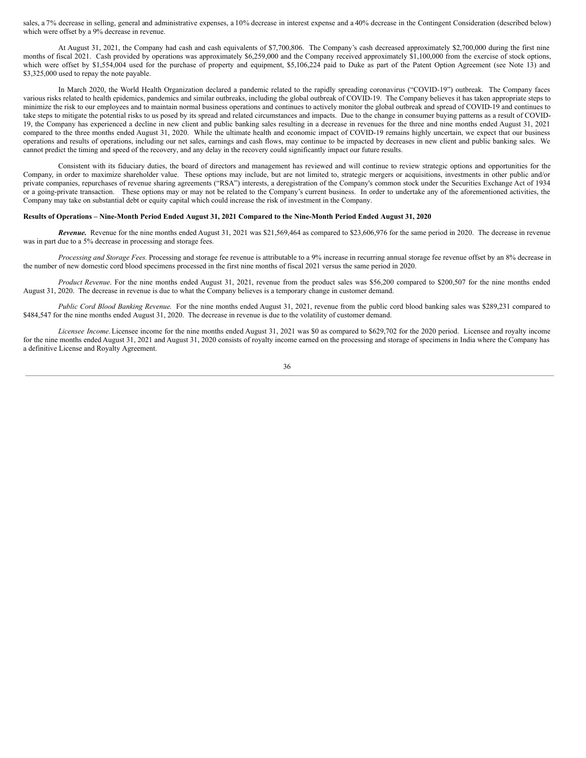sales, a 7% decrease in selling, general and administrative expenses, a 10% decrease in interest expense and a 40% decrease in the Contingent Consideration (described below) which were offset by a 9% decrease in revenue.

At August 31, 2021, the Company had cash and cash equivalents of \$7,700,806. The Company's cash decreased approximately \$2,700,000 during the first nine months of fiscal 2021. Cash provided by operations was approximately \$6,259,000 and the Company received approximately \$1,100,000 from the exercise of stock options, which were offset by \$1,554,004 used for the purchase of property and equipment, \$5,106,224 paid to Duke as part of the Patent Option Agreement (see Note 13) and \$3,325,000 used to repay the note payable.

In March 2020, the World Health Organization declared a pandemic related to the rapidly spreading coronavirus ("COVID-19") outbreak. The Company faces various risks related to health epidemics, pandemics and similar outbreaks, including the global outbreak of COVID-19. The Company believes it has taken appropriate steps to minimize the risk to our employees and to maintain normal business operations and continues to actively monitor the global outbreak and spread of COVID-19 and continues to take steps to mitigate the potential risks to us posed by its spread and related circumstances and impacts. Due to the change in consumer buying patterns as a result of COVID-19, the Company has experienced a decline in new client and public banking sales resulting in a decrease in revenues for the three and nine months ended August 31, 2021 compared to the three months ended August 31, 2020. While the ultimate health and economic impact of COVID-19 remains highly uncertain, we expect that our business operations and results of operations, including our net sales, earnings and cash flows, may continue to be impacted by decreases in new client and public banking sales. We cannot predict the timing and speed of the recovery, and any delay in the recovery could significantly impact our future results.

Consistent with its fiduciary duties, the board of directors and management has reviewed and will continue to review strategic options and opportunities for the Company, in order to maximize shareholder value. These options may include, but are not limited to, strategic mergers or acquisitions, investments in other public and/or private companies, repurchases of revenue sharing agreements ("RSA") interests, a deregistration of the Company's common stock under the Securities Exchange Act of 1934 or a going-private transaction. These options may or may not be related to the Company's current business. In order to undertake any of the aforementioned activities, the Company may take on substantial debt or equity capital which could increase the risk of investment in the Company.

## Results of Operations - Nine-Month Period Ended August 31, 2021 Compared to the Nine-Month Period Ended August 31, 2020

*Revenue.* Revenue for the nine months ended August 31, 2021 was \$21,569,464 as compared to \$23,606,976 for the same period in 2020. The decrease in revenue was in part due to a 5% decrease in processing and storage fees.

*Processing and Storage Fees.* Processing and storage fee revenue is attributable to a 9% increase in recurring annual storage fee revenue offset by an 8% decrease in the number of new domestic cord blood specimens processed in the first nine months of fiscal 2021 versus the same period in 2020.

*Product Revenue*. For the nine months ended August 31, 2021, revenue from the product sales was \$56,200 compared to \$200,507 for the nine months ended August 31, 2020. The decrease in revenue is due to what the Company believes is a temporary change in customer demand.

*Public Cord Blood Banking Revenue*. For the nine months ended August 31, 2021, revenue from the public cord blood banking sales was \$289,231 compared to \$484,547 for the nine months ended August 31, 2020. The decrease in revenue is due to the volatility of customer demand.

*Licensee Income.*Licensee income for the nine months ended August 31, 2021 was \$0 as compared to \$629,702 for the 2020 period. Licensee and royalty income for the nine months ended August 31, 2021 and August 31, 2020 consists of royalty income earned on the processing and storage of specimens in India where the Company has a definitive License and Royalty Agreement.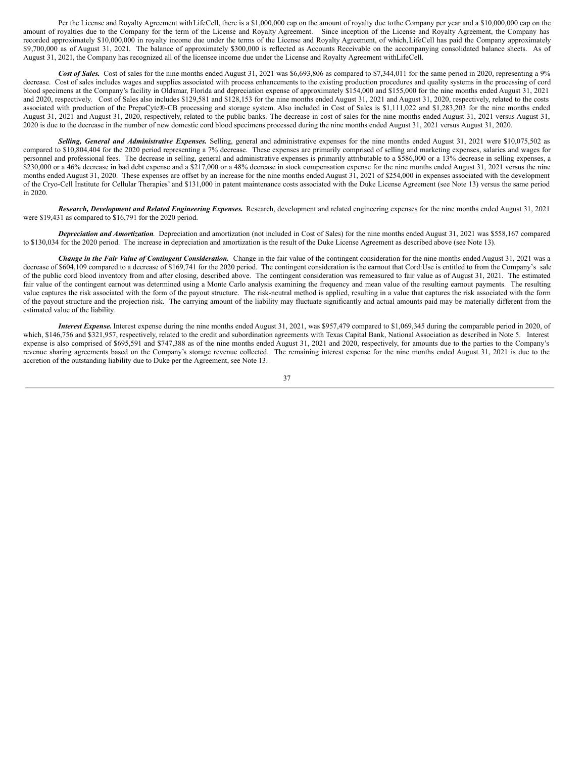Per the License and Royalty Agreement withLifeCell, there is a \$1,000,000 cap on the amount of royalty due tothe Company per year and a \$10,000,000 cap on the amount of royalties due to the Company for the term of the License and Royalty Agreement. Since inception of the License and Royalty Agreement, the Company has recorded approximately \$10,000,000 in royalty income due under the terms of the License and Royalty Agreement, of which, LifeCell has paid the Company approximately \$9,700,000 as of August 31, 2021. The balance of approximately \$300,000 is reflected as Accounts Receivable on the accompanying consolidated balance sheets. As of August 31, 2021, the Company has recognized all of the licensee income due under the License and Royalty Agreement withLifeCell.

*Cost of Sales.* Cost of sales for the nine months ended August 31, 2021 was \$6,693,806 as compared to \$7,344,011 for the same period in 2020, representing a 9% decrease. Cost of sales includes wages and supplies associated with process enhancements to the existing production procedures and quality systems in the processing of cord blood specimens at the Company's facility in Oldsmar, Florida and depreciation expense of approximately \$154,000 and \$155,000 for the nine months ended August 31, 2021 and 2020, respectively. Cost of Sales also includes \$129,581 and \$128,153 for the nine months ended August 31, 2021 and August 31, 2020, respectively, related to the costs associated with production of the PrepaCyte®-CB processing and storage system. Also included in Cost of Sales is \$1,111,022 and \$1,283,203 for the nine months ended August 31, 2021 and August 31, 2020, respectively, related to the public banks. The decrease in cost of sales for the nine months ended August 31, 2021 versus August 31, 2020 is due to the decrease in the number of new domestic cord blood specimens processed during the nine months ended August 31, 2021 versus August 31, 2020.

*Selling, General and Administrative Expenses.* Selling, general and administrative expenses for the nine months ended August 31, 2021 were \$10,075,502 as compared to \$10,804,404 for the 2020 period representing a 7% decrease. These expenses are primarily comprised of selling and marketing expenses, salaries and wages for personnel and professional fees. The decrease in selling, general and administrative expenses is primarily attributable to a \$586,000 or a 13% decrease in selling expenses, a \$230,000 or a 46% decrease in bad debt expense and a \$217,000 or a 48% decrease in stock compensation expense for the nine months ended August 31, 2021 versus the nine months ended August 31, 2020. These expenses are offset by an increase for the nine months ended August 31, 2021 of \$254,000 in expenses associated with the development of the Cryo-Cell Institute for Cellular Therapies' and \$131,000 in patent maintenance costs associated with the Duke License Agreement (see Note 13) versus the same period in 2020.

*Research, Development and Related Engineering Expenses.* Research, development and related engineering expenses for the nine months ended August 31, 2021 were \$19,431 as compared to \$16,791 for the 2020 period.

*Depreciation and Amortization*. Depreciation and amortization (not included in Cost of Sales) for the nine months ended August 31, 2021 was \$558,167 compared to \$130,034 for the 2020 period. The increase in depreciation and amortization is the result of the Duke License Agreement as described above (see Note 13).

*Change in the Fair Value of Contingent Consideration.* Change in the fair value of the contingent consideration for the nine months ended August 31, 2021 was a decrease of \$604,109 compared to a decrease of \$169,741 for the 2020 period. The contingent consideration is the earnout that Cord:Use is entitled to from the Company's sale of the public cord blood inventory from and after closing, described above. The contingent consideration was remeasured to fair value as of August 31, 2021. The estimated fair value of the contingent earnout was determined using a Monte Carlo analysis examining the frequency and mean value of the resulting earnout payments. The resulting value captures the risk associated with the form of the payout structure. The risk-neutral method is applied, resulting in a value that captures the risk associated with the form of the payout structure and the projection risk. The carrying amount of the liability may fluctuate significantly and actual amounts paid may be materially different from the estimated value of the liability.

*Interest Expense.* Interest expense during the nine months ended August 31, 2021, was \$957,479 compared to \$1,069,345 during the comparable period in 2020, of which, \$146,756 and \$321,957, respectively, related to the credit and subordination agreements with Texas Capital Bank, National Association as described in Note 5. Interest expense is also comprised of \$695,591 and \$747,388 as of the nine months ended August 31, 2021 and 2020, respectively, for amounts due to the parties to the Company's revenue sharing agreements based on the Company's storage revenue collected. The remaining interest expense for the nine months ended August 31, 2021 is due to the accretion of the outstanding liability due to Duke per the Agreement, see Note 13.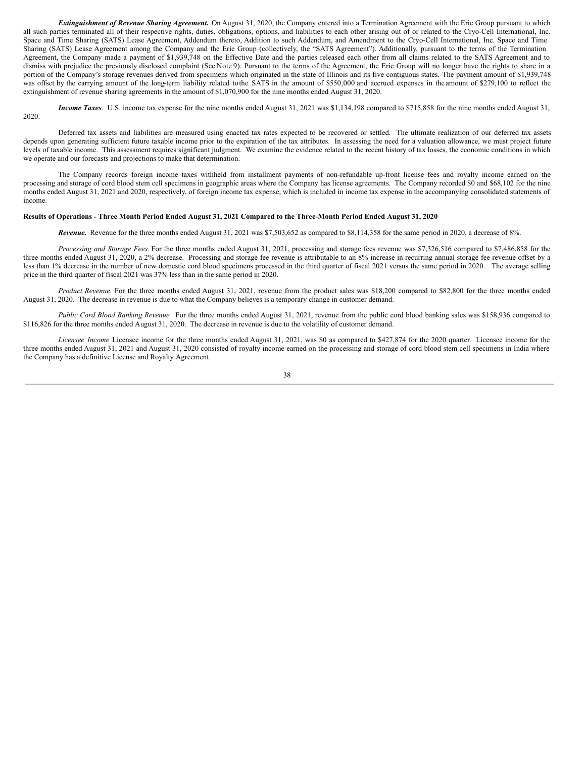*Extinguishment of Revenue Sharing Agreement.* On August 31, 2020, the Company entered into a Termination Agreement with the Erie Group pursuant to which all such parties terminated all of their respective rights, duties, obligations, options, and liabilities to each other arising out of or related to the Cryo-Cell International, Inc. Space and Time Sharing (SATS) Lease Agreement, Addendum thereto, Addition to such Addendum, and Amendment to the Cryo-Cell International, Inc. Space and Time Sharing (SATS) Lease Agreement among the Company and the Erie Group (collectively, the "SATS Agreement"). Additionally, pursuant to the terms of the Termination Agreement, the Company made a payment of \$1,939,748 on the Effective Date and the parties released each other from all claims related to the SATS Agreement and to dismiss with prejudice the previously disclosed complaint (See Note 9). Pursuant to the terms of the Agreement, the Erie Group will no longer have the rights to share in a portion of the Company's storage revenues derived from specimens which originated in the state of Illinois and its five contiguous states. The payment amount of \$1,939,748 was offset by the carrying amount of the long-term liability related tothe SATS in the amount of \$550,000 and accrued expenses in the amount of \$279,100 to reflect the extinguishment of revenue sharing agreements in the amount of \$1,070,900 for the nine months ended August 31, 2020.

*Income Taxes*. U.S. income tax expense for the nine months ended August 31, 2021 was \$1,134,198 compared to \$715,858 for the nine months ended August 31, 2020.

Deferred tax assets and liabilities are measured using enacted tax rates expected to be recovered or settled. The ultimate realization of our deferred tax assets depends upon generating sufficient future taxable income prior to the expiration of the tax attributes. In assessing the need for a valuation allowance, we must project future levels of taxable income. This assessment requires significant judgment. We examine the evidence related to the recent history of tax losses, the economic conditions in which we operate and our forecasts and projections to make that determination.

The Company records foreign income taxes withheld from installment payments of non-refundable up-front license fees and royalty income earned on the processing and storage of cord blood stem cell specimens in geographic areas where the Company has license agreements. The Company recorded \$0 and \$68,102 for the nine months ended August 31, 2021 and 2020, respectively, of foreign income tax expense, which is included in income tax expense in the accompanying consolidated statements of income.

## Results of Operations - Three Month Period Ended August 31, 2021 Compared to the Three-Month Period Ended August 31, 2020

*Revenue.* Revenue for the three months ended August 31, 2021 was \$7,503,652 as compared to \$8,114,358 for the same period in 2020, a decrease of 8%.

*Processing and Storage Fees.* For the three months ended August 31, 2021, processing and storage fees revenue was \$7,326,516 compared to \$7,486,858 for the three months ended August 31, 2020, a 2% decrease. Processing and storage fee revenue is attributable to an 8% increase in recurring annual storage fee revenue offset by a less than 1% decrease in the number of new domestic cord blood specimens processed in the third quarter of fiscal 2021 versus the same period in 2020. The average selling price in the third quarter of fiscal 2021 was 37% less than in the same period in 2020.

*Product Revenue*. For the three months ended August 31, 2021, revenue from the product sales was \$18,200 compared to \$82,800 for the three months ended August 31, 2020. The decrease in revenue is due to what the Company believes is a temporary change in customer demand.

*Public Cord Blood Banking Revenue*. For the three months ended August 31, 2021, revenue from the public cord blood banking sales was \$158,936 compared to \$116,826 for the three months ended August 31, 2020. The decrease in revenue is due to the volatility of customer demand.

*Licensee Income.*Licensee income for the three months ended August 31, 2021, was \$0 as compared to \$427,874 for the 2020 quarter. Licensee income for the three months ended August 31, 2021 and August 31, 2020 consisted of royalty income earned on the processing and storage of cord blood stem cell specimens in India where the Company has a definitive License and Royalty Agreement.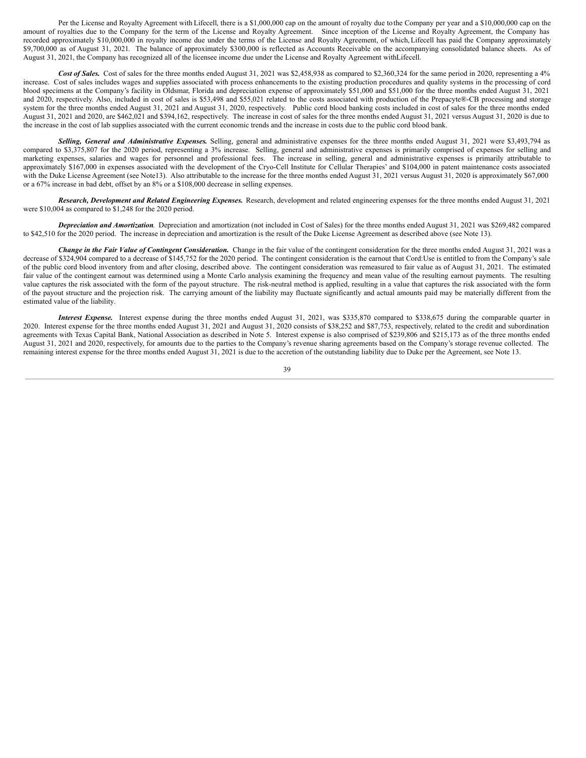Per the License and Royalty Agreement with Lifecell, there is a \$1,000,000 cap on the amount of royalty due tothe Company per year and a \$10,000,000 cap on the amount of royalties due to the Company for the term of the License and Royalty Agreement. Since inception of the License and Royalty Agreement, the Company has recorded approximately \$10,000,000 in royalty income due under the terms of the License and Royalty Agreement, of which, Lifecell has paid the Company approximately \$9,700,000 as of August 31, 2021. The balance of approximately \$300,000 is reflected as Accounts Receivable on the accompanying consolidated balance sheets. As of August 31, 2021, the Company has recognized all of the licensee income due under the License and Royalty Agreement withLifecell.

*Cost of Sales.* Cost of sales for the three months ended August 31, 2021 was \$2,458,938 as compared to \$2,360,324 for the same period in 2020, representing a 4% increase. Cost of sales includes wages and supplies associated with process enhancements to the existing production procedures and quality systems in the processing of cord blood specimens at the Company's facility in Oldsmar, Florida and depreciation expense of approximately \$51,000 and \$51,000 for the three months ended August 31, 2021 and 2020, respectively. Also, included in cost of sales is \$53,498 and \$55,021 related to the costs associated with production of the Prepacyte®-CB processing and storage system for the three months ended August 31, 2021 and August 31, 2020, respectively. Public cord blood banking costs included in cost of sales for the three months ended August 31, 2021 and 2020, are \$462,021 and \$394,162, respectively. The increase in cost of sales for the three months ended August 31, 2021 versus August 31, 2020 is due to the increase in the cost of lab supplies associated with the current economic trends and the increase in costs due to the public cord blood bank.

*Selling, General and Administrative Expenses.* Selling, general and administrative expenses for the three months ended August 31, 2021 were \$3,493,794 as compared to \$3,375,807 for the 2020 period, representing a 3% increase. Selling, general and administrative expenses is primarily comprised of expenses for selling and marketing expenses, salaries and wages for personnel and professional fees. The increase in selling, general and administrative expenses is primarily attributable to approximately \$167,000 in expenses associated with the development of the Cryo-Cell Institute for Cellular Therapies' and \$104,000 in patent maintenance costs associated with the Duke License Agreement (see Note13). Also attributable to the increase for the three months ended August 31, 2021 versus August 31, 2020 is approximately \$67,000 or a 67% increase in bad debt, offset by an 8% or a \$108,000 decrease in selling expenses.

*Research, Development and Related Engineering Expenses.* Research, development and related engineering expenses for the three months ended August 31, 2021 were \$10,004 as compared to \$1,248 for the 2020 period.

*Depreciation and Amortization*. Depreciation and amortization (not included in Cost of Sales) for the three months ended August 31, 2021 was \$269,482 compared to \$42,510 for the 2020 period. The increase in depreciation and amortization is the result of the Duke License Agreement as described above (see Note 13).

*Change in the Fair Value of Contingent Consideration.* Change in the fair value of the contingent consideration for the three months ended August 31, 2021 was a decrease of \$324,904 compared to a decrease of \$145,752 for the 2020 period. The contingent consideration is the earnout that Cord:Use is entitled to from the Company's sale of the public cord blood inventory from and after closing, described above. The contingent consideration was remeasured to fair value as of August 31, 2021. The estimated fair value of the contingent earnout was determined using a Monte Carlo analysis examining the frequency and mean value of the resulting earnout payments. The resulting value captures the risk associated with the form of the payout structure. The risk-neutral method is applied, resulting in a value that captures the risk associated with the form of the payout structure and the projection risk. The carrying amount of the liability may fluctuate significantly and actual amounts paid may be materially different from the estimated value of the liability.

*Interest Expense.* Interest expense during the three months ended August 31, 2021, was \$335,870 compared to \$338,675 during the comparable quarter in 2020. Interest expense for the three months ended August 31, 2021 and August 31, 2020 consists of \$38,252 and \$87,753, respectively, related to the credit and subordination agreements with Texas Capital Bank, National Association as described in Note 5. Interest expense is also comprised of \$239,806 and \$215,173 as of the three months ended August 31, 2021 and 2020, respectively, for amounts due to the parties to the Company's revenue sharing agreements based on the Company's storage revenue collected. The remaining interest expense for the three months ended August 31, 2021 is due to the accretion of the outstanding liability due to Duke per the Agreement, see Note 13.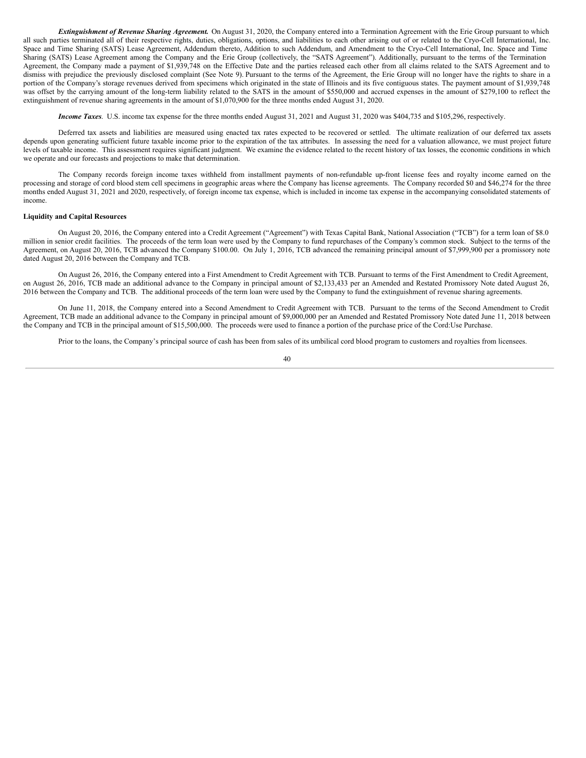*Extinguishment of Revenue Sharing Agreement.* On August 31, 2020, the Company entered into a Termination Agreement with the Erie Group pursuant to which all such parties terminated all of their respective rights, duties, obligations, options, and liabilities to each other arising out of or related to the Cryo-Cell International, Inc. Space and Time Sharing (SATS) Lease Agreement, Addendum thereto, Addition to such Addendum, and Amendment to the Cryo-Cell International, Inc. Space and Time Sharing (SATS) Lease Agreement among the Company and the Erie Group (collectively, the "SATS Agreement"). Additionally, pursuant to the terms of the Termination Agreement, the Company made a payment of \$1,939,748 on the Effective Date and the parties released each other from all claims related to the SATS Agreement and to dismiss with prejudice the previously disclosed complaint (See Note 9). Pursuant to the terms of the Agreement, the Erie Group will no longer have the rights to share in a portion of the Company's storage revenues derived from specimens which originated in the state of Illinois and its five contiguous states. The payment amount of \$1,939,748 was offset by the carrying amount of the long-term liability related to the SATS in the amount of \$550,000 and accrued expenses in the amount of \$279,100 to reflect the extinguishment of revenue sharing agreements in the amount of \$1,070,900 for the three months ended August 31, 2020.

*Income Taxes*. U.S. income tax expense for the three months ended August 31, 2021 and August 31, 2020 was \$404,735 and \$105,296, respectively.

Deferred tax assets and liabilities are measured using enacted tax rates expected to be recovered or settled. The ultimate realization of our deferred tax assets depends upon generating sufficient future taxable income prior to the expiration of the tax attributes. In assessing the need for a valuation allowance, we must project future levels of taxable income. This assessment requires significant judgment. We examine the evidence related to the recent history of tax losses, the economic conditions in which we operate and our forecasts and projections to make that determination.

The Company records foreign income taxes withheld from installment payments of non-refundable up-front license fees and royalty income earned on the processing and storage of cord blood stem cell specimens in geographic areas where the Company has license agreements. The Company recorded \$0 and \$46,274 for the three months ended August 31, 2021 and 2020, respectively, of foreign income tax expense, which is included in income tax expense in the accompanying consolidated statements of income.

## **Liquidity and Capital Resources**

On August 20, 2016, the Company entered into a Credit Agreement ("Agreement") with Texas Capital Bank, National Association ("TCB") for a term loan of \$8.0 million in senior credit facilities. The proceeds of the term loan were used by the Company to fund repurchases of the Company's common stock. Subject to the terms of the Agreement, on August 20, 2016, TCB advanced the Company \$100.00. On July 1, 2016, TCB advanced the remaining principal amount of \$7,999,900 per a promissory note dated August 20, 2016 between the Company and TCB.

On August 26, 2016, the Company entered into a First Amendment to Credit Agreement with TCB. Pursuant to terms of the First Amendment to Credit Agreement, on August 26, 2016, TCB made an additional advance to the Company in principal amount of \$2,133,433 per an Amended and Restated Promissory Note dated August 26, 2016 between the Company and TCB. The additional proceeds of the term loan were used by the Company to fund the extinguishment of revenue sharing agreements.

On June 11, 2018, the Company entered into a Second Amendment to Credit Agreement with TCB. Pursuant to the terms of the Second Amendment to Credit Agreement, TCB made an additional advance to the Company in principal amount of \$9,000,000 per an Amended and Restated Promissory Note dated June 11, 2018 between the Company and TCB in the principal amount of \$15,500,000. The proceeds were used to finance a portion of the purchase price of the Cord:Use Purchase.

Prior to the loans, the Company's principal source of cash has been from sales of its umbilical cord blood program to customers and royalties from licensees.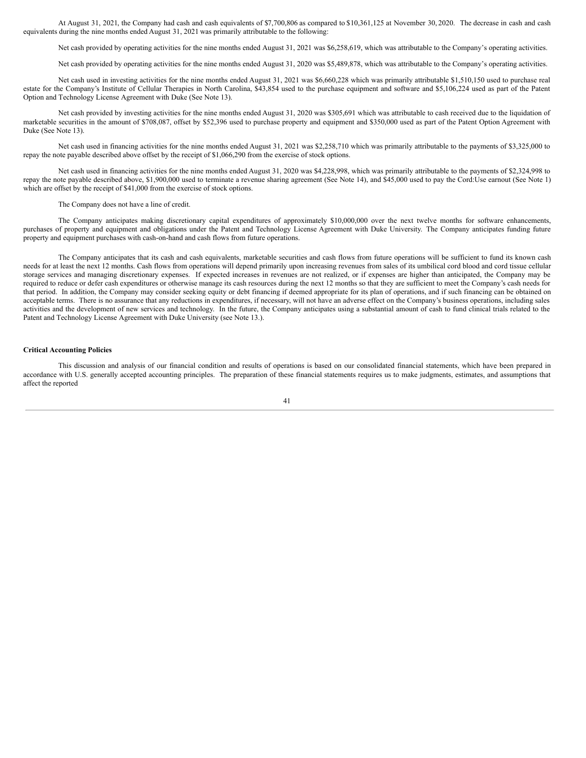At August 31, 2021, the Company had cash and cash equivalents of \$7,700,806 as compared to \$10,361,125 at November 30, 2020. The decrease in cash and cash equivalents during the nine months ended August 31, 2021 was primarily attributable to the following:

Net cash provided by operating activities for the nine months ended August 31, 2021 was \$6,258,619, which was attributable to the Company's operating activities.

Net cash provided by operating activities for the nine months ended August 31, 2020 was \$5,489,878, which was attributable to the Company's operating activities.

Net cash used in investing activities for the nine months ended August 31, 2021 was \$6,660,228 which was primarily attributable \$1,510,150 used to purchase real estate for the Company's Institute of Cellular Therapies in North Carolina, \$43,854 used to the purchase equipment and software and \$5,106,224 used as part of the Patent Option and Technology License Agreement with Duke (See Note 13).

Net cash provided by investing activities for the nine months ended August 31, 2020 was \$305,691 which was attributable to cash received due to the liquidation of marketable securities in the amount of \$708,087, offset by \$52,396 used to purchase property and equipment and \$350,000 used as part of the Patent Option Agreement with Duke (See Note 13).

Net cash used in financing activities for the nine months ended August 31, 2021 was \$2,258,710 which was primarily attributable to the payments of \$3,325,000 to repay the note payable described above offset by the receipt of \$1,066,290 from the exercise of stock options.

Net cash used in financing activities for the nine months ended August 31, 2020 was \$4,228,998, which was primarily attributable to the payments of \$2,324,998 to repay the note payable described above, \$1,900,000 used to terminate a revenue sharing agreement (See Note 14), and \$45,000 used to pay the Cord:Use earnout (See Note 1) which are offset by the receipt of \$41,000 from the exercise of stock options.

The Company does not have a line of credit.

The Company anticipates making discretionary capital expenditures of approximately \$10,000,000 over the next twelve months for software enhancements, purchases of property and equipment and obligations under the Patent and Technology License Agreement with Duke University. The Company anticipates funding future property and equipment purchases with cash-on-hand and cash flows from future operations.

The Company anticipates that its cash and cash equivalents, marketable securities and cash flows from future operations will be sufficient to fund its known cash needs for at least the next 12 months. Cash flows from operations will depend primarily upon increasing revenues from sales of its umbilical cord blood and cord tissue cellular storage services and managing discretionary expenses. If expected increases in revenues are not realized, or if expenses are higher than anticipated, the Company may be required to reduce or defer cash expenditures or otherwise manage its cash resources during the next 12 months so that they are sufficient to meet the Company's cash needs for that period. In addition, the Company may consider seeking equity or debt financing if deemed appropriate for its plan of operations, and if such financing can be obtained on acceptable terms. There is no assurance that any reductions in expenditures, if necessary, will not have an adverse effect on the Company's business operations, including sales activities and the development of new services and technology. In the future, the Company anticipates using a substantial amount of cash to fund clinical trials related to the Patent and Technology License Agreement with Duke University (see Note 13.).

#### **Critical Accounting Policies**

This discussion and analysis of our financial condition and results of operations is based on our consolidated financial statements, which have been prepared in accordance with U.S. generally accepted accounting principles. The preparation of these financial statements requires us to make judgments, estimates, and assumptions that affect the reported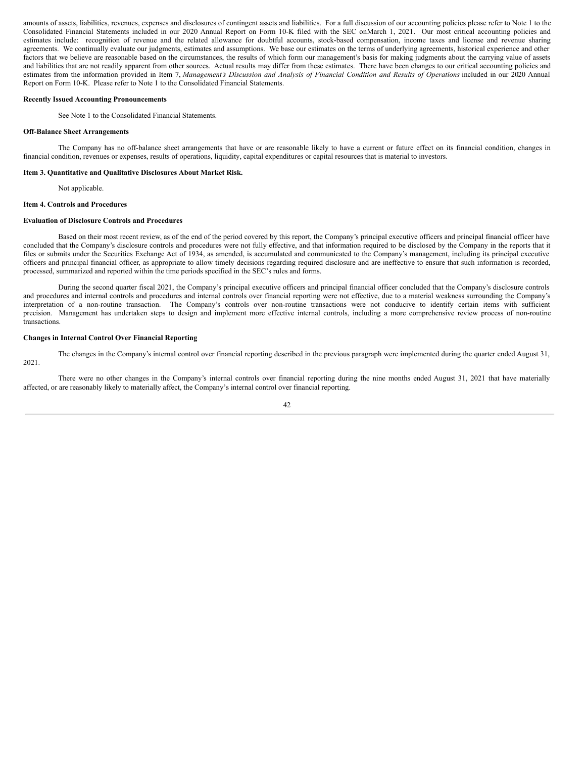amounts of assets, liabilities, revenues, expenses and disclosures of contingent assets and liabilities. For a full discussion of our accounting policies please refer to Note 1 to the Consolidated Financial Statements included in our 2020 Annual Report on Form 10-K filed with the SEC onMarch 1, 2021. Our most critical accounting policies and estimates include: recognition of revenue and the related allowance for doubtful accounts, stock-based compensation, income taxes and license and revenue sharing agreements. We continually evaluate our judgments, estimates and assumptions. We base our estimates on the terms of underlying agreements, historical experience and other factors that we believe are reasonable based on the circumstances, the results of which form our management's basis for making judgments about the carrying value of assets and liabilities that are not readily apparent from other sources. Actual results may differ from these estimates. There have been changes to our critical accounting policies and estimates from the information provided in Item 7, Management's Discussion and Analysis of Financial Condition and Results of Operations included in our 2020 Annual Report on Form 10-K. Please refer to Note 1 to the Consolidated Financial Statements.

#### **Recently Issued Accounting Pronouncements**

See Note 1 to the Consolidated Financial Statements.

## **Off-Balance Sheet Arrangements**

The Company has no off-balance sheet arrangements that have or are reasonable likely to have a current or future effect on its financial condition, changes in financial condition, revenues or expenses, results of operations, liquidity, capital expenditures or capital resources that is material to investors.

## <span id="page-41-0"></span>**Item 3. Quantitative and Qualitative Disclosures About Market Risk.**

Not applicable.

#### <span id="page-41-1"></span>**Item 4. Controls and Procedures**

## **Evaluation of Disclosure Controls and Procedures**

Based on their most recent review, as of the end of the period covered by this report, the Company's principal executive officers and principal financial officer have concluded that the Company's disclosure controls and procedures were not fully effective, and that information required to be disclosed by the Company in the reports that it files or submits under the Securities Exchange Act of 1934, as amended, is accumulated and communicated to the Company's management, including its principal executive officers and principal financial officer, as appropriate to allow timely decisions regarding required disclosure and are ineffective to ensure that such information is recorded, processed, summarized and reported within the time periods specified in the SEC's rules and forms.

During the second quarter fiscal 2021, the Company's principal executive officers and principal financial officer concluded that the Company's disclosure controls and procedures and internal controls and procedures and internal controls over financial reporting were not effective, due to a material weakness surrounding the Company's interpretation of a non-routine transaction. The Company's controls over non-routine transactions were not conducive to identify certain items with sufficient precision. Management has undertaken steps to design and implement more effective internal controls, including a more comprehensive review process of non-routine transactions.

## **Changes in Internal Control Over Financial Reporting**

The changes in the Company's internal control over financial reporting described in the previous paragraph were implemented during the quarter ended August 31, 2021.

There were no other changes in the Company's internal controls over financial reporting during the nine months ended August 31, 2021 that have materially affected, or are reasonably likely to materially affect, the Company's internal control over financial reporting.

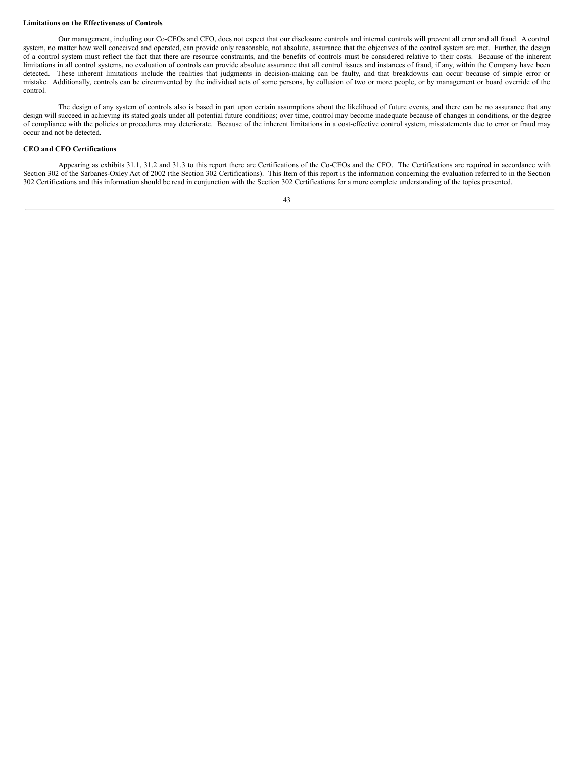#### **Limitations on the Effectiveness of Controls**

Our management, including our Co-CEOs and CFO, does not expect that our disclosure controls and internal controls will prevent all error and all fraud. A control system, no matter how well conceived and operated, can provide only reasonable, not absolute, assurance that the objectives of the control system are met. Further, the design of a control system must reflect the fact that there are resource constraints, and the benefits of controls must be considered relative to their costs. Because of the inherent limitations in all control systems, no evaluation of controls can provide absolute assurance that all control issues and instances of fraud, if any, within the Company have been detected. These inherent limitations include the realities that judgments in decision-making can be faulty, and that breakdowns can occur because of simple error or mistake. Additionally, controls can be circumvented by the individual acts of some persons, by collusion of two or more people, or by management or board override of the control.

The design of any system of controls also is based in part upon certain assumptions about the likelihood of future events, and there can be no assurance that any design will succeed in achieving its stated goals under all potential future conditions; over time, control may become inadequate because of changes in conditions, or the degree of compliance with the policies or procedures may deteriorate. Because of the inherent limitations in a cost-effective control system, misstatements due to error or fraud may occur and not be detected.

## **CEO and CFO Certifications**

Appearing as exhibits 31.1, 31.2 and 31.3 to this report there are Certifications of the Co-CEOs and the CFO. The Certifications are required in accordance with Section 302 of the Sarbanes-Oxley Act of 2002 (the Section 302 Certifications). This Item of this report is the information concerning the evaluation referred to in the Section 302 Certifications and this information should be read in conjunction with the Section 302 Certifications for a more complete understanding of the topics presented.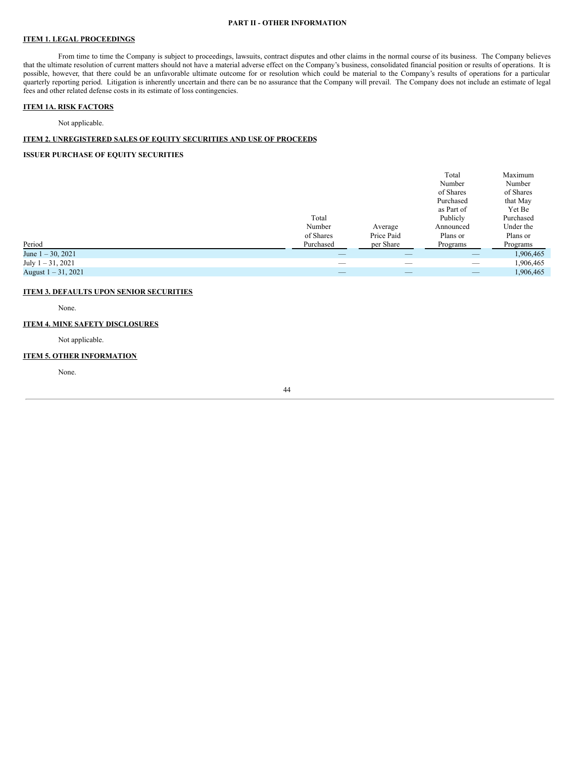## **PART II - OTHER INFORMATION**

## <span id="page-43-1"></span><span id="page-43-0"></span>**ITEM 1. LEGAL PROCEEDINGS**

From time to time the Company is subject to proceedings, lawsuits, contract disputes and other claims in the normal course of its business. The Company believes that the ultimate resolution of current matters should not have a material adverse effect on the Company's business, consolidated financial position or results of operations. It is possible, however, that there could be an unfavorable ultimate outcome for or resolution which could be material to the Company's results of operations for a particular quarterly reporting period. Litigation is inherently uncertain and there can be no assurance that the Company will prevail. The Company does not include an estimate of legal fees and other related defense costs in its estimate of loss contingencies.

## <span id="page-43-2"></span>**ITEM 1A. RISK FACTORS**

Not applicable.

## <span id="page-43-3"></span>**ITEM 2. UNREGISTERED SALES OF EQUITY SECURITIES AND USE OF PROCEEDS**

## **ISSUER PURCHASE OF EQUITY SECURITIES**

|                        |           |                          | Total                           | Maximum   |
|------------------------|-----------|--------------------------|---------------------------------|-----------|
|                        |           |                          | Number                          | Number    |
|                        |           |                          | of Shares                       | of Shares |
|                        |           |                          | Purchased                       | that May  |
|                        |           |                          | as Part of                      | Yet Be    |
|                        | Total     |                          | Publicly                        | Purchased |
|                        | Number    | Average                  | Announced                       | Under the |
|                        | of Shares | Price Paid               | Plans or                        | Plans or  |
| Period                 | Purchased | per Share                | Programs                        | Programs  |
| June $1 - 30$ , 2021   | _         | $\qquad \qquad - \qquad$ | $\hspace{0.1mm}-\hspace{0.1mm}$ | 1,906,465 |
| July $1 - 31$ , 2021   | __        | -                        |                                 | 1,906,465 |
| August $1 - 31$ , 2021 | _         | $\overline{\phantom{a}}$ | $-$                             | 1,906,465 |
|                        |           |                          |                                 |           |

## <span id="page-43-4"></span>**ITEM 3. DEFAULTS UPON SENIOR SECURITIES**

None.

# <span id="page-43-5"></span>**ITEM 4. MINE SAFETY DISCLOSURES**

Not applicable.

## <span id="page-43-6"></span>**ITEM 5. OTHER INFORMATION**

None.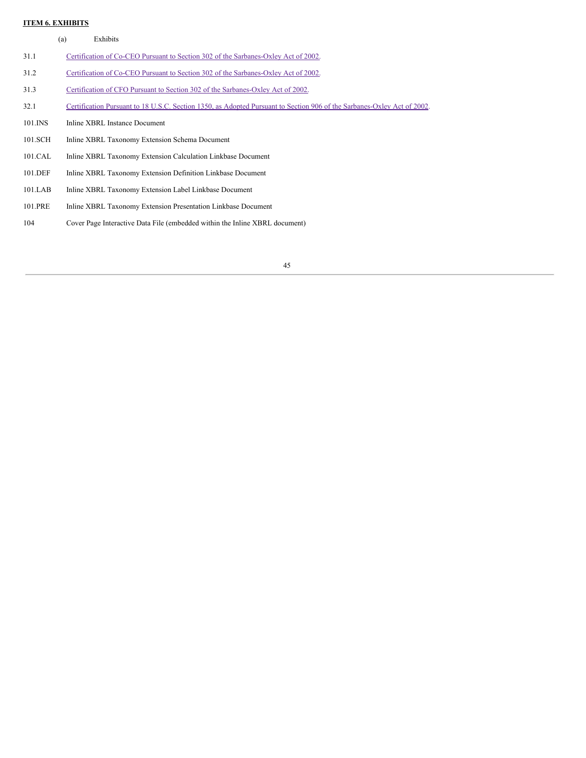# <span id="page-44-0"></span>**ITEM 6. EXHIBITS**

|         | Exhibits<br>(a)                                                                                                         |
|---------|-------------------------------------------------------------------------------------------------------------------------|
| 31.1    | Certification of Co-CEO Pursuant to Section 302 of the Sarbanes-Oxley Act of 2002.                                      |
| 31.2    | Certification of Co-CEO Pursuant to Section 302 of the Sarbanes-Oxley Act of 2002.                                      |
| 31.3    | Certification of CFO Pursuant to Section 302 of the Sarbanes-Oxley Act of 2002.                                         |
| 32.1    | Certification Pursuant to 18 U.S.C. Section 1350, as Adopted Pursuant to Section 906 of the Sarbanes-Oxley Act of 2002. |
| 101.INS | Inline XBRL Instance Document                                                                                           |
| 101.SCH | Inline XBRL Taxonomy Extension Schema Document                                                                          |
| 101.CAL | Inline XBRL Taxonomy Extension Calculation Linkbase Document                                                            |
| 101.DEF | Inline XBRL Taxonomy Extension Definition Linkbase Document                                                             |
| 101.LAB | Inline XBRL Taxonomy Extension Label Linkbase Document                                                                  |
| 101.PRE | Inline XBRL Taxonomy Extension Presentation Linkbase Document                                                           |
| 104     | Cover Page Interactive Data File (embedded within the Inline XBRL document)                                             |
|         |                                                                                                                         |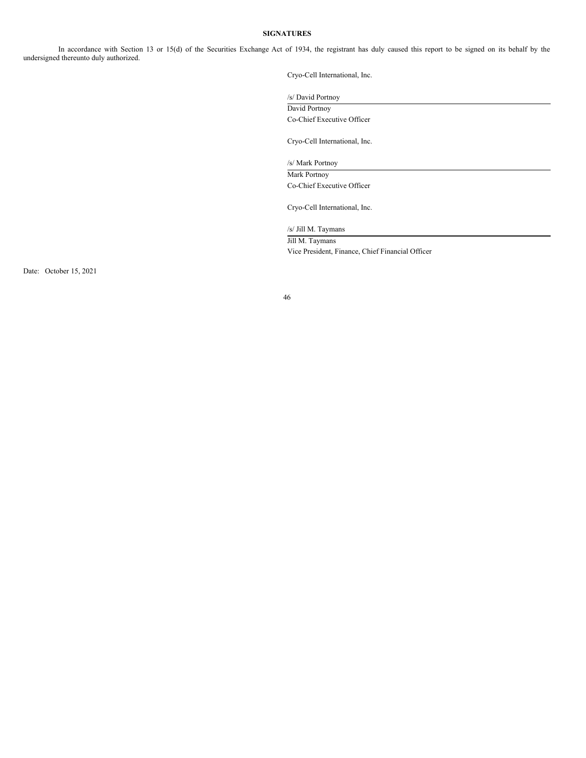## **SIGNATURES**

<span id="page-45-0"></span>In accordance with Section 13 or 15(d) of the Securities Exchange Act of 1934, the registrant has duly caused this report to be signed on its behalf by the undersigned thereunto duly authorized.

Cryo-Cell International, Inc.

/s/ David Portnoy

David Portnoy Co-Chief Executive Officer

Cryo-Cell International, Inc.

/s/ Mark Portnoy Mark Portnoy

Co-Chief Executive Officer

Cryo-Cell International, Inc.

/s/ Jill M. Taymans

Jill M. Taymans Vice President, Finance, Chief Financial Officer

Date: October 15, 2021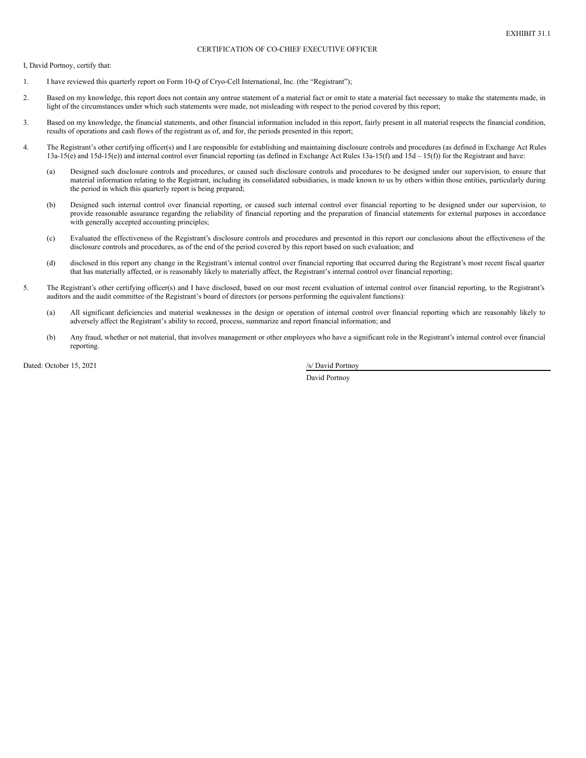## CERTIFICATION OF CO-CHIEF EXECUTIVE OFFICER

<span id="page-46-0"></span>I, David Portnoy, certify that:

- 1. I have reviewed this quarterly report on Form 10-Q of Cryo-Cell International, Inc. (the "Registrant");
- 2. Based on my knowledge, this report does not contain any untrue statement of a material fact or omit to state a material fact necessary to make the statements made, in light of the circumstances under which such statements were made, not misleading with respect to the period covered by this report;
- 3. Based on my knowledge, the financial statements, and other financial information included in this report, fairly present in all material respects the financial condition, results of operations and cash flows of the registrant as of, and for, the periods presented in this report;
- 4. The Registrant's other certifying officer(s) and I are responsible for establishing and maintaining disclosure controls and procedures (as defined in Exchange Act Rules 13a-15(e) and 15d-15(e)) and internal control over financial reporting (as defined in Exchange Act Rules 13a-15(f) and 15d – 15(f)) for the Registrant and have:
	- (a) Designed such disclosure controls and procedures, or caused such disclosure controls and procedures to be designed under our supervision, to ensure that material information relating to the Registrant, including its consolidated subsidiaries, is made known to us by others within those entities, particularly during the period in which this quarterly report is being prepared;
	- (b) Designed such internal control over financial reporting, or caused such internal control over financial reporting to be designed under our supervision, to provide reasonable assurance regarding the reliability of financial reporting and the preparation of financial statements for external purposes in accordance with generally accepted accounting principles;
	- (c) Evaluated the effectiveness of the Registrant's disclosure controls and procedures and presented in this report our conclusions about the effectiveness of the disclosure controls and procedures, as of the end of the period covered by this report based on such evaluation; and
	- (d) disclosed in this report any change in the Registrant's internal control over financial reporting that occurred during the Registrant's most recent fiscal quarter that has materially affected, or is reasonably likely to materially affect, the Registrant's internal control over financial reporting;
- 5. The Registrant's other certifying officer(s) and I have disclosed, based on our most recent evaluation of internal control over financial reporting, to the Registrant's auditors and the audit committee of the Registrant's board of directors (or persons performing the equivalent functions):
	- (a) All significant deficiencies and material weaknesses in the design or operation of internal control over financial reporting which are reasonably likely to adversely affect the Registrant's ability to record, process, summarize and report financial information; and
	- (b) Any fraud, whether or not material, that involves management or other employees who have a significant role in the Registrant's internal control over financial reporting.

Dated: October 15, 2021 /s/ David Portnoy

David Portnoy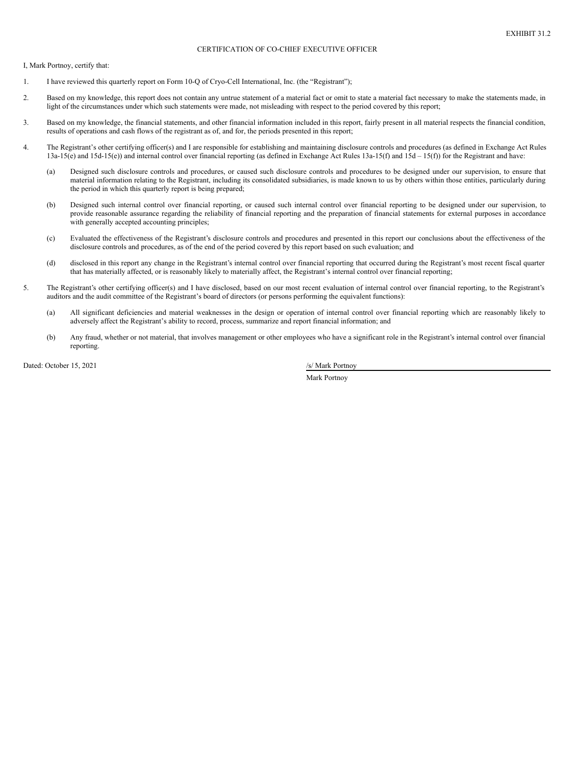## CERTIFICATION OF CO-CHIEF EXECUTIVE OFFICER

<span id="page-47-0"></span>I, Mark Portnoy, certify that:

- 1. I have reviewed this quarterly report on Form 10-Q of Cryo-Cell International, Inc. (the "Registrant");
- 2. Based on my knowledge, this report does not contain any untrue statement of a material fact or omit to state a material fact necessary to make the statements made, in light of the circumstances under which such statements were made, not misleading with respect to the period covered by this report;
- 3. Based on my knowledge, the financial statements, and other financial information included in this report, fairly present in all material respects the financial condition, results of operations and cash flows of the registrant as of, and for, the periods presented in this report;
- 4. The Registrant's other certifying officer(s) and I are responsible for establishing and maintaining disclosure controls and procedures (as defined in Exchange Act Rules 13a-15(e) and 15d-15(e)) and internal control over financial reporting (as defined in Exchange Act Rules 13a-15(f) and 15d – 15(f)) for the Registrant and have:
	- (a) Designed such disclosure controls and procedures, or caused such disclosure controls and procedures to be designed under our supervision, to ensure that material information relating to the Registrant, including its consolidated subsidiaries, is made known to us by others within those entities, particularly during the period in which this quarterly report is being prepared;
	- (b) Designed such internal control over financial reporting, or caused such internal control over financial reporting to be designed under our supervision, to provide reasonable assurance regarding the reliability of financial reporting and the preparation of financial statements for external purposes in accordance with generally accepted accounting principles;
	- (c) Evaluated the effectiveness of the Registrant's disclosure controls and procedures and presented in this report our conclusions about the effectiveness of the disclosure controls and procedures, as of the end of the period covered by this report based on such evaluation; and
	- (d) disclosed in this report any change in the Registrant's internal control over financial reporting that occurred during the Registrant's most recent fiscal quarter that has materially affected, or is reasonably likely to materially affect, the Registrant's internal control over financial reporting;
- 5. The Registrant's other certifying officer(s) and I have disclosed, based on our most recent evaluation of internal control over financial reporting, to the Registrant's auditors and the audit committee of the Registrant's board of directors (or persons performing the equivalent functions):
	- (a) All significant deficiencies and material weaknesses in the design or operation of internal control over financial reporting which are reasonably likely to adversely affect the Registrant's ability to record, process, summarize and report financial information; and
	- (b) Any fraud, whether or not material, that involves management or other employees who have a significant role in the Registrant's internal control over financial reporting.

Dated: October 15, 2021 /s/ Mark Portnoy

Mark Portnoy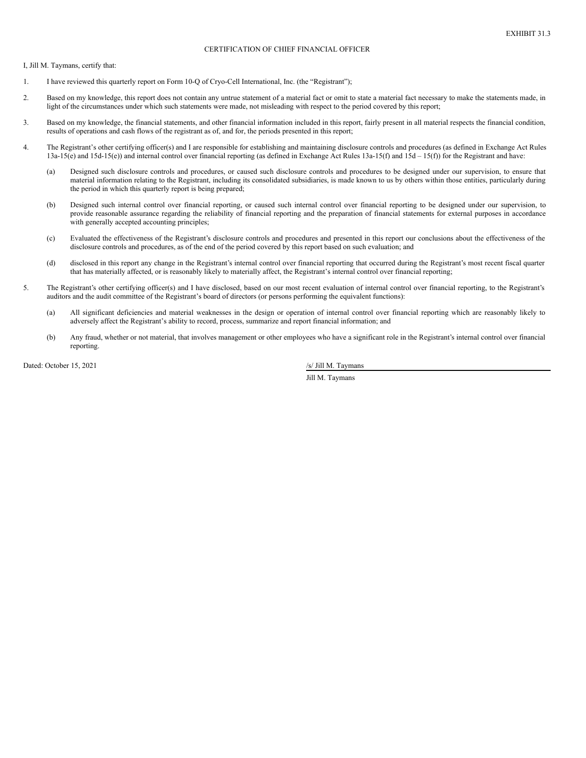## CERTIFICATION OF CHIEF FINANCIAL OFFICER

<span id="page-48-0"></span>I, Jill M. Taymans, certify that:

- 1. I have reviewed this quarterly report on Form 10-Q of Cryo-Cell International, Inc. (the "Registrant");
- 2. Based on my knowledge, this report does not contain any untrue statement of a material fact or omit to state a material fact necessary to make the statements made, in light of the circumstances under which such statements were made, not misleading with respect to the period covered by this report;
- 3. Based on my knowledge, the financial statements, and other financial information included in this report, fairly present in all material respects the financial condition, results of operations and cash flows of the registrant as of, and for, the periods presented in this report;
- 4. The Registrant's other certifying officer(s) and I are responsible for establishing and maintaining disclosure controls and procedures (as defined in Exchange Act Rules 13a-15(e) and 15d-15(e)) and internal control over financial reporting (as defined in Exchange Act Rules 13a-15(f) and 15d – 15(f)) for the Registrant and have:
	- (a) Designed such disclosure controls and procedures, or caused such disclosure controls and procedures to be designed under our supervision, to ensure that material information relating to the Registrant, including its consolidated subsidiaries, is made known to us by others within those entities, particularly during the period in which this quarterly report is being prepared;
	- (b) Designed such internal control over financial reporting, or caused such internal control over financial reporting to be designed under our supervision, to provide reasonable assurance regarding the reliability of financial reporting and the preparation of financial statements for external purposes in accordance with generally accepted accounting principles;
	- (c) Evaluated the effectiveness of the Registrant's disclosure controls and procedures and presented in this report our conclusions about the effectiveness of the disclosure controls and procedures, as of the end of the period covered by this report based on such evaluation; and
	- (d) disclosed in this report any change in the Registrant's internal control over financial reporting that occurred during the Registrant's most recent fiscal quarter that has materially affected, or is reasonably likely to materially affect, the Registrant's internal control over financial reporting;
- 5. The Registrant's other certifying officer(s) and I have disclosed, based on our most recent evaluation of internal control over financial reporting, to the Registrant's auditors and the audit committee of the Registrant's board of directors (or persons performing the equivalent functions):
	- (a) All significant deficiencies and material weaknesses in the design or operation of internal control over financial reporting which are reasonably likely to adversely affect the Registrant's ability to record, process, summarize and report financial information; and
	- (b) Any fraud, whether or not material, that involves management or other employees who have a significant role in the Registrant's internal control over financial reporting.

Dated: October 15, 2021 /s/ Jill M. Taymans

Jill M. Taymans